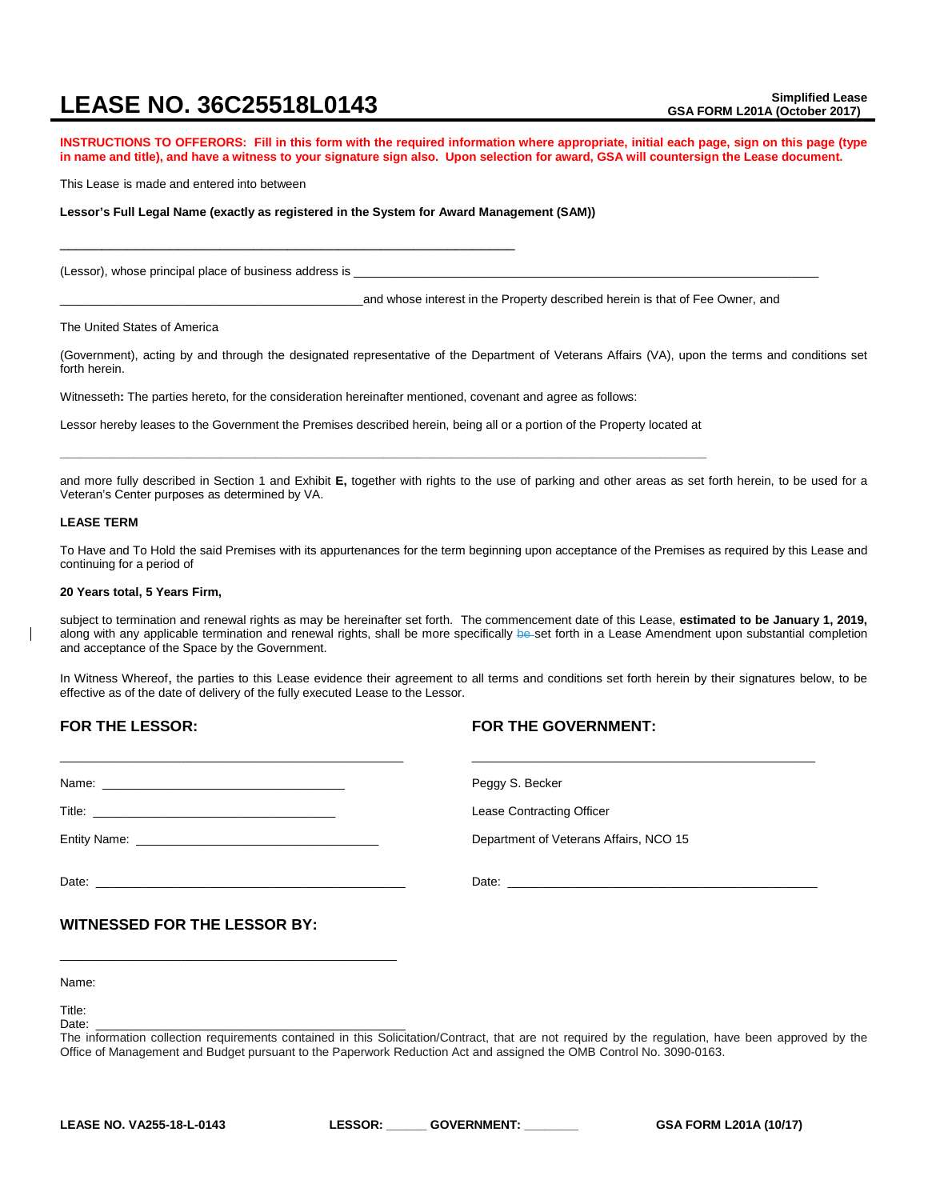# **LEASE NO. 36C25518L0143** Simplified Lease

**INSTRUCTIONS TO OFFERORS: Fill in this form with the required information where appropriate, initial each page, sign on this page (type in name and title), and have a witness to your signature sign also. Upon selection for award, GSA will countersign the Lease document.**

This Lease is made and entered into between

**Lessor's Full Legal Name (exactly as registered in the System for Award Management (SAM))**

\_\_\_\_\_\_\_\_\_\_\_\_\_\_\_\_\_\_\_\_\_\_\_\_\_\_\_\_\_\_\_\_\_\_\_\_\_\_\_\_\_\_\_\_\_\_\_\_\_\_\_\_\_\_

(Lessor), whose principal place of business address is \_

\_\_\_\_\_\_\_\_\_\_\_\_\_\_\_\_\_\_\_\_\_\_\_\_\_\_\_\_\_\_\_\_\_\_\_\_\_\_\_\_\_\_\_\_\_and whose interest in the Property described herein is that of Fee Owner, and

The United States of America

(Government), acting by and through the designated representative of the Department of Veterans Affairs (VA), upon the terms and conditions set forth herein.

Witnesseth**:** The parties hereto, for the consideration hereinafter mentioned, covenant and agree as follows:

Lessor hereby leases to the Government the Premises described herein, being all or a portion of the Property located at **\_\_\_\_\_\_\_\_\_\_\_\_\_\_\_\_\_\_\_\_\_\_\_\_\_\_\_\_\_\_\_\_\_\_\_\_\_\_\_\_\_\_\_\_\_\_\_\_\_\_\_\_\_\_\_\_\_\_\_\_\_\_\_\_\_\_\_\_\_\_\_\_\_\_\_\_\_\_\_\_\_\_\_\_\_\_\_\_\_\_\_\_\_\_\_\_**

and more fully described in Section 1 and Exhibit **E,** together with rights to the use of parking and other areas as set forth herein, to be used for a Veteran's Center purposes as determined by VA.

#### **LEASE TERM**

To Have and To Hold the said Premises with its appurtenances for the term beginning upon acceptance of the Premises as required by this Lease and continuing for a period of

#### **20 Years total, 5 Years Firm,**

subject to termination and renewal rights as may be hereinafter set forth. The commencement date of this Lease, **estimated to be January 1, 2019,** along with any applicable termination and renewal rights, shall be more specifically be set forth in a Lease Amendment upon substantial completion and acceptance of the Space by the Government.

In Witness Whereof, the parties to this Lease evidence their agreement to all terms and conditions set forth herein by their signatures below, to be effective as of the date of delivery of the fully executed Lease to the Lessor.

# **FOR THE LESSOR:**

# **FOR THE GOVERNMENT:**

|                                     | Peggy S. Becker                        |
|-------------------------------------|----------------------------------------|
|                                     | Lease Contracting Officer              |
|                                     | Department of Veterans Affairs, NCO 15 |
|                                     |                                        |
| <b>WITNESSED FOR THE LESSOR BY:</b> |                                        |
|                                     |                                        |

Name:

Title:<br>Date: Date: \_\_\_\_\_\_\_\_\_\_\_\_\_\_\_\_\_\_\_\_\_\_\_\_\_\_\_\_\_\_\_\_\_\_\_\_\_\_\_\_\_\_\_\_\_\_ The information collection requirements contained in this Solicitation/Contract, that are not required by the regulation, have been approved by the Office of Management and Budget pursuant to the Paperwork Reduction Act and assigned the OMB Control No. 3090-0163.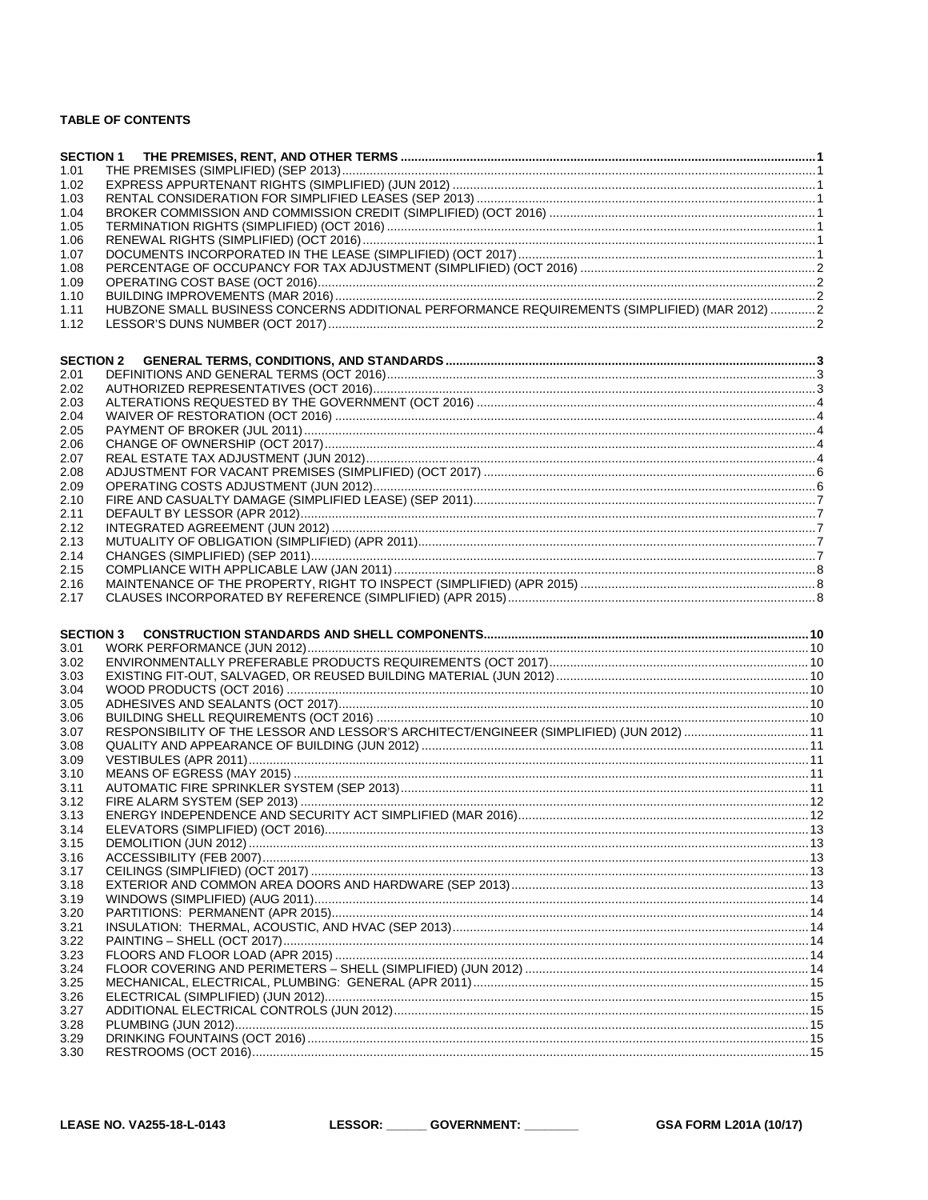# **TABLE OF CONTENTS**

| 1.01<br>1.02<br>1.03<br>1.04<br>1.05<br>1.06<br>1.07<br>1.08<br>1.09<br>1.10<br>HUBZONE SMALL BUSINESS CONCERNS ADDITIONAL PERFORMANCE REQUIREMENTS (SIMPLIFIED) (MAR 2012)  2<br>1.11<br>1.12<br><b>SECTION 2</b><br>2.01<br>2.02<br>2.03<br>2.04<br>2.05<br>2.06<br>2.07<br>2.08<br>2.09<br>2.11<br>2.12<br>2.13<br>2.14<br>2.15<br>2.16<br>2.17<br><b>SECTION 3</b><br>3.01<br>3.02<br>3.03<br>3.04<br>3.05<br>3.06<br>RESPONSIBILITY OF THE LESSOR AND LESSOR'S ARCHITECT/ENGINEER (SIMPLIFIED) (JUN 2012) 11<br>3.07<br>3.08<br>3.09<br>3.10<br>3.11<br>3.12<br>3.13<br>3.14<br>3.15<br>3.16<br>3.17<br>3.18<br>3.19<br>3.20<br>3.21<br>3.22<br>3.23<br>3.24<br>3.25<br>3.27<br>3.28<br>3.29<br>3.30 |      | <b>SECTION 1</b> |  |
|-----------------------------------------------------------------------------------------------------------------------------------------------------------------------------------------------------------------------------------------------------------------------------------------------------------------------------------------------------------------------------------------------------------------------------------------------------------------------------------------------------------------------------------------------------------------------------------------------------------------------------------------------------------------------------------------------------------|------|------------------|--|
|                                                                                                                                                                                                                                                                                                                                                                                                                                                                                                                                                                                                                                                                                                           |      |                  |  |
|                                                                                                                                                                                                                                                                                                                                                                                                                                                                                                                                                                                                                                                                                                           |      |                  |  |
|                                                                                                                                                                                                                                                                                                                                                                                                                                                                                                                                                                                                                                                                                                           |      |                  |  |
|                                                                                                                                                                                                                                                                                                                                                                                                                                                                                                                                                                                                                                                                                                           |      |                  |  |
|                                                                                                                                                                                                                                                                                                                                                                                                                                                                                                                                                                                                                                                                                                           |      |                  |  |
|                                                                                                                                                                                                                                                                                                                                                                                                                                                                                                                                                                                                                                                                                                           |      |                  |  |
|                                                                                                                                                                                                                                                                                                                                                                                                                                                                                                                                                                                                                                                                                                           |      |                  |  |
|                                                                                                                                                                                                                                                                                                                                                                                                                                                                                                                                                                                                                                                                                                           |      |                  |  |
|                                                                                                                                                                                                                                                                                                                                                                                                                                                                                                                                                                                                                                                                                                           |      |                  |  |
|                                                                                                                                                                                                                                                                                                                                                                                                                                                                                                                                                                                                                                                                                                           |      |                  |  |
|                                                                                                                                                                                                                                                                                                                                                                                                                                                                                                                                                                                                                                                                                                           |      |                  |  |
|                                                                                                                                                                                                                                                                                                                                                                                                                                                                                                                                                                                                                                                                                                           |      |                  |  |
|                                                                                                                                                                                                                                                                                                                                                                                                                                                                                                                                                                                                                                                                                                           |      |                  |  |
|                                                                                                                                                                                                                                                                                                                                                                                                                                                                                                                                                                                                                                                                                                           |      |                  |  |
|                                                                                                                                                                                                                                                                                                                                                                                                                                                                                                                                                                                                                                                                                                           |      |                  |  |
|                                                                                                                                                                                                                                                                                                                                                                                                                                                                                                                                                                                                                                                                                                           |      |                  |  |
|                                                                                                                                                                                                                                                                                                                                                                                                                                                                                                                                                                                                                                                                                                           |      |                  |  |
|                                                                                                                                                                                                                                                                                                                                                                                                                                                                                                                                                                                                                                                                                                           |      |                  |  |
|                                                                                                                                                                                                                                                                                                                                                                                                                                                                                                                                                                                                                                                                                                           |      |                  |  |
|                                                                                                                                                                                                                                                                                                                                                                                                                                                                                                                                                                                                                                                                                                           |      |                  |  |
|                                                                                                                                                                                                                                                                                                                                                                                                                                                                                                                                                                                                                                                                                                           |      |                  |  |
|                                                                                                                                                                                                                                                                                                                                                                                                                                                                                                                                                                                                                                                                                                           |      |                  |  |
|                                                                                                                                                                                                                                                                                                                                                                                                                                                                                                                                                                                                                                                                                                           | 2.10 |                  |  |
|                                                                                                                                                                                                                                                                                                                                                                                                                                                                                                                                                                                                                                                                                                           |      |                  |  |
|                                                                                                                                                                                                                                                                                                                                                                                                                                                                                                                                                                                                                                                                                                           |      |                  |  |
|                                                                                                                                                                                                                                                                                                                                                                                                                                                                                                                                                                                                                                                                                                           |      |                  |  |
|                                                                                                                                                                                                                                                                                                                                                                                                                                                                                                                                                                                                                                                                                                           |      |                  |  |
|                                                                                                                                                                                                                                                                                                                                                                                                                                                                                                                                                                                                                                                                                                           |      |                  |  |
|                                                                                                                                                                                                                                                                                                                                                                                                                                                                                                                                                                                                                                                                                                           |      |                  |  |
|                                                                                                                                                                                                                                                                                                                                                                                                                                                                                                                                                                                                                                                                                                           |      |                  |  |
|                                                                                                                                                                                                                                                                                                                                                                                                                                                                                                                                                                                                                                                                                                           |      |                  |  |
|                                                                                                                                                                                                                                                                                                                                                                                                                                                                                                                                                                                                                                                                                                           |      |                  |  |
|                                                                                                                                                                                                                                                                                                                                                                                                                                                                                                                                                                                                                                                                                                           |      |                  |  |
|                                                                                                                                                                                                                                                                                                                                                                                                                                                                                                                                                                                                                                                                                                           |      |                  |  |
|                                                                                                                                                                                                                                                                                                                                                                                                                                                                                                                                                                                                                                                                                                           |      |                  |  |
|                                                                                                                                                                                                                                                                                                                                                                                                                                                                                                                                                                                                                                                                                                           |      |                  |  |
|                                                                                                                                                                                                                                                                                                                                                                                                                                                                                                                                                                                                                                                                                                           |      |                  |  |
|                                                                                                                                                                                                                                                                                                                                                                                                                                                                                                                                                                                                                                                                                                           |      |                  |  |
|                                                                                                                                                                                                                                                                                                                                                                                                                                                                                                                                                                                                                                                                                                           |      |                  |  |
|                                                                                                                                                                                                                                                                                                                                                                                                                                                                                                                                                                                                                                                                                                           |      |                  |  |
|                                                                                                                                                                                                                                                                                                                                                                                                                                                                                                                                                                                                                                                                                                           |      |                  |  |
|                                                                                                                                                                                                                                                                                                                                                                                                                                                                                                                                                                                                                                                                                                           |      |                  |  |
|                                                                                                                                                                                                                                                                                                                                                                                                                                                                                                                                                                                                                                                                                                           |      |                  |  |
|                                                                                                                                                                                                                                                                                                                                                                                                                                                                                                                                                                                                                                                                                                           |      |                  |  |
|                                                                                                                                                                                                                                                                                                                                                                                                                                                                                                                                                                                                                                                                                                           |      |                  |  |
|                                                                                                                                                                                                                                                                                                                                                                                                                                                                                                                                                                                                                                                                                                           |      |                  |  |
|                                                                                                                                                                                                                                                                                                                                                                                                                                                                                                                                                                                                                                                                                                           |      |                  |  |
|                                                                                                                                                                                                                                                                                                                                                                                                                                                                                                                                                                                                                                                                                                           |      |                  |  |
|                                                                                                                                                                                                                                                                                                                                                                                                                                                                                                                                                                                                                                                                                                           |      |                  |  |
|                                                                                                                                                                                                                                                                                                                                                                                                                                                                                                                                                                                                                                                                                                           |      |                  |  |
|                                                                                                                                                                                                                                                                                                                                                                                                                                                                                                                                                                                                                                                                                                           |      |                  |  |
|                                                                                                                                                                                                                                                                                                                                                                                                                                                                                                                                                                                                                                                                                                           |      |                  |  |
|                                                                                                                                                                                                                                                                                                                                                                                                                                                                                                                                                                                                                                                                                                           |      |                  |  |
|                                                                                                                                                                                                                                                                                                                                                                                                                                                                                                                                                                                                                                                                                                           |      |                  |  |
|                                                                                                                                                                                                                                                                                                                                                                                                                                                                                                                                                                                                                                                                                                           |      |                  |  |
|                                                                                                                                                                                                                                                                                                                                                                                                                                                                                                                                                                                                                                                                                                           |      |                  |  |
|                                                                                                                                                                                                                                                                                                                                                                                                                                                                                                                                                                                                                                                                                                           |      |                  |  |
|                                                                                                                                                                                                                                                                                                                                                                                                                                                                                                                                                                                                                                                                                                           | 3.26 |                  |  |
|                                                                                                                                                                                                                                                                                                                                                                                                                                                                                                                                                                                                                                                                                                           |      |                  |  |
|                                                                                                                                                                                                                                                                                                                                                                                                                                                                                                                                                                                                                                                                                                           |      |                  |  |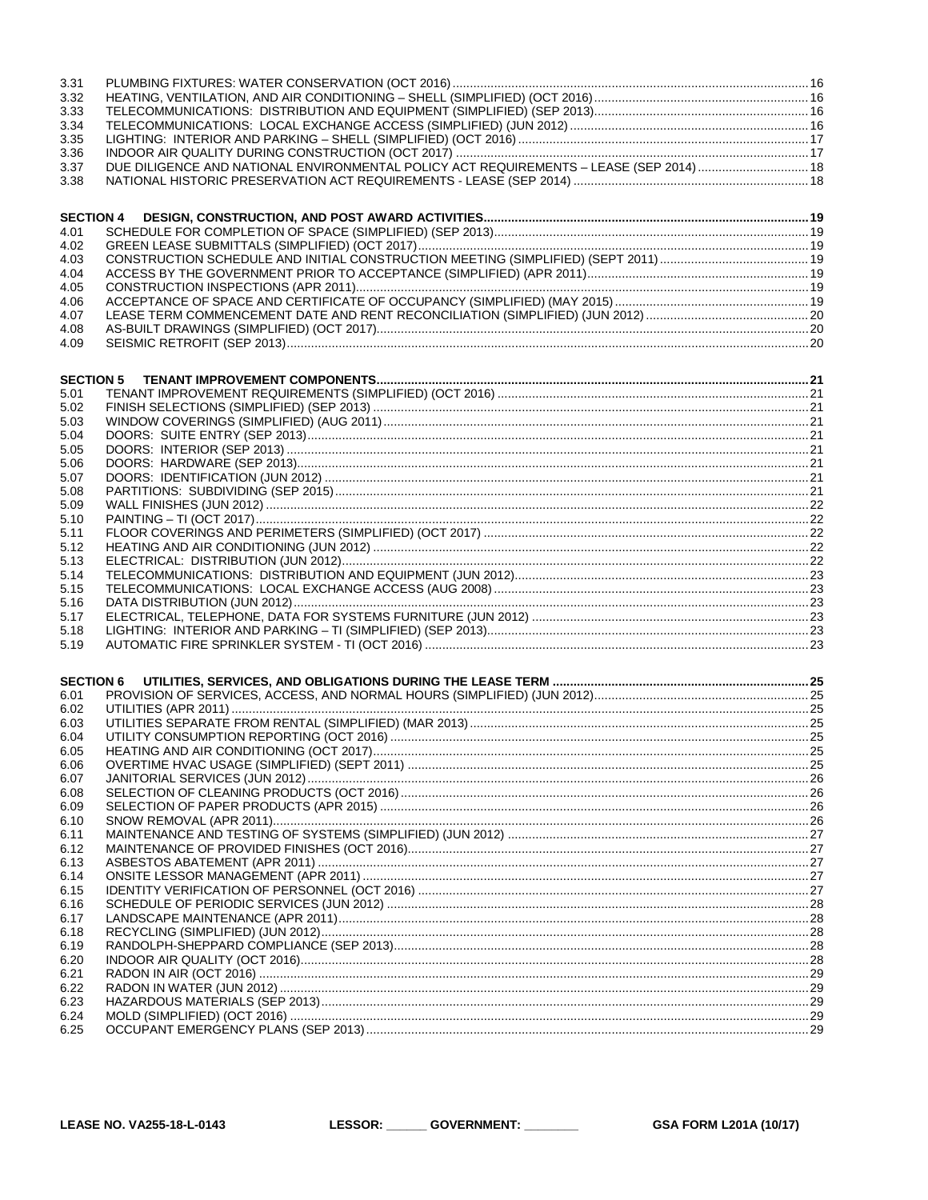| 3.31             |                                                                                         |  |
|------------------|-----------------------------------------------------------------------------------------|--|
| 3.32             |                                                                                         |  |
| 3.33             |                                                                                         |  |
| 3.34             |                                                                                         |  |
| 3.35             |                                                                                         |  |
|                  |                                                                                         |  |
| 3.36             |                                                                                         |  |
| 3.37             | DUE DILIGENCE AND NATIONAL ENVIRONMENTAL POLICY ACT REQUIREMENTS - LEASE (SEP 2014)  18 |  |
| 3.38             |                                                                                         |  |
|                  |                                                                                         |  |
| <b>SECTION 4</b> |                                                                                         |  |
| 4.01             |                                                                                         |  |
| 4.02             |                                                                                         |  |
| 4.03             |                                                                                         |  |
|                  |                                                                                         |  |
| 4.04             |                                                                                         |  |
| 4.05             |                                                                                         |  |
| 4.06             |                                                                                         |  |
| 4.07             |                                                                                         |  |
| 4.08             |                                                                                         |  |
| 4.09             |                                                                                         |  |
|                  |                                                                                         |  |
| <b>SECTION 5</b> |                                                                                         |  |
| 5.01             |                                                                                         |  |
|                  |                                                                                         |  |
| 5.02             |                                                                                         |  |
| 5.03             |                                                                                         |  |
| 5.04             |                                                                                         |  |
| 5.05             |                                                                                         |  |
| 5.06             |                                                                                         |  |
| 5.07             |                                                                                         |  |
| 5.08             |                                                                                         |  |
| 5.09             |                                                                                         |  |
| 5.10             |                                                                                         |  |
| 5.11             |                                                                                         |  |
| 5.12             |                                                                                         |  |
| 5.13             |                                                                                         |  |
| 5.14             |                                                                                         |  |
| 5.15             |                                                                                         |  |
| 5.16             |                                                                                         |  |
|                  |                                                                                         |  |
| 5.17             |                                                                                         |  |
| 5.18             |                                                                                         |  |
| 5.19             |                                                                                         |  |
|                  |                                                                                         |  |
| <b>SECTION 6</b> |                                                                                         |  |
| 6.01             |                                                                                         |  |
| 6.02             |                                                                                         |  |
| 6.03             |                                                                                         |  |
| 6.04             |                                                                                         |  |
| 6.05             |                                                                                         |  |
| 6.06             |                                                                                         |  |
| 6.07             |                                                                                         |  |
| 6.08             |                                                                                         |  |
| 6.09             |                                                                                         |  |
|                  |                                                                                         |  |
| 6.10             |                                                                                         |  |
| 6.11             |                                                                                         |  |
| 6.12             |                                                                                         |  |
| 6.13             |                                                                                         |  |
| 6.14             |                                                                                         |  |
| 6.15             |                                                                                         |  |
| 6.16             |                                                                                         |  |
| 6.17             |                                                                                         |  |
| 6.18             |                                                                                         |  |
| 6.19             |                                                                                         |  |
| 6.20             |                                                                                         |  |
| 6.21             |                                                                                         |  |
| 6.22             |                                                                                         |  |
| 6.23             |                                                                                         |  |
| 6.24             |                                                                                         |  |
| 6.25             |                                                                                         |  |
|                  |                                                                                         |  |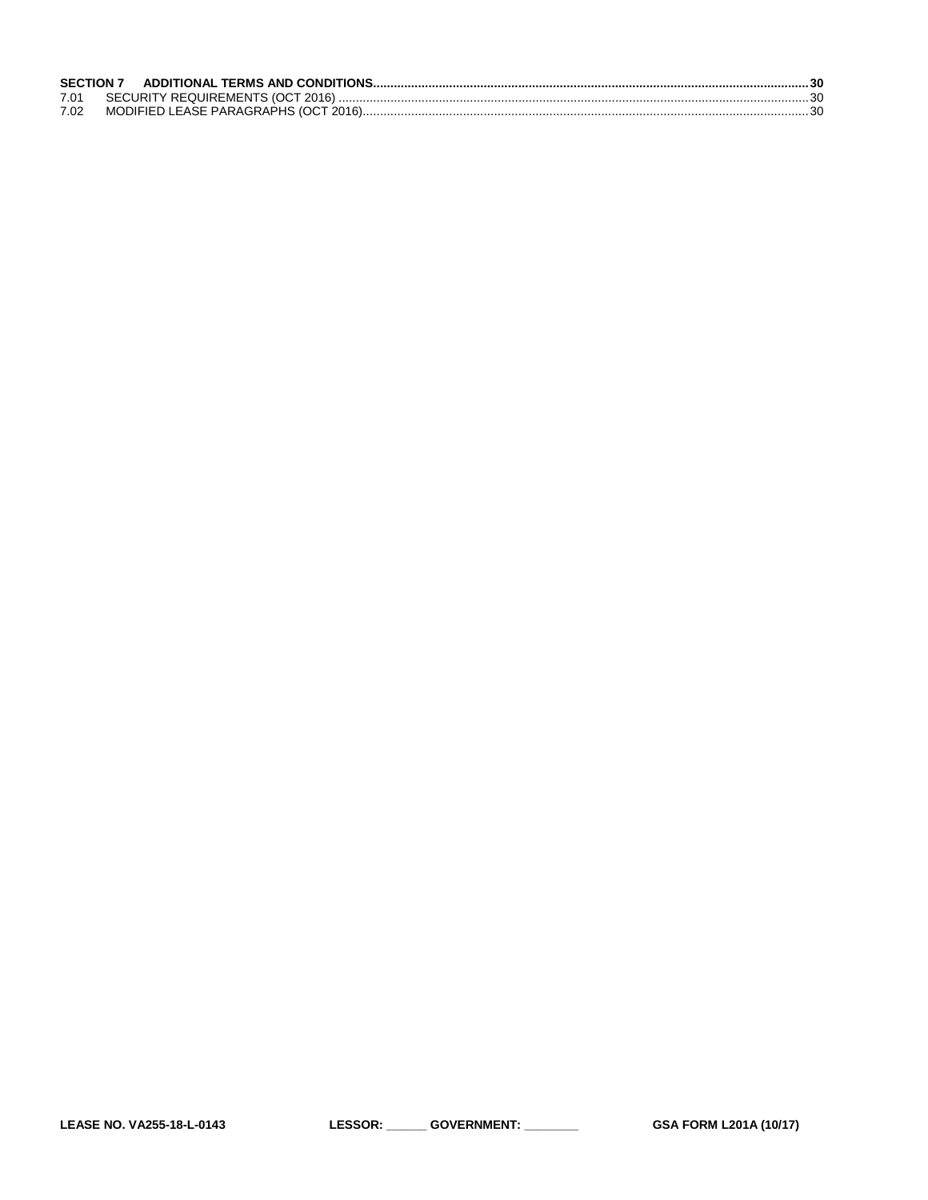| 7.02 |  |
|------|--|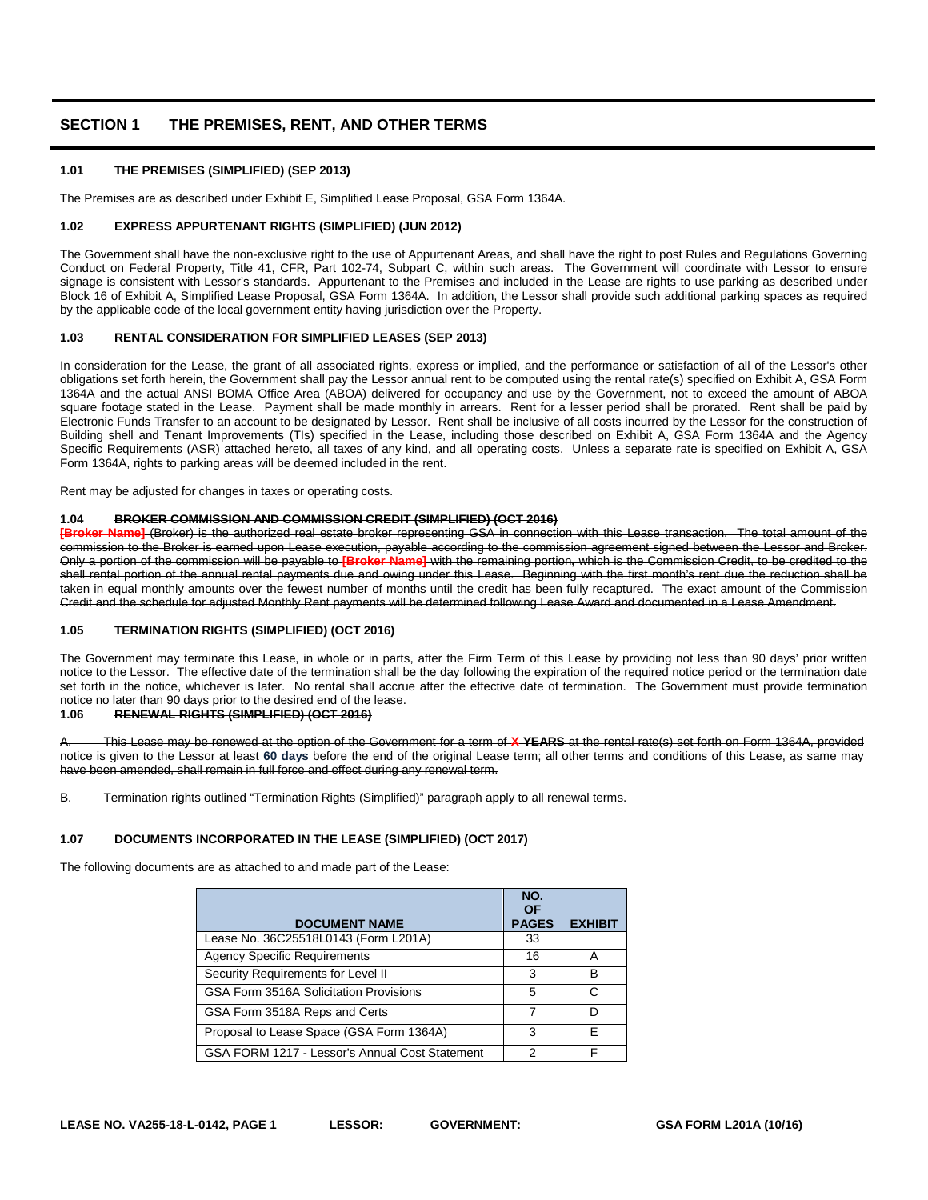# <span id="page-4-0"></span>**SECTION 1 THE PREMISES, RENT, AND OTHER TERMS**

# <span id="page-4-1"></span>**1.01 THE PREMISES (SIMPLIFIED) (SEP 2013)**

The Premises are as described under Exhibit E, Simplified Lease Proposal, GSA Form 1364A.

# <span id="page-4-2"></span>**1.02 EXPRESS APPURTENANT RIGHTS (SIMPLIFIED) (JUN 2012)**

The Government shall have the non-exclusive right to the use of Appurtenant Areas, and shall have the right to post Rules and Regulations Governing Conduct on Federal Property, Title 41, CFR, Part 102-74, Subpart C, within such areas. The Government will coordinate with Lessor to ensure signage is consistent with Lessor's standards. Appurtenant to the Premises and included in the Lease are rights to use parking as described under Block 16 of Exhibit A, Simplified Lease Proposal, GSA Form 1364A. In addition, the Lessor shall provide such additional parking spaces as required by the applicable code of the local government entity having jurisdiction over the Property.

#### <span id="page-4-3"></span>**1.03 RENTAL CONSIDERATION FOR SIMPLIFIED LEASES (SEP 2013)**

In consideration for the Lease, the grant of all associated rights, express or implied, and the performance or satisfaction of all of the Lessor's other obligations set forth herein, the Government shall pay the Lessor annual rent to be computed using the rental rate(s) specified on Exhibit A, GSA Form 1364A and the actual ANSI BOMA Office Area (ABOA) delivered for occupancy and use by the Government, not to exceed the amount of ABOA square footage stated in the Lease. Payment shall be made monthly in arrears. Rent for a lesser period shall be prorated. Rent shall be paid by Electronic Funds Transfer to an account to be designated by Lessor. Rent shall be inclusive of all costs incurred by the Lessor for the construction of Building shell and Tenant Improvements (TIs) specified in the Lease, including those described on Exhibit A, GSA Form 1364A and the Agency Specific Requirements (ASR) attached hereto, all taxes of any kind, and all operating costs. Unless a separate rate is specified on Exhibit A, GSA Form 1364A, rights to parking areas will be deemed included in the rent.

Rent may be adjusted for changes in taxes or operating costs.

#### <span id="page-4-4"></span>**1.04 BROKER COMMISSION AND COMMISSION CREDIT (SIMPLIFIED) (OCT 2016)**

**[Broker Name]** (Broker) is the authorized real estate broker representing GSA in connection with this Lease transaction. The total amount of the commission to the Broker is earned upon Lease execution, payable according to the commission agreement signed between the Lessor and Broker. Only a portion of the commission will be payable to **[Broker Name]** with the remaining portion**,** which is the Commission Credit, to be credited to the shell rental portion of the annual rental payments due and owing under this Lease. Beginning with the first month's rent due the reduction shall be taken in equal monthly amounts over the fewest number of months until the credit has been fully recaptured. The exact amount of the Commission Credit and the schedule for adjusted Monthly Rent payments will be determined following Lease Award and documented in a Lease Amendment.

# <span id="page-4-5"></span>**1.05 TERMINATION RIGHTS (SIMPLIFIED) (OCT 2016)**

The Government may terminate this Lease, in whole or in parts, after the Firm Term of this Lease by providing not less than 90 days' prior written notice to the Lessor. The effective date of the termination shall be the day following the expiration of the required notice period or the termination date set forth in the notice, whichever is later. No rental shall accrue after the effective date of termination. The Government must provide termination notice no later than 90 days prior to the desired end of the lease.<br>1 06 BENEWAL PIGHTS (SIMPLIFIED) (OCT 2016)

# <span id="page-4-6"></span>**1.06 RENEWAL RIGHTS (SIMPLIFIED) (OCT 2016)**

A. This Lease may be renewed at the option of the Government for a term of **X YEARS** at the rental rate(s) set forth on Form 1364A, provided notice is given to the Lessor at least **60 days** before the end of the original Lease term; all other terms and conditions of this Lease, as same may have been amended, shall remain in full force and effect during any renewal term.

B. Termination rights outlined "Termination Rights (Simplified)" paragraph apply to all renewal terms.

#### <span id="page-4-7"></span>**1.07 DOCUMENTS INCORPORATED IN THE LEASE (SIMPLIFIED) (OCT 2017)**

The following documents are as attached to and made part of the Lease:

|                                                | NO.<br>OF    |                |
|------------------------------------------------|--------------|----------------|
| <b>DOCUMENT NAME</b>                           | <b>PAGES</b> | <b>EXHIBIT</b> |
| Lease No. 36C25518L0143 (Form L201A)           | 33           |                |
| <b>Agency Specific Requirements</b>            | 16           |                |
| Security Requirements for Level II             | 3            | в              |
| GSA Form 3516A Solicitation Provisions         | 5            |                |
| GSA Form 3518A Reps and Certs                  |              |                |
| Proposal to Lease Space (GSA Form 1364A)       | 3            | F              |
| GSA FORM 1217 - Lessor's Annual Cost Statement | 2            |                |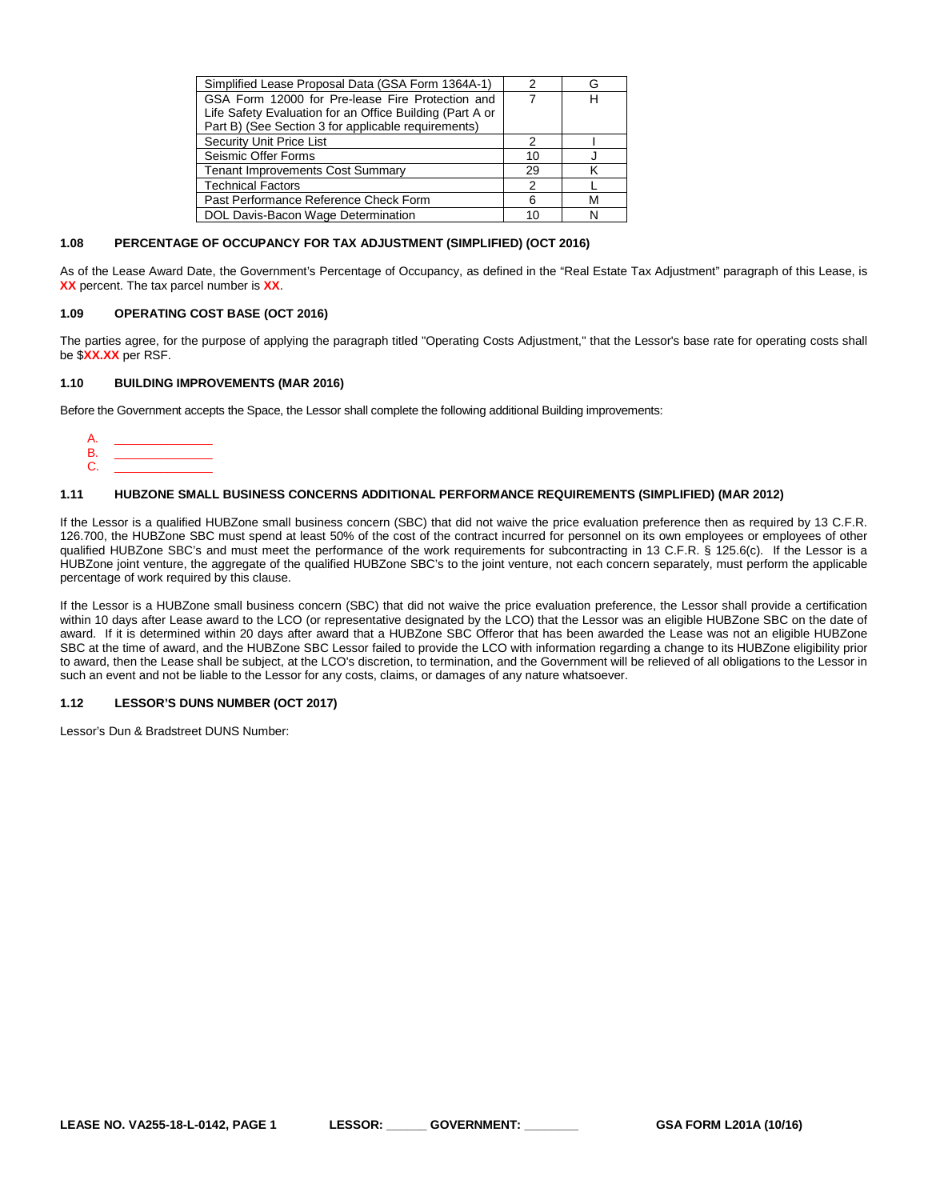| Simplified Lease Proposal Data (GSA Form 1364A-1)        |    |   |
|----------------------------------------------------------|----|---|
| GSA Form 12000 for Pre-lease Fire Protection and         |    | н |
| Life Safety Evaluation for an Office Building (Part A or |    |   |
| Part B) (See Section 3 for applicable requirements)      |    |   |
| <b>Security Unit Price List</b>                          |    |   |
| Seismic Offer Forms                                      | 10 |   |
| <b>Tenant Improvements Cost Summary</b>                  | 29 |   |
| <b>Technical Factors</b>                                 | 2  |   |
| Past Performance Reference Check Form                    | ิค |   |
| DOL Davis-Bacon Wage Determination                       | 10 |   |
|                                                          |    |   |

#### <span id="page-5-0"></span>**1.08 PERCENTAGE OF OCCUPANCY FOR TAX ADJUSTMENT (SIMPLIFIED) (OCT 2016)**

As of the Lease Award Date, the Government's Percentage of Occupancy, as defined in the "Real Estate Tax Adjustment" paragraph of this Lease, is **XX** percent. The tax parcel number is **XX**.

#### <span id="page-5-1"></span>**1.09 OPERATING COST BASE (OCT 2016)**

The parties agree, for the purpose of applying the paragraph titled "Operating Costs Adjustment," that the Lessor's base rate for operating costs shall be \$**XX.XX** per RSF.

#### <span id="page-5-2"></span>**1.10 BUILDING IMPROVEMENTS (MAR 2016)**

Before the Government accepts the Space, the Lessor shall complete the following additional Building improvements:

A. \_\_\_\_\_\_\_\_\_\_\_\_\_\_\_ B. \_\_\_\_\_\_\_\_\_\_\_\_\_\_\_ C. \_\_\_\_\_\_\_\_\_\_\_\_\_\_\_

#### <span id="page-5-3"></span>**1.11 HUBZONE SMALL BUSINESS CONCERNS ADDITIONAL PERFORMANCE REQUIREMENTS (SIMPLIFIED) (MAR 2012)**

If the Lessor is a qualified HUBZone small business concern (SBC) that did not waive the price evaluation preference then as required by 13 C.F.R. 126.700, the HUBZone SBC must spend at least 50% of the cost of the contract incurred for personnel on its own employees or employees of other qualified HUBZone SBC's and must meet the performance of the work requirements for subcontracting in 13 C.F.R. § 125.6(c). If the Lessor is a HUBZone joint venture, the aggregate of the qualified HUBZone SBC's to the joint venture, not each concern separately, must perform the applicable percentage of work required by this clause.

If the Lessor is a HUBZone small business concern (SBC) that did not waive the price evaluation preference, the Lessor shall provide a certification within 10 days after Lease award to the LCO (or representative designated by the LCO) that the Lessor was an eligible HUBZone SBC on the date of award. If it is determined within 20 days after award that a HUBZone SBC Offeror that has been awarded the Lease was not an eligible HUBZone SBC at the time of award, and the HUBZone SBC Lessor failed to provide the LCO with information regarding a change to its HUBZone eligibility prior to award, then the Lease shall be subject, at the LCO's discretion, to termination, and the Government will be relieved of all obligations to the Lessor in such an event and not be liable to the Lessor for any costs, claims, or damages of any nature whatsoever.

#### <span id="page-5-4"></span>**1.12 LESSOR'S DUNS NUMBER (OCT 2017)**

Lessor's Dun & Bradstreet DUNS Number: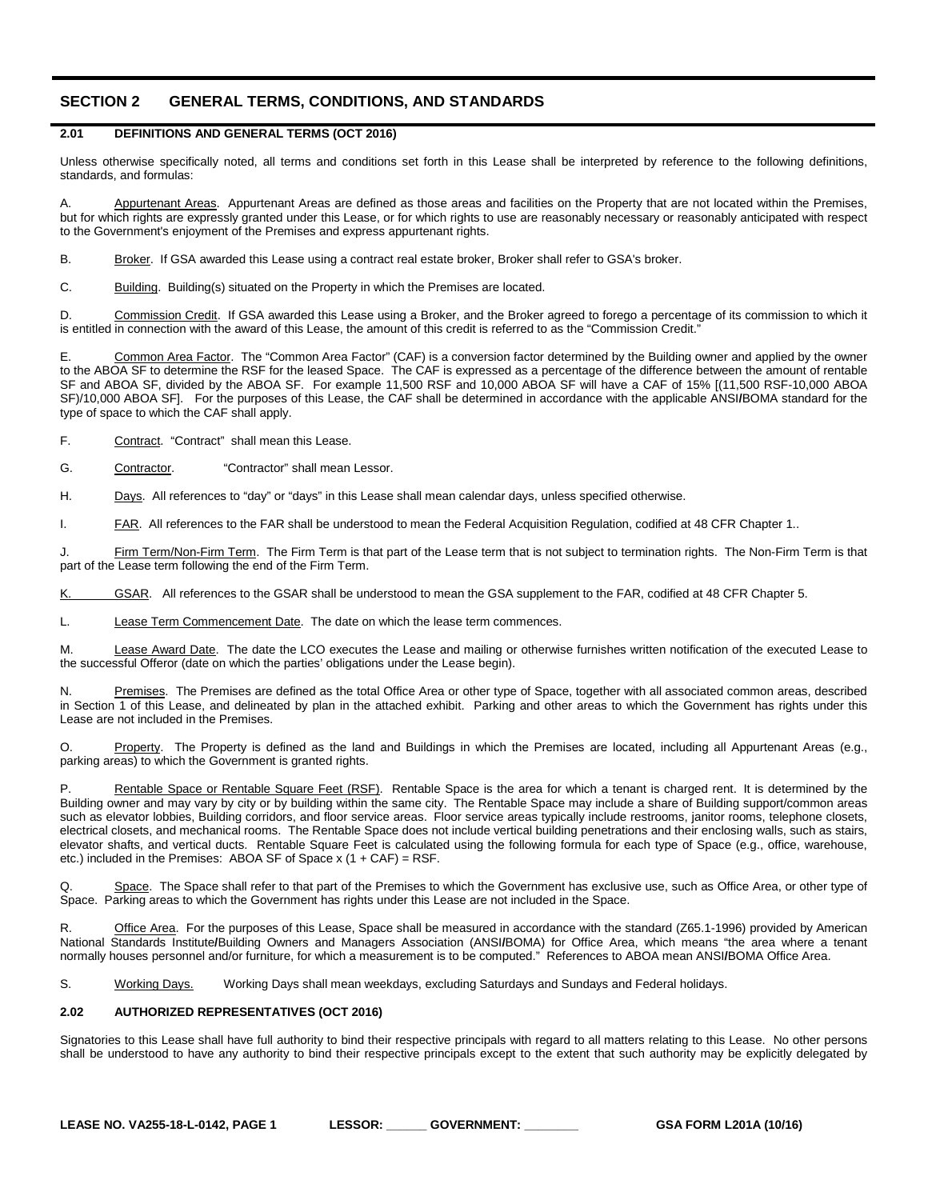# <span id="page-6-0"></span>**SECTION 2 GENERAL TERMS, CONDITIONS, AND STANDARDS**

# <span id="page-6-1"></span>**2.01 DEFINITIONS AND GENERAL TERMS (OCT 2016)**

Unless otherwise specifically noted, all terms and conditions set forth in this Lease shall be interpreted by reference to the following definitions, standards, and formulas:

A. Appurtenant Areas. Appurtenant Areas are defined as those areas and facilities on the Property that are not located within the Premises, but for which rights are expressly granted under this Lease, or for which rights to use are reasonably necessary or reasonably anticipated with respect to the Government's enjoyment of the Premises and express appurtenant rights.

B. Broker. If GSA awarded this Lease using a contract real estate broker, Broker shall refer to GSA's broker.

C. Building. Building(s) situated on the Property in which the Premises are located.

D. Commission Credit. If GSA awarded this Lease using a Broker, and the Broker agreed to forego a percentage of its commission to which it is entitled in connection with the award of this Lease, the amount of this credit is referred to as the "Commission Credit."

E. Common Area Factor. The "Common Area Factor" (CAF) is a conversion factor determined by the Building owner and applied by the owner to the ABOA SF to determine the RSF for the leased Space. The CAF is expressed as a percentage of the difference between the amount of rentable SF and ABOA SF, divided by the ABOA SF. For example 11,500 RSF and 10,000 ABOA SF will have a CAF of 15% [(11,500 RSF-10,000 ABOA SF)/10,000 ABOA SF]. For the purposes of this Lease, the CAF shall be determined in accordance with the applicable ANSI**/**BOMA standard for the type of space to which the CAF shall apply.

F. Contract. "Contract" shall mean this Lease.

G. Contractor. "Contractor" shall mean Lessor.

H. Days. All references to "day" or "days" in this Lease shall mean calendar days, unless specified otherwise.

I. FAR. All references to the FAR shall be understood to mean the Federal Acquisition Regulation, codified at 48 CFR Chapter 1..

J. Firm Term/Non-Firm Term. The Firm Term is that part of the Lease term that is not subject to termination rights. The Non-Firm Term is that part of the Lease term following the end of the Firm Term.

K. GSAR. All references to the GSAR shall be understood to mean the GSA supplement to the FAR, codified at 48 CFR Chapter 5.

L. Lease Term Commencement Date. The date on which the lease term commences.

M. Lease Award Date. The date the LCO executes the Lease and mailing or otherwise furnishes written notification of the executed Lease to the successful Offeror (date on which the parties' obligations under the Lease begin).

Premises. The Premises are defined as the total Office Area or other type of Space, together with all associated common areas, described in Section 1 of this Lease, and delineated by plan in the attached exhibit. Parking and other areas to which the Government has rights under this Lease are not included in the Premises.

O. Property. The Property is defined as the land and Buildings in which the Premises are located, including all Appurtenant Areas (e.g., parking areas) to which the Government is granted rights.

Rentable Space or Rentable Square Feet (RSF). Rentable Space is the area for which a tenant is charged rent. It is determined by the Building owner and may vary by city or by building within the same city. The Rentable Space may include a share of Building support/common areas such as elevator lobbies, Building corridors, and floor service areas. Floor service areas typically include restrooms, janitor rooms, telephone closets, electrical closets, and mechanical rooms. The Rentable Space does not include vertical building penetrations and their enclosing walls, such as stairs, elevator shafts, and vertical ducts. Rentable Square Feet is calculated using the following formula for each type of Space (e.g., office, warehouse, etc.) included in the Premises: ABOA SF of Space  $x$  (1 + CAF) = RSF.

Q. Space. The Space shall refer to that part of the Premises to which the Government has exclusive use, such as Office Area, or other type of Space. Parking areas to which the Government has rights under this Lease are not included in the Space.

Office Area. For the purposes of this Lease, Space shall be measured in accordance with the standard (Z65.1-1996) provided by American National Standards Institute**/**Building Owners and Managers Association (ANSI**/**BOMA) for Office Area, which means "the area where a tenant normally houses personnel and/or furniture, for which a measurement is to be computed." References to ABOA mean ANSI**/**BOMA Office Area.

S. Working Days. Working Days shall mean weekdays, excluding Saturdays and Sundays and Federal holidays.

# <span id="page-6-2"></span>**2.02 AUTHORIZED REPRESENTATIVES (OCT 2016)**

Signatories to this Lease shall have full authority to bind their respective principals with regard to all matters relating to this Lease. No other persons shall be understood to have any authority to bind their respective principals except to the extent that such authority may be explicitly delegated by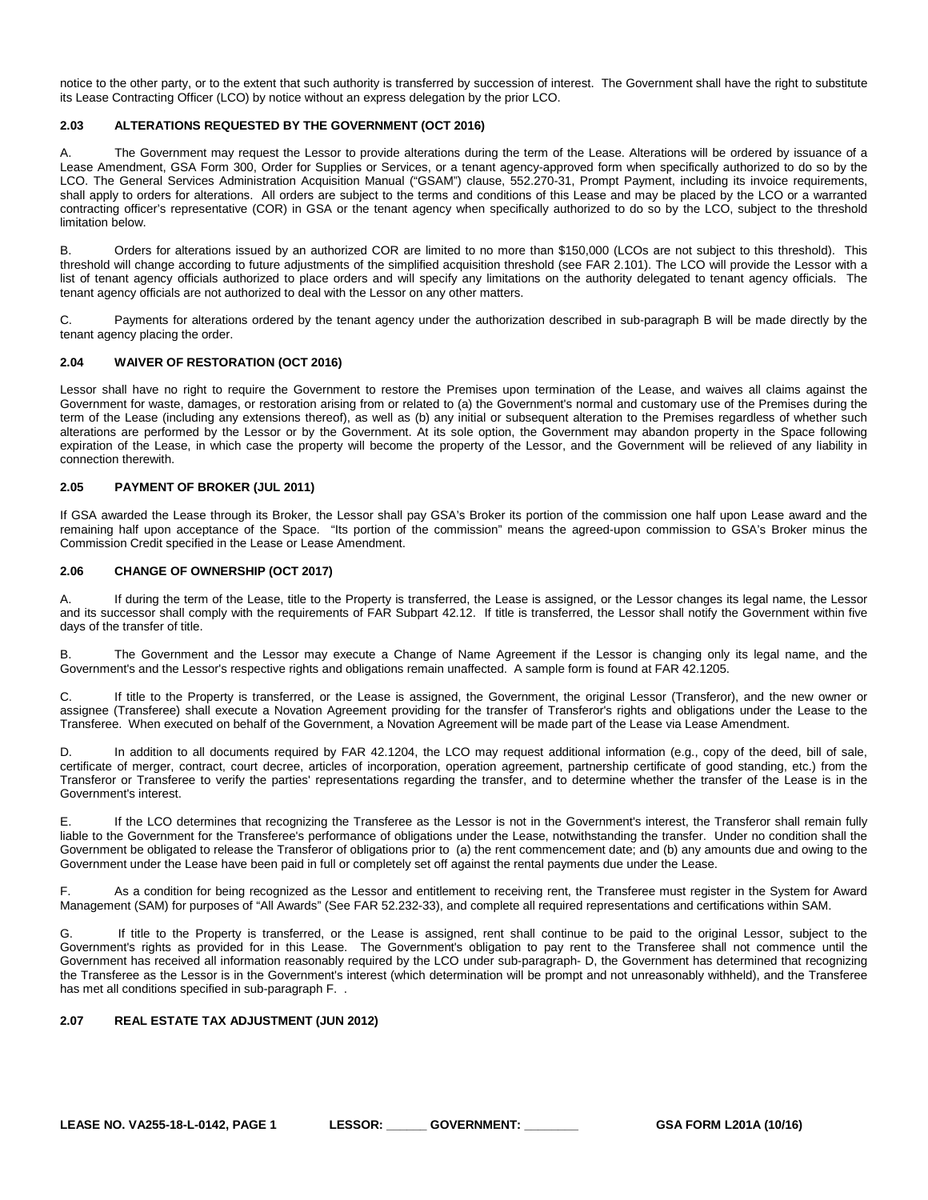notice to the other party, or to the extent that such authority is transferred by succession of interest. The Government shall have the right to substitute its Lease Contracting Officer (LCO) by notice without an express delegation by the prior LCO.

# <span id="page-7-0"></span>**2.03 ALTERATIONS REQUESTED BY THE GOVERNMENT (OCT 2016)**

A. The Government may request the Lessor to provide alterations during the term of the Lease. Alterations will be ordered by issuance of a Lease Amendment, GSA Form 300, Order for Supplies or Services, or a tenant agency-approved form when specifically authorized to do so by the LCO. The General Services Administration Acquisition Manual ("GSAM") clause, 552.270-31, Prompt Payment, including its invoice requirements, shall apply to orders for alterations. All orders are subject to the terms and conditions of this Lease and may be placed by the LCO or a warranted contracting officer's representative (COR) in GSA or the tenant agency when specifically authorized to do so by the LCO, subject to the threshold limitation below.

B. Orders for alterations issued by an authorized COR are limited to no more than \$150,000 (LCOs are not subject to this threshold). This threshold will change according to future adjustments of the simplified acquisition threshold (see FAR 2.101). The LCO will provide the Lessor with a list of tenant agency officials authorized to place orders and will specify any limitations on the authority delegated to tenant agency officials. The tenant agency officials are not authorized to deal with the Lessor on any other matters.

C. Payments for alterations ordered by the tenant agency under the authorization described in sub-paragraph B will be made directly by the tenant agency placing the order.

# <span id="page-7-1"></span>**2.04 WAIVER OF RESTORATION (OCT 2016)**

Lessor shall have no right to require the Government to restore the Premises upon termination of the Lease, and waives all claims against the Government for waste, damages, or restoration arising from or related to (a) the Government's normal and customary use of the Premises during the term of the Lease (including any extensions thereof), as well as (b) any initial or subsequent alteration to the Premises regardless of whether such alterations are performed by the Lessor or by the Government. At its sole option, the Government may abandon property in the Space following expiration of the Lease, in which case the property will become the property of the Lessor, and the Government will be relieved of any liability in connection therewith.

# <span id="page-7-2"></span>**2.05 PAYMENT OF BROKER (JUL 2011)**

If GSA awarded the Lease through its Broker, the Lessor shall pay GSA's Broker its portion of the commission one half upon Lease award and the remaining half upon acceptance of the Space. "Its portion of the commission" means the agreed-upon commission to GSA's Broker minus the Commission Credit specified in the Lease or Lease Amendment.

# <span id="page-7-3"></span>**2.06 CHANGE OF OWNERSHIP (OCT 2017)**

A. If during the term of the Lease, title to the Property is transferred, the Lease is assigned, or the Lessor changes its legal name, the Lessor and its successor shall comply with the requirements of FAR Subpart 42.12. If title is transferred, the Lessor shall notify the Government within five days of the transfer of title.

B. The Government and the Lessor may execute a Change of Name Agreement if the Lessor is changing only its legal name, and the Government's and the Lessor's respective rights and obligations remain unaffected. A sample form is found at FAR 42.1205.

C. If title to the Property is transferred, or the Lease is assigned, the Government, the original Lessor (Transferor), and the new owner or assignee (Transferee) shall execute a Novation Agreement providing for the transfer of Transferor's rights and obligations under the Lease to the Transferee. When executed on behalf of the Government, a Novation Agreement will be made part of the Lease via Lease Amendment.

D. In addition to all documents required by FAR 42.1204, the LCO may request additional information (e.g., copy of the deed, bill of sale, certificate of merger, contract, court decree, articles of incorporation, operation agreement, partnership certificate of good standing, etc.) from the Transferor or Transferee to verify the parties' representations regarding the transfer, and to determine whether the transfer of the Lease is in the Government's interest.

E. If the LCO determines that recognizing the Transferee as the Lessor is not in the Government's interest, the Transferor shall remain fully liable to the Government for the Transferee's performance of obligations under the Lease, notwithstanding the transfer. Under no condition shall the Government be obligated to release the Transferor of obligations prior to (a) the rent commencement date; and (b) any amounts due and owing to the Government under the Lease have been paid in full or completely set off against the rental payments due under the Lease.

F. As a condition for being recognized as the Lessor and entitlement to receiving rent, the Transferee must register in the System for Award Management (SAM) for purposes of "All Awards" (See FAR 52.232-33), and complete all required representations and certifications within SAM.

G. If title to the Property is transferred, or the Lease is assigned, rent shall continue to be paid to the original Lessor, subject to the Government's rights as provided for in this Lease. The Government's obligation to pay rent to the Transferee shall not commence until the Government has received all information reasonably required by the LCO under sub-paragraph- D, the Government has determined that recognizing the Transferee as the Lessor is in the Government's interest (which determination will be prompt and not unreasonably withheld), and the Transferee has met all conditions specified in sub-paragraph F. .

# <span id="page-7-4"></span>**2.07 REAL ESTATE TAX ADJUSTMENT (JUN 2012)**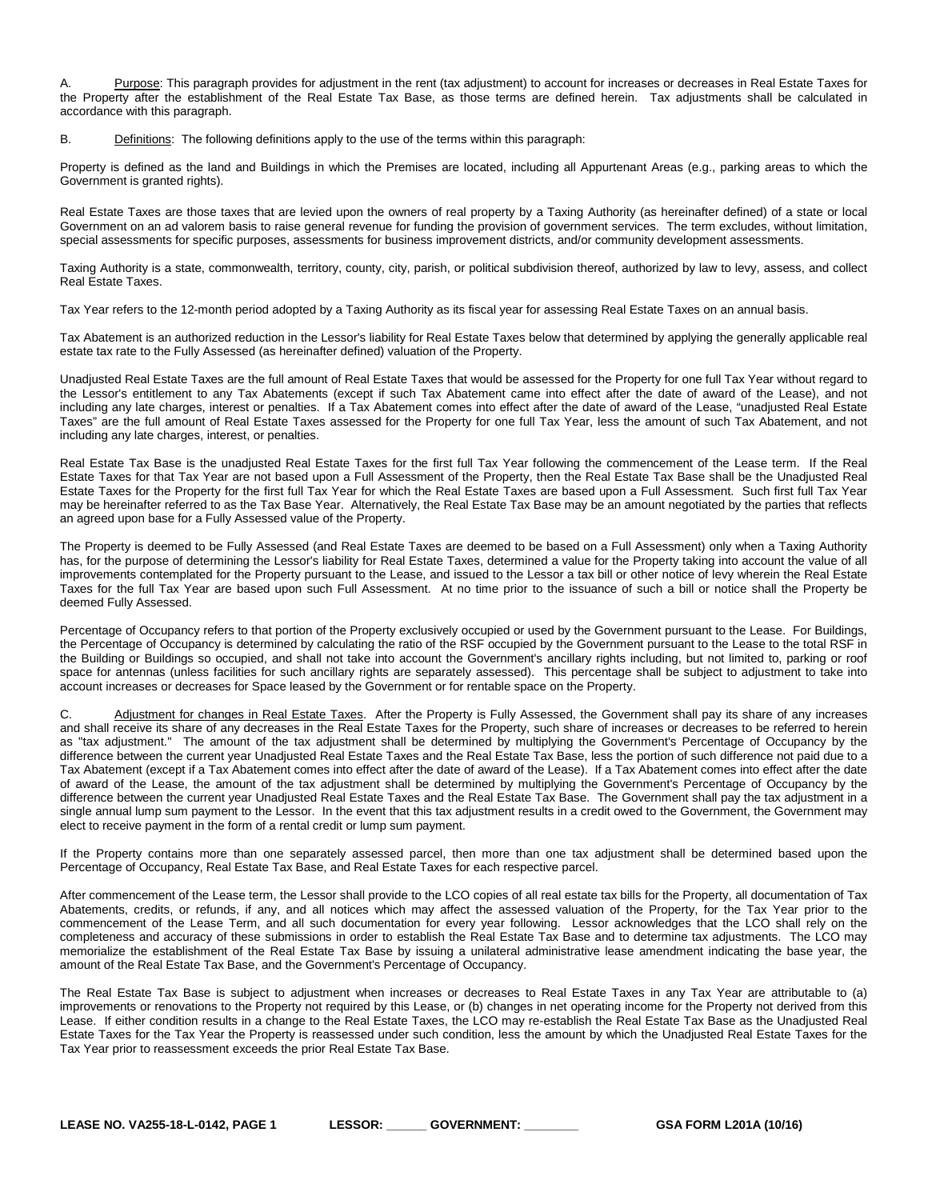Purpose: This paragraph provides for adjustment in the rent (tax adjustment) to account for increases or decreases in Real Estate Taxes for the Property after the establishment of the Real Estate Tax Base, as those terms are defined herein. Tax adjustments shall be calculated in accordance with this paragraph.

B. Definitions: The following definitions apply to the use of the terms within this paragraph:

Property is defined as the land and Buildings in which the Premises are located, including all Appurtenant Areas (e.g., parking areas to which the Government is granted rights).

Real Estate Taxes are those taxes that are levied upon the owners of real property by a Taxing Authority (as hereinafter defined) of a state or local Government on an ad valorem basis to raise general revenue for funding the provision of government services. The term excludes, without limitation, special assessments for specific purposes, assessments for business improvement districts, and/or community development assessments.

Taxing Authority is a state, commonwealth, territory, county, city, parish, or political subdivision thereof, authorized by law to levy, assess, and collect Real Estate Taxes.

Tax Year refers to the 12-month period adopted by a Taxing Authority as its fiscal year for assessing Real Estate Taxes on an annual basis.

Tax Abatement is an authorized reduction in the Lessor's liability for Real Estate Taxes below that determined by applying the generally applicable real estate tax rate to the Fully Assessed (as hereinafter defined) valuation of the Property.

Unadjusted Real Estate Taxes are the full amount of Real Estate Taxes that would be assessed for the Property for one full Tax Year without regard to the Lessor's entitlement to any Tax Abatements (except if such Tax Abatement came into effect after the date of award of the Lease), and not including any late charges, interest or penalties. If a Tax Abatement comes into effect after the date of award of the Lease, "unadjusted Real Estate Taxes" are the full amount of Real Estate Taxes assessed for the Property for one full Tax Year, less the amount of such Tax Abatement, and not including any late charges, interest, or penalties.

Real Estate Tax Base is the unadjusted Real Estate Taxes for the first full Tax Year following the commencement of the Lease term. If the Real Estate Taxes for that Tax Year are not based upon a Full Assessment of the Property, then the Real Estate Tax Base shall be the Unadjusted Real Estate Taxes for the Property for the first full Tax Year for which the Real Estate Taxes are based upon a Full Assessment. Such first full Tax Year may be hereinafter referred to as the Tax Base Year. Alternatively, the Real Estate Tax Base may be an amount negotiated by the parties that reflects an agreed upon base for a Fully Assessed value of the Property.

The Property is deemed to be Fully Assessed (and Real Estate Taxes are deemed to be based on a Full Assessment) only when a Taxing Authority has, for the purpose of determining the Lessor's liability for Real Estate Taxes, determined a value for the Property taking into account the value of all improvements contemplated for the Property pursuant to the Lease, and issued to the Lessor a tax bill or other notice of levy wherein the Real Estate Taxes for the full Tax Year are based upon such Full Assessment. At no time prior to the issuance of such a bill or notice shall the Property be deemed Fully Assessed.

Percentage of Occupancy refers to that portion of the Property exclusively occupied or used by the Government pursuant to the Lease. For Buildings, the Percentage of Occupancy is determined by calculating the ratio of the RSF occupied by the Government pursuant to the Lease to the total RSF in the Building or Buildings so occupied, and shall not take into account the Government's ancillary rights including, but not limited to, parking or roof space for antennas (unless facilities for such ancillary rights are separately assessed). This percentage shall be subject to adjustment to take into account increases or decreases for Space leased by the Government or for rentable space on the Property.

C. Adjustment for changes in Real Estate Taxes. After the Property is Fully Assessed, the Government shall pay its share of any increases and shall receive its share of any decreases in the Real Estate Taxes for the Property, such share of increases or decreases to be referred to herein as "tax adjustment." The amount of the tax adjustment shall be determined by multiplying the Government's Percentage of Occupancy by the difference between the current year Unadjusted Real Estate Taxes and the Real Estate Tax Base, less the portion of such difference not paid due to a Tax Abatement (except if a Tax Abatement comes into effect after the date of award of the Lease). If a Tax Abatement comes into effect after the date of award of the Lease, the amount of the tax adjustment shall be determined by multiplying the Government's Percentage of Occupancy by the difference between the current year Unadjusted Real Estate Taxes and the Real Estate Tax Base. The Government shall pay the tax adjustment in a single annual lump sum payment to the Lessor. In the event that this tax adjustment results in a credit owed to the Government, the Government may elect to receive payment in the form of a rental credit or lump sum payment.

If the Property contains more than one separately assessed parcel, then more than one tax adjustment shall be determined based upon the Percentage of Occupancy, Real Estate Tax Base, and Real Estate Taxes for each respective parcel.

After commencement of the Lease term, the Lessor shall provide to the LCO copies of all real estate tax bills for the Property, all documentation of Tax Abatements, credits, or refunds, if any, and all notices which may affect the assessed valuation of the Property, for the Tax Year prior to the commencement of the Lease Term, and all such documentation for every year following. Lessor acknowledges that the LCO shall rely on the completeness and accuracy of these submissions in order to establish the Real Estate Tax Base and to determine tax adjustments. The LCO may memorialize the establishment of the Real Estate Tax Base by issuing a unilateral administrative lease amendment indicating the base year, the amount of the Real Estate Tax Base, and the Government's Percentage of Occupancy.

The Real Estate Tax Base is subject to adjustment when increases or decreases to Real Estate Taxes in any Tax Year are attributable to (a) improvements or renovations to the Property not required by this Lease, or (b) changes in net operating income for the Property not derived from this Lease. If either condition results in a change to the Real Estate Taxes, the LCO may re-establish the Real Estate Tax Base as the Unadjusted Real Estate Taxes for the Tax Year the Property is reassessed under such condition, less the amount by which the Unadjusted Real Estate Taxes for the Tax Year prior to reassessment exceeds the prior Real Estate Tax Base.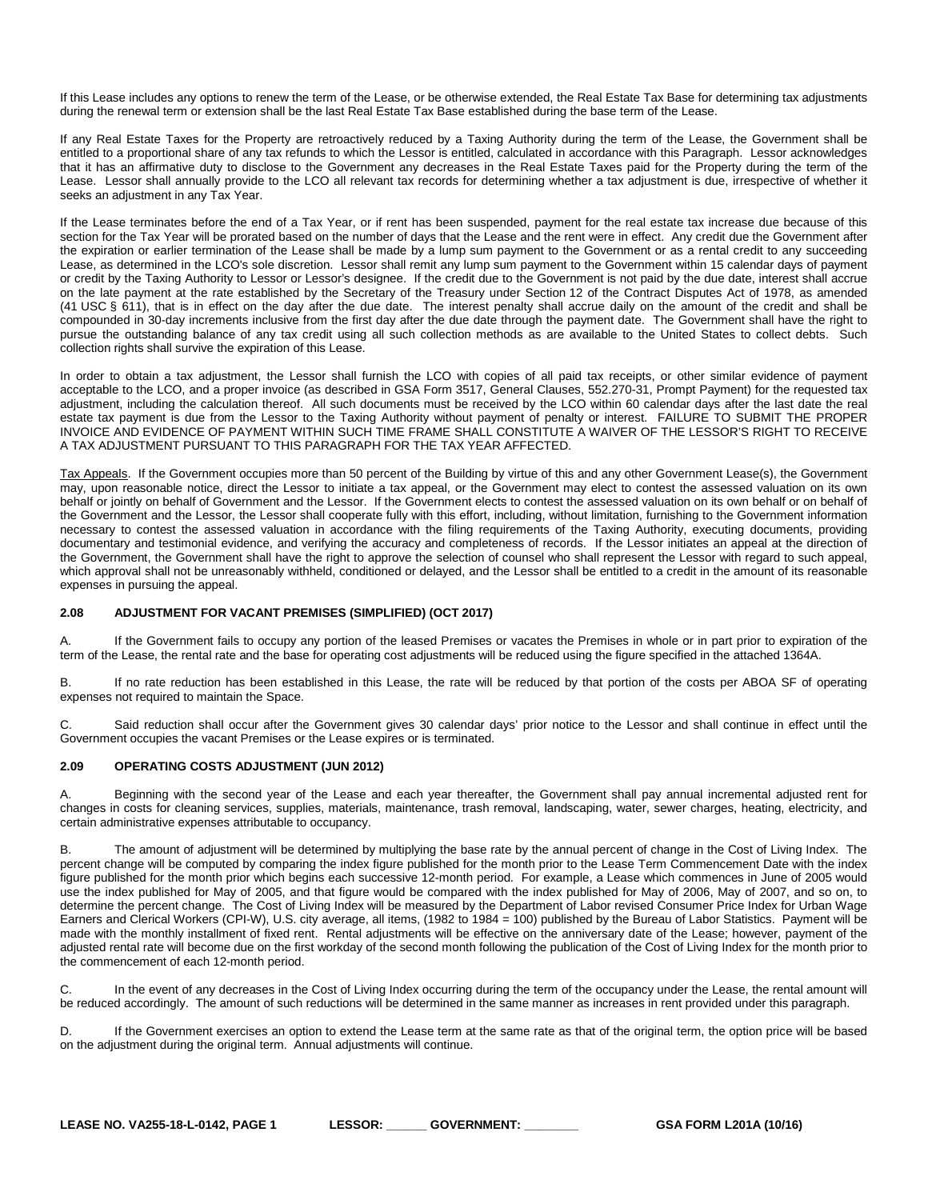If this Lease includes any options to renew the term of the Lease, or be otherwise extended, the Real Estate Tax Base for determining tax adjustments during the renewal term or extension shall be the last Real Estate Tax Base established during the base term of the Lease.

If any Real Estate Taxes for the Property are retroactively reduced by a Taxing Authority during the term of the Lease, the Government shall be entitled to a proportional share of any tax refunds to which the Lessor is entitled, calculated in accordance with this Paragraph. Lessor acknowledges that it has an affirmative duty to disclose to the Government any decreases in the Real Estate Taxes paid for the Property during the term of the Lease. Lessor shall annually provide to the LCO all relevant tax records for determining whether a tax adjustment is due, irrespective of whether it seeks an adjustment in any Tax Year.

If the Lease terminates before the end of a Tax Year, or if rent has been suspended, payment for the real estate tax increase due because of this section for the Tax Year will be prorated based on the number of days that the Lease and the rent were in effect. Any credit due the Government after the expiration or earlier termination of the Lease shall be made by a lump sum payment to the Government or as a rental credit to any succeeding Lease, as determined in the LCO's sole discretion. Lessor shall remit any lump sum payment to the Government within 15 calendar days of payment or credit by the Taxing Authority to Lessor or Lessor's designee. If the credit due to the Government is not paid by the due date, interest shall accrue on the late payment at the rate established by the Secretary of the Treasury under Section 12 of the Contract Disputes Act of 1978, as amended (41 USC § 611), that is in effect on the day after the due date. The interest penalty shall accrue daily on the amount of the credit and shall be compounded in 30-day increments inclusive from the first day after the due date through the payment date. The Government shall have the right to pursue the outstanding balance of any tax credit using all such collection methods as are available to the United States to collect debts. Such collection rights shall survive the expiration of this Lease.

In order to obtain a tax adjustment, the Lessor shall furnish the LCO with copies of all paid tax receipts, or other similar evidence of payment acceptable to the LCO, and a proper invoice (as described in GSA Form 3517, General Clauses, 552.270-31, Prompt Payment) for the requested tax adjustment, including the calculation thereof. All such documents must be received by the LCO within 60 calendar days after the last date the real estate tax payment is due from the Lessor to the Taxing Authority without payment of penalty or interest. FAILURE TO SUBMIT THE PROPER INVOICE AND EVIDENCE OF PAYMENT WITHIN SUCH TIME FRAME SHALL CONSTITUTE A WAIVER OF THE LESSOR'S RIGHT TO RECEIVE A TAX ADJUSTMENT PURSUANT TO THIS PARAGRAPH FOR THE TAX YEAR AFFECTED.

Tax Appeals. If the Government occupies more than 50 percent of the Building by virtue of this and any other Government Lease(s), the Government may, upon reasonable notice, direct the Lessor to initiate a tax appeal, or the Government may elect to contest the assessed valuation on its own behalf or jointly on behalf of Government and the Lessor. If the Government elects to contest the assessed valuation on its own behalf or on behalf of the Government and the Lessor, the Lessor shall cooperate fully with this effort, including, without limitation, furnishing to the Government information necessary to contest the assessed valuation in accordance with the filing requirements of the Taxing Authority, executing documents, providing documentary and testimonial evidence, and verifying the accuracy and completeness of records. If the Lessor initiates an appeal at the direction of the Government, the Government shall have the right to approve the selection of counsel who shall represent the Lessor with regard to such appeal, which approval shall not be unreasonably withheld, conditioned or delayed, and the Lessor shall be entitled to a credit in the amount of its reasonable expenses in pursuing the appeal.

# <span id="page-9-0"></span>**2.08 ADJUSTMENT FOR VACANT PREMISES (SIMPLIFIED) (OCT 2017)**

A. If the Government fails to occupy any portion of the leased Premises or vacates the Premises in whole or in part prior to expiration of the term of the Lease, the rental rate and the base for operating cost adjustments will be reduced using the figure specified in the attached 1364A.

B. If no rate reduction has been established in this Lease, the rate will be reduced by that portion of the costs per ABOA SF of operating expenses not required to maintain the Space.

C. Said reduction shall occur after the Government gives 30 calendar days' prior notice to the Lessor and shall continue in effect until the Government occupies the vacant Premises or the Lease expires or is terminated.

# <span id="page-9-1"></span>**2.09 OPERATING COSTS ADJUSTMENT (JUN 2012)**

A. Beginning with the second year of the Lease and each year thereafter, the Government shall pay annual incremental adjusted rent for changes in costs for cleaning services, supplies, materials, maintenance, trash removal, landscaping, water, sewer charges, heating, electricity, and certain administrative expenses attributable to occupancy.

B. The amount of adjustment will be determined by multiplying the base rate by the annual percent of change in the Cost of Living Index. The percent change will be computed by comparing the index figure published for the month prior to the Lease Term Commencement Date with the index figure published for the month prior which begins each successive 12-month period. For example, a Lease which commences in June of 2005 would use the index published for May of 2005, and that figure would be compared with the index published for May of 2006, May of 2007, and so on, to determine the percent change. The Cost of Living Index will be measured by the Department of Labor revised Consumer Price Index for Urban Wage Earners and Clerical Workers (CPI-W), U.S. city average, all items, (1982 to 1984 = 100) published by the Bureau of Labor Statistics. Payment will be made with the monthly installment of fixed rent. Rental adjustments will be effective on the anniversary date of the Lease; however, payment of the adjusted rental rate will become due on the first workday of the second month following the publication of the Cost of Living Index for the month prior to the commencement of each 12-month period.

C. In the event of any decreases in the Cost of Living Index occurring during the term of the occupancy under the Lease, the rental amount will be reduced accordingly. The amount of such reductions will be determined in the same manner as increases in rent provided under this paragraph.

D. If the Government exercises an option to extend the Lease term at the same rate as that of the original term, the option price will be based on the adjustment during the original term. Annual adjustments will continue.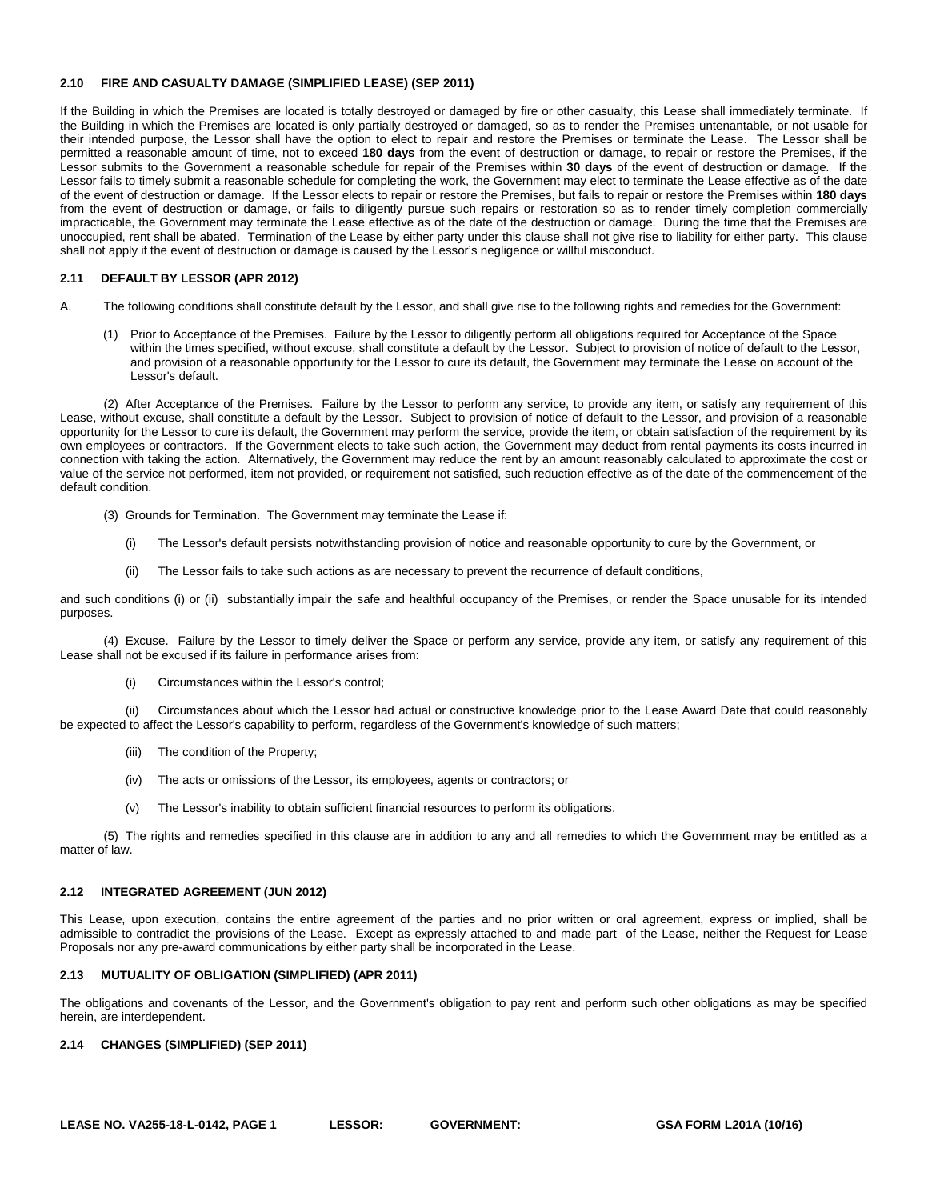#### <span id="page-10-0"></span>**2.10 FIRE AND CASUALTY DAMAGE (SIMPLIFIED LEASE) (SEP 2011)**

If the Building in which the Premises are located is totally destroyed or damaged by fire or other casualty, this Lease shall immediately terminate. If the Building in which the Premises are located is only partially destroyed or damaged, so as to render the Premises untenantable, or not usable for their intended purpose, the Lessor shall have the option to elect to repair and restore the Premises or terminate the Lease. The Lessor shall be permitted a reasonable amount of time, not to exceed **180 days** from the event of destruction or damage, to repair or restore the Premises, if the Lessor submits to the Government a reasonable schedule for repair of the Premises within **30 days** of the event of destruction or damage. If the Lessor fails to timely submit a reasonable schedule for completing the work, the Government may elect to terminate the Lease effective as of the date of the event of destruction or damage. If the Lessor elects to repair or restore the Premises, but fails to repair or restore the Premises within **180 days** from the event of destruction or damage, or fails to diligently pursue such repairs or restoration so as to render timely completion commercially impracticable, the Government may terminate the Lease effective as of the date of the destruction or damage. During the time that the Premises are unoccupied, rent shall be abated. Termination of the Lease by either party under this clause shall not give rise to liability for either party. This clause shall not apply if the event of destruction or damage is caused by the Lessor's negligence or willful misconduct.

#### <span id="page-10-1"></span>**2.11 DEFAULT BY LESSOR (APR 2012)**

A. The following conditions shall constitute default by the Lessor, and shall give rise to the following rights and remedies for the Government:

(1) Prior to Acceptance of the Premises. Failure by the Lessor to diligently perform all obligations required for Acceptance of the Space within the times specified, without excuse, shall constitute a default by the Lessor. Subject to provision of notice of default to the Lessor, and provision of a reasonable opportunity for the Lessor to cure its default, the Government may terminate the Lease on account of the Lessor's default.

(2) After Acceptance of the Premises. Failure by the Lessor to perform any service, to provide any item, or satisfy any requirement of this Lease, without excuse, shall constitute a default by the Lessor. Subject to provision of notice of default to the Lessor, and provision of a reasonable opportunity for the Lessor to cure its default, the Government may perform the service, provide the item, or obtain satisfaction of the requirement by its own employees or contractors. If the Government elects to take such action, the Government may deduct from rental payments its costs incurred in connection with taking the action. Alternatively, the Government may reduce the rent by an amount reasonably calculated to approximate the cost or value of the service not performed, item not provided, or requirement not satisfied, such reduction effective as of the date of the commencement of the default condition.

- (3) Grounds for Termination. The Government may terminate the Lease if:
	- (i) The Lessor's default persists notwithstanding provision of notice and reasonable opportunity to cure by the Government, or
	- (ii) The Lessor fails to take such actions as are necessary to prevent the recurrence of default conditions,

and such conditions (i) or (ii) substantially impair the safe and healthful occupancy of the Premises, or render the Space unusable for its intended purposes.

(4) Excuse. Failure by the Lessor to timely deliver the Space or perform any service, provide any item, or satisfy any requirement of this Lease shall not be excused if its failure in performance arises from:

(i) Circumstances within the Lessor's control;

(ii) Circumstances about which the Lessor had actual or constructive knowledge prior to the Lease Award Date that could reasonably be expected to affect the Lessor's capability to perform, regardless of the Government's knowledge of such matters;

- (iii) The condition of the Property;
- (iv) The acts or omissions of the Lessor, its employees, agents or contractors; or
- (v) The Lessor's inability to obtain sufficient financial resources to perform its obligations.

(5) The rights and remedies specified in this clause are in addition to any and all remedies to which the Government may be entitled as a matter of law.

# <span id="page-10-2"></span>**2.12 INTEGRATED AGREEMENT (JUN 2012)**

This Lease, upon execution, contains the entire agreement of the parties and no prior written or oral agreement, express or implied, shall be admissible to contradict the provisions of the Lease. Except as expressly attached to and made part of the Lease, neither the Request for Lease Proposals nor any pre-award communications by either party shall be incorporated in the Lease.

#### <span id="page-10-3"></span>**2.13 MUTUALITY OF OBLIGATION (SIMPLIFIED) (APR 2011)**

The obligations and covenants of the Lessor, and the Government's obligation to pay rent and perform such other obligations as may be specified herein, are interdependent.

# <span id="page-10-4"></span>**2.14 CHANGES (SIMPLIFIED) (SEP 2011)**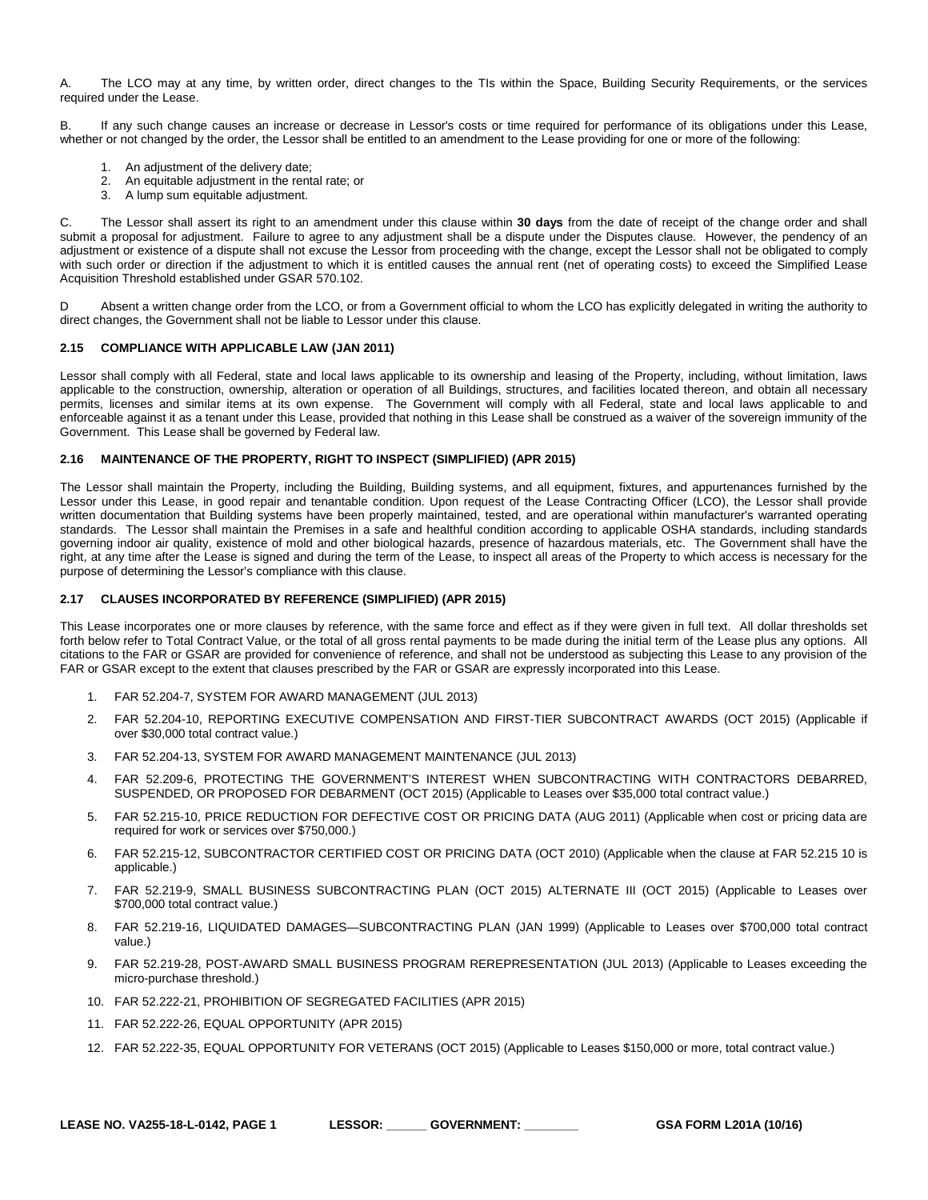A. The LCO may at any time, by written order, direct changes to the TIs within the Space, Building Security Requirements, or the services required under the Lease.

B. If any such change causes an increase or decrease in Lessor's costs or time required for performance of its obligations under this Lease, whether or not changed by the order, the Lessor shall be entitled to an amendment to the Lease providing for one or more of the following:

- 1. An adjustment of the delivery date;
- 2. An equitable adjustment in the rental rate; or
- 3. A lump sum equitable adjustment.

C. The Lessor shall assert its right to an amendment under this clause within **30 days** from the date of receipt of the change order and shall submit a proposal for adjustment. Failure to agree to any adjustment shall be a dispute under the Disputes clause. However, the pendency of an adjustment or existence of a dispute shall not excuse the Lessor from proceeding with the change, except the Lessor shall not be obligated to comply with such order or direction if the adjustment to which it is entitled causes the annual rent (net of operating costs) to exceed the Simplified Lease Acquisition Threshold established under GSAR 570.102.

D Absent a written change order from the LCO, or from a Government official to whom the LCO has explicitly delegated in writing the authority to direct changes, the Government shall not be liable to Lessor under this clause.

#### <span id="page-11-0"></span>**2.15 COMPLIANCE WITH APPLICABLE LAW (JAN 2011)**

Lessor shall comply with all Federal, state and local laws applicable to its ownership and leasing of the Property, including, without limitation, laws applicable to the construction, ownership, alteration or operation of all Buildings, structures, and facilities located thereon, and obtain all necessary permits, licenses and similar items at its own expense. The Government will comply with all Federal, state and local laws applicable to and enforceable against it as a tenant under this Lease, provided that nothing in this Lease shall be construed as a waiver of the sovereign immunity of the Government. This Lease shall be governed by Federal law.

# <span id="page-11-1"></span>**2.16 MAINTENANCE OF THE PROPERTY, RIGHT TO INSPECT (SIMPLIFIED) (APR 2015)**

The Lessor shall maintain the Property, including the Building, Building systems, and all equipment, fixtures, and appurtenances furnished by the Lessor under this Lease, in good repair and tenantable condition. Upon request of the Lease Contracting Officer (LCO), the Lessor shall provide written documentation that Building systems have been properly maintained, tested, and are operational within manufacturer's warranted operating standards. The Lessor shall maintain the Premises in a safe and healthful condition according to applicable OSHA standards, including standards governing indoor air quality, existence of mold and other biological hazards, presence of hazardous materials, etc. The Government shall have the right, at any time after the Lease is signed and during the term of the Lease, to inspect all areas of the Property to which access is necessary for the purpose of determining the Lessor's compliance with this clause.

#### <span id="page-11-2"></span>**2.17 CLAUSES INCORPORATED BY REFERENCE (SIMPLIFIED) (APR 2015)**

This Lease incorporates one or more clauses by reference, with the same force and effect as if they were given in full text. All dollar thresholds set forth below refer to Total Contract Value, or the total of all gross rental payments to be made during the initial term of the Lease plus any options. All citations to the FAR or GSAR are provided for convenience of reference, and shall not be understood as subjecting this Lease to any provision of the FAR or GSAR except to the extent that clauses prescribed by the FAR or GSAR are expressly incorporated into this Lease.

- 1. FAR 52.204-7, SYSTEM FOR AWARD MANAGEMENT (JUL 2013)
- 2. FAR 52.204-10, REPORTING EXECUTIVE COMPENSATION AND FIRST-TIER SUBCONTRACT AWARDS (OCT 2015) (Applicable if over \$30,000 total contract value.)
- 3. FAR 52.204-13, SYSTEM FOR AWARD MANAGEMENT MAINTENANCE (JUL 2013)
- 4. FAR 52.209-6, PROTECTING THE GOVERNMENT'S INTEREST WHEN SUBCONTRACTING WITH CONTRACTORS DEBARRED, SUSPENDED, OR PROPOSED FOR DEBARMENT (OCT 2015) (Applicable to Leases over \$35,000 total contract value.)
- 5. FAR 52.215-10, PRICE REDUCTION FOR DEFECTIVE COST OR PRICING DATA (AUG 2011) (Applicable when cost or pricing data are required for work or services over \$750,000.)
- 6. FAR 52.215-12, SUBCONTRACTOR CERTIFIED COST OR PRICING DATA (OCT 2010) (Applicable when the clause at FAR 52.215 10 is applicable.)
- 7. FAR 52.219-9, SMALL BUSINESS SUBCONTRACTING PLAN (OCT 2015) ALTERNATE III (OCT 2015) (Applicable to Leases over \$700,000 total contract value.)
- 8. FAR 52.219-16, LIQUIDATED DAMAGES—SUBCONTRACTING PLAN (JAN 1999) (Applicable to Leases over \$700,000 total contract value.)
- 9. FAR 52.219-28, POST-AWARD SMALL BUSINESS PROGRAM REREPRESENTATION (JUL 2013) (Applicable to Leases exceeding the micro-purchase threshold.)
- 10. FAR 52.222-21, PROHIBITION OF SEGREGATED FACILITIES (APR 2015)
- 11. FAR 52.222-26, EQUAL OPPORTUNITY (APR 2015)
- 12. FAR 52.222-35, EQUAL OPPORTUNITY FOR VETERANS (OCT 2015) (Applicable to Leases \$150,000 or more, total contract value.)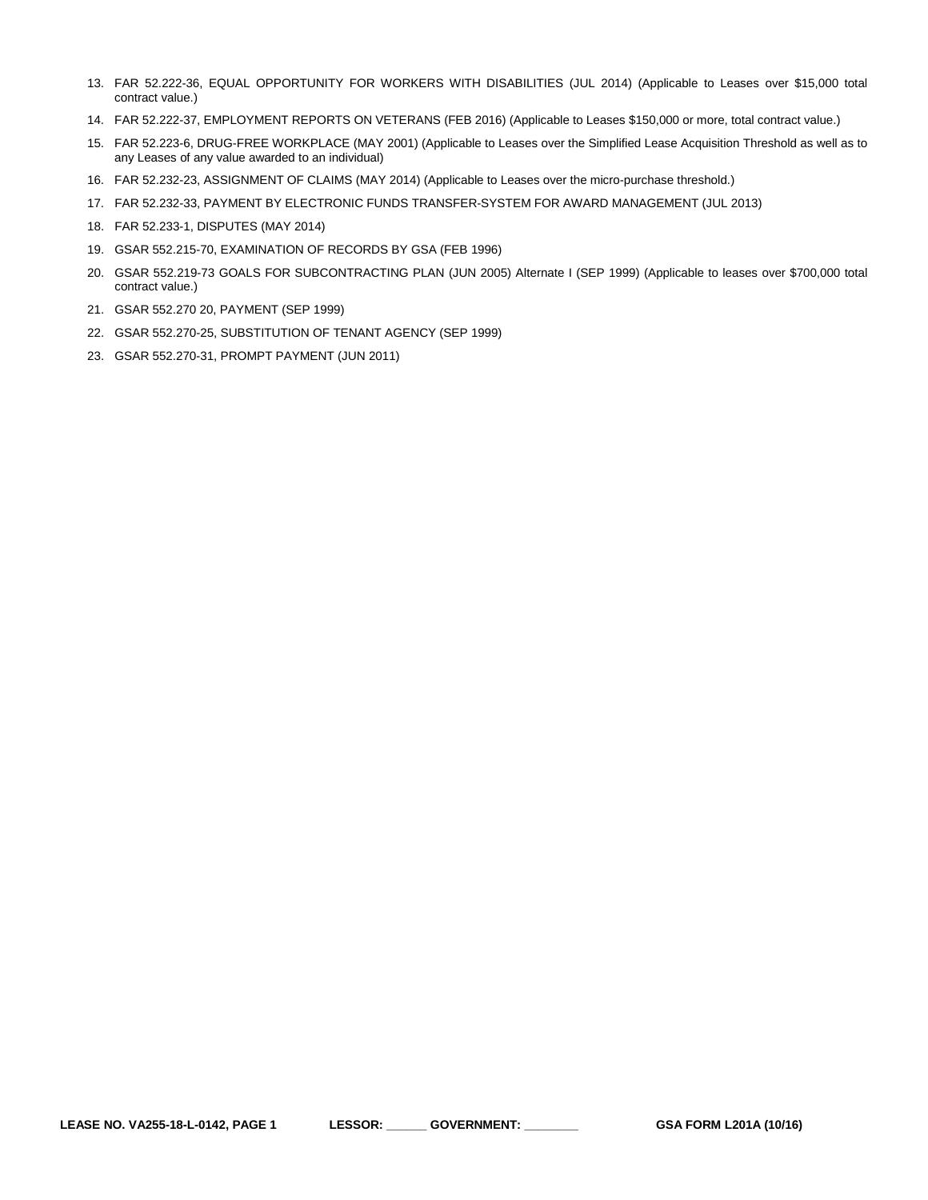- 13. FAR 52.222-36, EQUAL OPPORTUNITY FOR WORKERS WITH DISABILITIES (JUL 2014) (Applicable to Leases over \$15,000 total contract value.)
- 14. FAR 52.222-37, EMPLOYMENT REPORTS ON VETERANS (FEB 2016) (Applicable to Leases \$150,000 or more, total contract value.)
- 15. FAR 52.223-6, DRUG-FREE WORKPLACE (MAY 2001) (Applicable to Leases over the Simplified Lease Acquisition Threshold as well as to any Leases of any value awarded to an individual)
- 16. FAR 52.232-23, ASSIGNMENT OF CLAIMS (MAY 2014) (Applicable to Leases over the micro-purchase threshold.)
- 17. FAR 52.232-33, PAYMENT BY ELECTRONIC FUNDS TRANSFER-SYSTEM FOR AWARD MANAGEMENT (JUL 2013)
- 18. FAR 52.233-1, DISPUTES (MAY 2014)
- 19. GSAR 552.215-70, EXAMINATION OF RECORDS BY GSA (FEB 1996)
- 20. GSAR 552.219-73 GOALS FOR SUBCONTRACTING PLAN (JUN 2005) Alternate I (SEP 1999) (Applicable to leases over \$700,000 total contract value.)
- 21. GSAR 552.270 20, PAYMENT (SEP 1999)
- 22. GSAR 552.270-25, SUBSTITUTION OF TENANT AGENCY (SEP 1999)
- 23. GSAR 552.270-31, PROMPT PAYMENT (JUN 2011)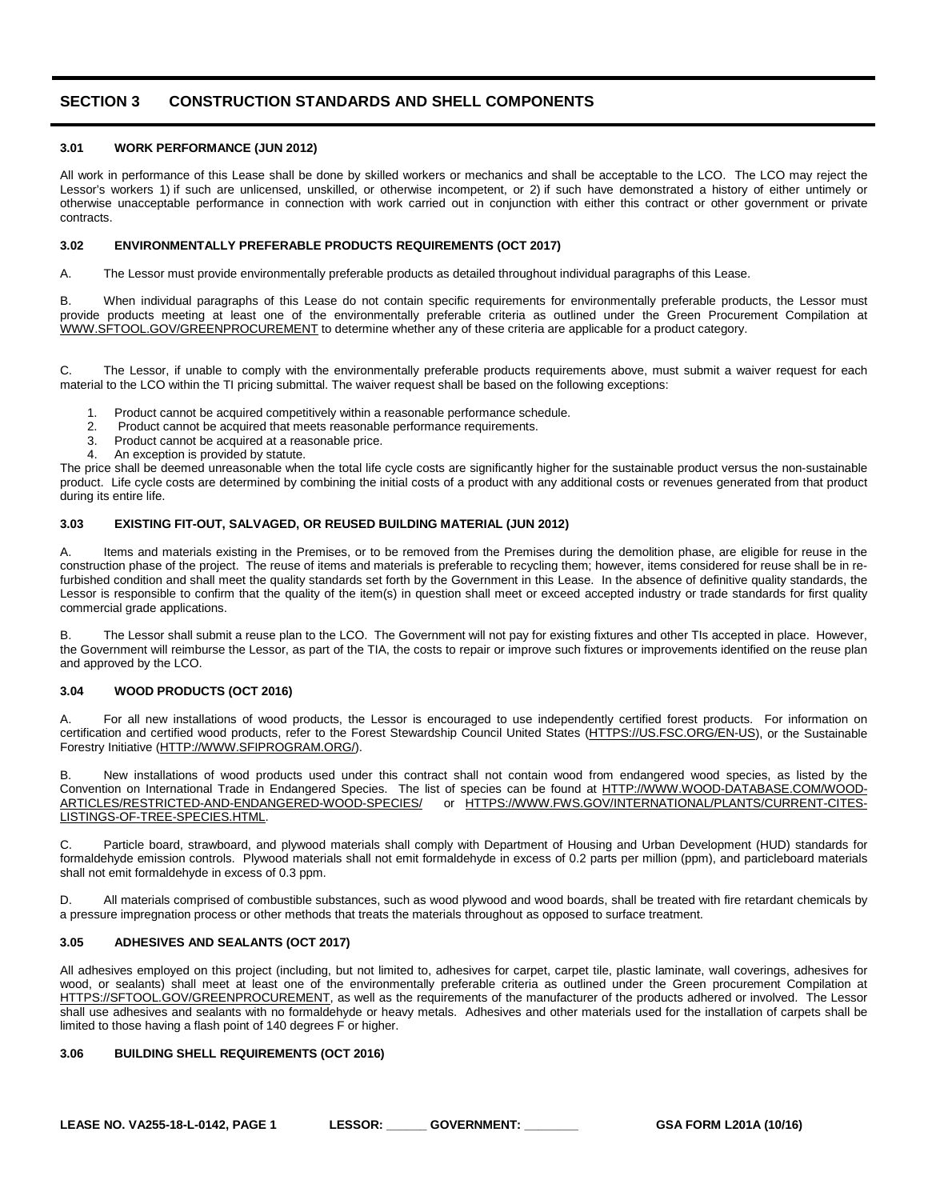# <span id="page-13-0"></span>**SECTION 3 CONSTRUCTION STANDARDS AND SHELL COMPONENTS**

# <span id="page-13-1"></span>**3.01 WORK PERFORMANCE (JUN 2012)**

All work in performance of this Lease shall be done by skilled workers or mechanics and shall be acceptable to the LCO. The LCO may reject the Lessor's workers 1) if such are unlicensed, unskilled, or otherwise incompetent, or 2) if such have demonstrated a history of either untimely or otherwise unacceptable performance in connection with work carried out in conjunction with either this contract or other government or private contracts.

# <span id="page-13-2"></span>**3.02 ENVIRONMENTALLY PREFERABLE PRODUCTS REQUIREMENTS (OCT 2017)**

A. The Lessor must provide environmentally preferable products as detailed throughout individual paragraphs of this Lease.

B. When individual paragraphs of this Lease do not contain specific requirements for environmentally preferable products, the Lessor must provide products meeting at least one of the environmentally preferable criteria as outlined under the Green Procurement Compilation at [WWW.SFTOOL.GOV/GREENPROCUREMENT](http://www.sftool.gov/greenprocurement) to determine whether any of these criteria are applicable for a product category.

C. The Lessor, if unable to comply with the environmentally preferable products requirements above, must submit a waiver request for each material to the LCO within the TI pricing submittal. The waiver request shall be based on the following exceptions:

- 1. Product cannot be acquired competitively within a reasonable performance schedule.
- 2. Product cannot be acquired that meets reasonable performance requirements.<br>3. Product cannot be acquired at a reasonable price
- Product cannot be acquired at a reasonable price.
- 4. An exception is provided by statute.

The price shall be deemed unreasonable when the total life cycle costs are significantly higher for the sustainable product versus the non-sustainable product. Life cycle costs are determined by combining the initial costs of a product with any additional costs or revenues generated from that product during its entire life.

# <span id="page-13-3"></span>**3.03 EXISTING FIT-OUT, SALVAGED, OR REUSED BUILDING MATERIAL (JUN 2012)**

A. Items and materials existing in the Premises, or to be removed from the Premises during the demolition phase, are eligible for reuse in the construction phase of the project. The reuse of items and materials is preferable to recycling them; however, items considered for reuse shall be in refurbished condition and shall meet the quality standards set forth by the Government in this Lease. In the absence of definitive quality standards, the Lessor is responsible to confirm that the quality of the item(s) in question shall meet or exceed accepted industry or trade standards for first quality commercial grade applications.

B. The Lessor shall submit a reuse plan to the LCO. The Government will not pay for existing fixtures and other TIs accepted in place. However, the Government will reimburse the Lessor, as part of the TIA, the costs to repair or improve such fixtures or improvements identified on the reuse plan and approved by the LCO.

# <span id="page-13-4"></span>**3.04 WOOD PRODUCTS (OCT 2016)**

A. For all new installations of wood products, the Lessor is encouraged to use independently certified forest products. For information on certification and certified wood products, refer to the Forest Stewardship Council United States [\(HTTPS://US.FSC.ORG/EN-US\)](https://us.fsc.org/en-us), or the Sustainable Forestry Initiative [\(HTTP://WWW.SFIPROGRAM.ORG/\).](http://www.sfiprogram.org/)

B. New installations of wood products used under this contract shall not contain wood from endangered wood species, as listed by the Convention on International Trade in Endangered Species. The list of species can be found at [HTTP://WWW.WOOD-DATABASE.COM/WOOD-](http://www.wood-database.com/wood-articles/restricted-and-endangered-wood-species/)[ARTICLES/RESTRICTED-AND-ENDANGERED-WOOD-SPECIES/](http://www.wood-database.com/wood-articles/restricted-and-endangered-wood-species/) or [HTTPS://WWW.FWS.GOV/INTERNATIONAL/PLANTS/CURRENT-CITES-](https://www.fws.gov/international/plants/current-cites-listings-of-tree-species.html)[LISTINGS-OF-TREE-SPECIES.HTML.](https://www.fws.gov/international/plants/current-cites-listings-of-tree-species.html)

C. Particle board, strawboard, and plywood materials shall comply with Department of Housing and Urban Development (HUD) standards for formaldehyde emission controls. Plywood materials shall not emit formaldehyde in excess of 0.2 parts per million (ppm), and particleboard materials shall not emit formaldehyde in excess of 0.3 ppm.

D. All materials comprised of combustible substances, such as wood plywood and wood boards, shall be treated with fire retardant chemicals by a pressure impregnation process or other methods that treats the materials throughout as opposed to surface treatment.

# <span id="page-13-5"></span>**3.05 ADHESIVES AND SEALANTS (OCT 2017)**

All adhesives employed on this project (including, but not limited to, adhesives for carpet, carpet tile, plastic laminate, wall coverings, adhesives for wood, or sealants) shall meet at least one of the environmentally preferable criteria as outlined under the Green procurement Compilation at [HTTPS://SFTOOL.GOV/GREENPROCUREMENT,](https://sftool.gov/GreenProcurement) as well as the requirements of the manufacturer of the products adhered or involved. The Lessor shall use adhesives and sealants with no formaldehyde or heavy metals. Adhesives and other materials used for the installation of carpets shall be limited to those having a flash point of 140 degrees F or higher.

# <span id="page-13-6"></span>**3.06 BUILDING SHELL REQUIREMENTS (OCT 2016)**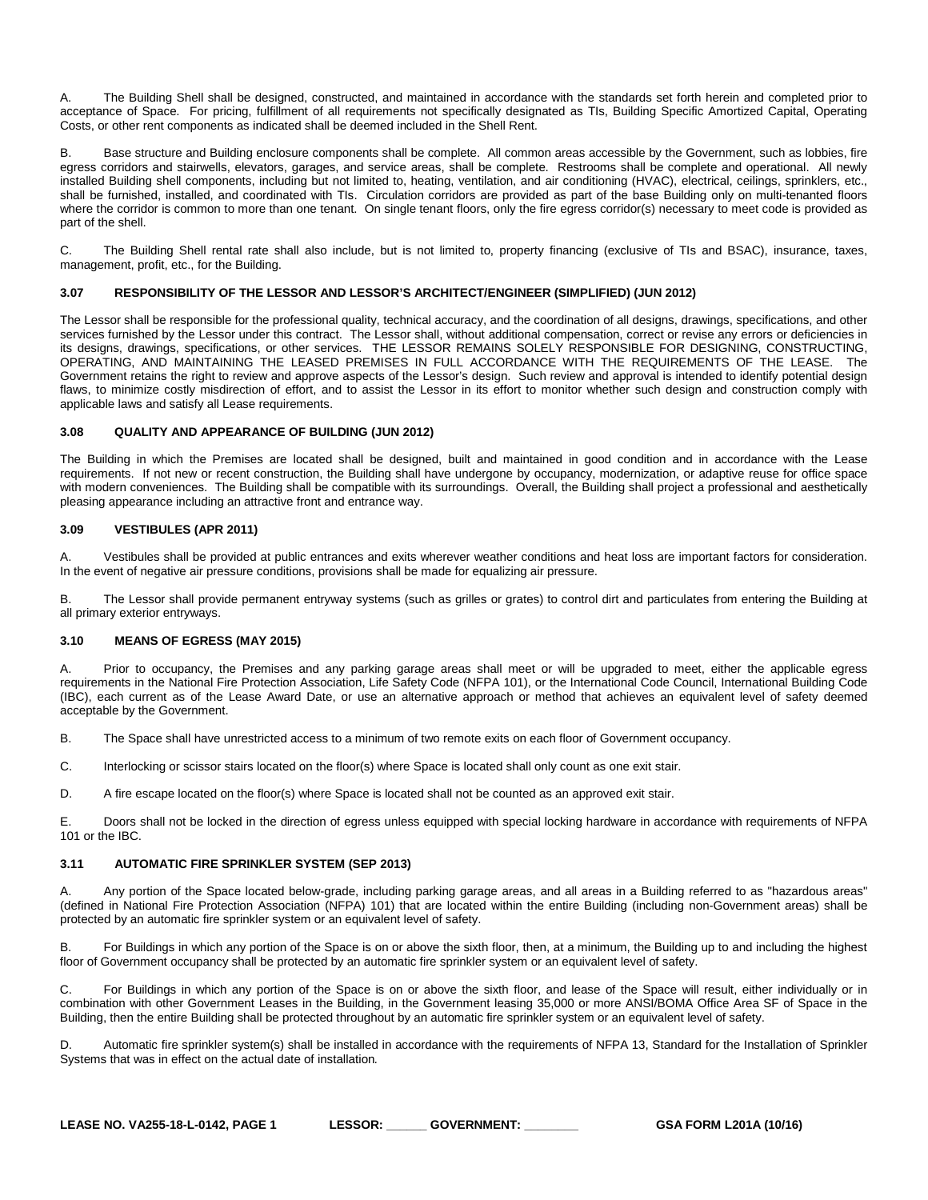A. The Building Shell shall be designed, constructed, and maintained in accordance with the standards set forth herein and completed prior to acceptance of Space. For pricing, fulfillment of all requirements not specifically designated as TIs, Building Specific Amortized Capital, Operating Costs, or other rent components as indicated shall be deemed included in the Shell Rent.

B. Base structure and Building enclosure components shall be complete. All common areas accessible by the Government, such as lobbies, fire egress corridors and stairwells, elevators, garages, and service areas, shall be complete. Restrooms shall be complete and operational. All newly installed Building shell components, including but not limited to, heating, ventilation, and air conditioning (HVAC), electrical, ceilings, sprinklers, etc., shall be furnished, installed, and coordinated with TIs. Circulation corridors are provided as part of the base Building only on multi-tenanted floors where the corridor is common to more than one tenant. On single tenant floors, only the fire egress corridor(s) necessary to meet code is provided as part of the shell.

C. The Building Shell rental rate shall also include, but is not limited to, property financing (exclusive of TIs and BSAC), insurance, taxes, management, profit, etc., for the Building.

# <span id="page-14-0"></span>**3.07 RESPONSIBILITY OF THE LESSOR AND LESSOR'S ARCHITECT/ENGINEER (SIMPLIFIED) (JUN 2012)**

The Lessor shall be responsible for the professional quality, technical accuracy, and the coordination of all designs, drawings, specifications, and other services furnished by the Lessor under this contract. The Lessor shall, without additional compensation, correct or revise any errors or deficiencies in its designs, drawings, specifications, or other services. THE LESSOR REMAINS SOLELY RESPONSIBLE FOR DESIGNING, CONSTRUCTING, OPERATING, AND MAINTAINING THE LEASED PREMISES IN FULL ACCORDANCE WITH THE REQUIREMENTS OF THE LEASE. The Government retains the right to review and approve aspects of the Lessor's design. Such review and approval is intended to identify potential design flaws, to minimize costly misdirection of effort, and to assist the Lessor in its effort to monitor whether such design and construction comply with applicable laws and satisfy all Lease requirements.

#### <span id="page-14-1"></span>**3.08 QUALITY AND APPEARANCE OF BUILDING (JUN 2012)**

The Building in which the Premises are located shall be designed, built and maintained in good condition and in accordance with the Lease requirements. If not new or recent construction, the Building shall have undergone by occupancy, modernization, or adaptive reuse for office space with modern conveniences. The Building shall be compatible with its surroundings. Overall, the Building shall project a professional and aesthetically pleasing appearance including an attractive front and entrance way.

#### <span id="page-14-2"></span>**3.09 VESTIBULES (APR 2011)**

A. Vestibules shall be provided at public entrances and exits wherever weather conditions and heat loss are important factors for consideration. In the event of negative air pressure conditions, provisions shall be made for equalizing air pressure.

B. The Lessor shall provide permanent entryway systems (such as grilles or grates) to control dirt and particulates from entering the Building at all primary exterior entryways.

#### <span id="page-14-3"></span>**3.10 MEANS OF EGRESS (MAY 2015)**

A. Prior to occupancy, the Premises and any parking garage areas shall meet or will be upgraded to meet, either the applicable egress requirements in the National Fire Protection Association, Life Safety Code (NFPA 101), or the International Code Council, International Building Code (IBC), each current as of the Lease Award Date, or use an alternative approach or method that achieves an equivalent level of safety deemed acceptable by the Government.

B. The Space shall have unrestricted access to a minimum of two remote exits on each floor of Government occupancy.

C. Interlocking or scissor stairs located on the floor(s) where Space is located shall only count as one exit stair.

D. A fire escape located on the floor(s) where Space is located shall not be counted as an approved exit stair.

E. Doors shall not be locked in the direction of egress unless equipped with special locking hardware in accordance with requirements of NFPA 101 or the IBC.

#### <span id="page-14-4"></span>**3.11 AUTOMATIC FIRE SPRINKLER SYSTEM (SEP 2013)**

Any portion of the Space located below-grade, including parking garage areas, and all areas in a Building referred to as "hazardous areas" (defined in National Fire Protection Association (NFPA) 101) that are located within the entire Building (including non-Government areas) shall be protected by an automatic fire sprinkler system or an equivalent level of safety.

For Buildings in which any portion of the Space is on or above the sixth floor, then, at a minimum, the Building up to and including the highest floor of Government occupancy shall be protected by an automatic fire sprinkler system or an equivalent level of safety.

C. For Buildings in which any portion of the Space is on or above the sixth floor, and lease of the Space will result, either individually or in combination with other Government Leases in the Building, in the Government leasing 35,000 or more ANSI/BOMA Office Area SF of Space in the Building, then the entire Building shall be protected throughout by an automatic fire sprinkler system or an equivalent level of safety.

Automatic fire sprinkler system(s) shall be installed in accordance with the requirements of NFPA 13, Standard for the Installation of Sprinkler Systems that was in effect on the actual date of installation*.*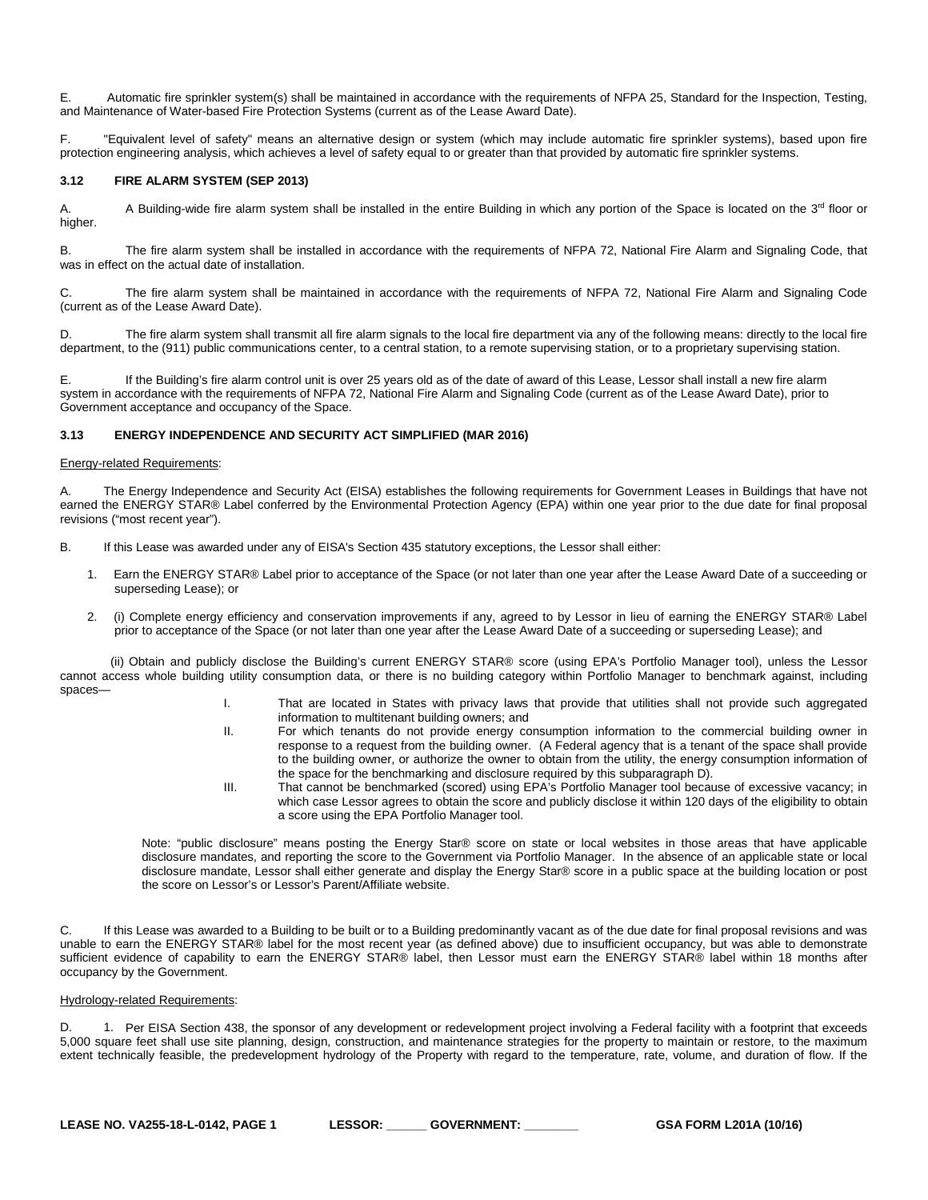E. Automatic fire sprinkler system(s) shall be maintained in accordance with the requirements of NFPA 25, Standard for the Inspection, Testing, and Maintenance of Water-based Fire Protection Systems (current as of the Lease Award Date).

F. "Equivalent level of safety" means an alternative design or system (which may include automatic fire sprinkler systems), based upon fire protection engineering analysis, which achieves a level of safety equal to or greater than that provided by automatic fire sprinkler systems.

#### <span id="page-15-0"></span>**3.12 FIRE ALARM SYSTEM (SEP 2013)**

A. A Building-wide fire alarm system shall be installed in the entire Building in which any portion of the Space is located on the 3<sup>rd</sup> floor or higher.

B. The fire alarm system shall be installed in accordance with the requirements of NFPA 72, National Fire Alarm and Signaling Code, that was in effect on the actual date of installation.

C. The fire alarm system shall be maintained in accordance with the requirements of NFPA 72, National Fire Alarm and Signaling Code (current as of the Lease Award Date).

D. The fire alarm system shall transmit all fire alarm signals to the local fire department via any of the following means: directly to the local fire department, to the (911) public communications center, to a central station, to a remote supervising station, or to a proprietary supervising station.

E. If the Building's fire alarm control unit is over 25 years old as of the date of award of this Lease, Lessor shall install a new fire alarm system in accordance with the requirements of NFPA 72, National Fire Alarm and Signaling Code (current as of the Lease Award Date), prior to Government acceptance and occupancy of the Space.

# <span id="page-15-1"></span>**3.13 ENERGY INDEPENDENCE AND SECURITY ACT SIMPLIFIED (MAR 2016)**

#### Energy-related Requirements:

A. The Energy Independence and Security Act (EISA) establishes the following requirements for Government Leases in Buildings that have not earned the ENERGY STAR® Label conferred by the Environmental Protection Agency (EPA) within one year prior to the due date for final proposal revisions ("most recent year").

- B. If this Lease was awarded under any of EISA's Section 435 statutory exceptions, the Lessor shall either:
	- 1. Earn the ENERGY STAR® Label prior to acceptance of the Space (or not later than one year after the Lease Award Date of a succeeding or superseding Lease); or
	- 2. (i) Complete energy efficiency and conservation improvements if any, agreed to by Lessor in lieu of earning the ENERGY STAR® Label prior to acceptance of the Space (or not later than one year after the Lease Award Date of a succeeding or superseding Lease); and

 (ii) Obtain and publicly disclose the Building's current ENERGY STAR® score (using EPA's Portfolio Manager tool), unless the Lessor cannot access whole building utility consumption data, or there is no building category within Portfolio Manager to benchmark against, including spaces—

- I. That are located in States with privacy laws that provide that utilities shall not provide such aggregated information to multitenant building owners; and
- II. For which tenants do not provide energy consumption information to the commercial building owner in response to a request from the building owner. (A Federal agency that is a tenant of the space shall provide to the building owner, or authorize the owner to obtain from the utility, the energy consumption information of the space for the benchmarking and disclosure required by this subparagraph D).
- III. That cannot be benchmarked (scored) using EPA's Portfolio Manager tool because of excessive vacancy; in which case Lessor agrees to obtain the score and publicly disclose it within 120 days of the eligibility to obtain a score using the EPA Portfolio Manager tool.

Note: "public disclosure" means posting the Energy Star® score on state or local websites in those areas that have applicable disclosure mandates, and reporting the score to the Government via Portfolio Manager. In the absence of an applicable state or local disclosure mandate, Lessor shall either generate and display the Energy Star® score in a public space at the building location or post the score on Lessor's or Lessor's Parent/Affiliate website.

C. If this Lease was awarded to a Building to be built or to a Building predominantly vacant as of the due date for final proposal revisions and was unable to earn the ENERGY STAR® label for the most recent year (as defined above) due to insufficient occupancy, but was able to demonstrate sufficient evidence of capability to earn the ENERGY STAR® label, then Lessor must earn the ENERGY STAR® label within 18 months after occupancy by the Government.

# Hydrology-related Requirements:

D. 1. Per EISA Section 438, the sponsor of any development or redevelopment project involving a Federal facility with a footprint that exceeds 5,000 square feet shall use site planning, design, construction, and maintenance strategies for the property to maintain or restore, to the maximum extent technically feasible, the predevelopment hydrology of the Property with regard to the temperature, rate, volume, and duration of flow. If the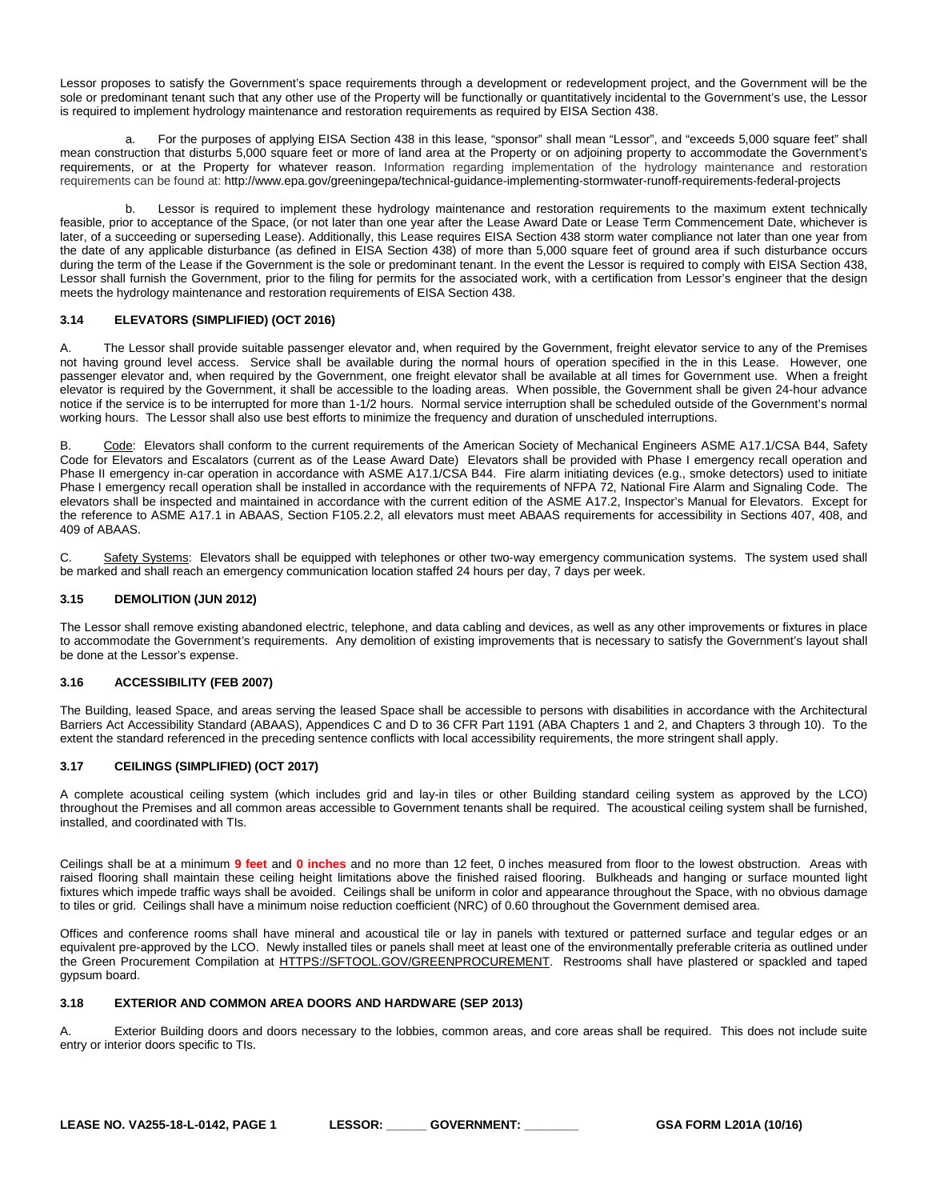Lessor proposes to satisfy the Government's space requirements through a development or redevelopment project, and the Government will be the sole or predominant tenant such that any other use of the Property will be functionally or quantitatively incidental to the Government's use, the Lessor is required to implement hydrology maintenance and restoration requirements as required by EISA Section 438.

a. For the purposes of applying EISA Section 438 in this lease, "sponsor" shall mean "Lessor", and "exceeds 5,000 square feet" shall mean construction that disturbs 5,000 square feet or more of land area at the Property or on adjoining property to accommodate the Government's requirements, or at the Property for whatever reason. Information regarding implementation of the hydrology maintenance and restoration requirements can be found at: http://www.epa.gov/greeningepa/technical-guidance-implementing-stormwater-runoff-requirements-federal-projects

b. Lessor is required to implement these hydrology maintenance and restoration requirements to the maximum extent technically feasible, prior to acceptance of the Space, (or not later than one year after the Lease Award Date or Lease Term Commencement Date, whichever is later, of a succeeding or superseding Lease). Additionally, this Lease requires EISA Section 438 storm water compliance not later than one year from the date of any applicable disturbance (as defined in EISA Section 438) of more than 5,000 square feet of ground area if such disturbance occurs during the term of the Lease if the Government is the sole or predominant tenant. In the event the Lessor is required to comply with EISA Section 438, Lessor shall furnish the Government, prior to the filing for permits for the associated work, with a certification from Lessor's engineer that the design meets the hydrology maintenance and restoration requirements of EISA Section 438.

# <span id="page-16-0"></span>**3.14 ELEVATORS (SIMPLIFIED) (OCT 2016)**

A. The Lessor shall provide suitable passenger elevator and, when required by the Government, freight elevator service to any of the Premises not having ground level access. Service shall be available during the normal hours of operation specified in the in this Lease. However, one passenger elevator and, when required by the Government, one freight elevator shall be available at all times for Government use. When a freight elevator is required by the Government, it shall be accessible to the loading areas. When possible, the Government shall be given 24-hour advance notice if the service is to be interrupted for more than 1-1/2 hours. Normal service interruption shall be scheduled outside of the Government's normal working hours. The Lessor shall also use best efforts to minimize the frequency and duration of unscheduled interruptions.

B. Code: Elevators shall conform to the current requirements of the American Society of Mechanical Engineers ASME A17.1/CSA B44, Safety Code for Elevators and Escalators (current as of the Lease Award Date) Elevators shall be provided with Phase I emergency recall operation and Phase II emergency in-car operation in accordance with ASME A17.1/CSA B44. Fire alarm initiating devices (e.g., smoke detectors) used to initiate Phase I emergency recall operation shall be installed in accordance with the requirements of NFPA 72, National Fire Alarm and Signaling Code. The elevators shall be inspected and maintained in accordance with the current edition of the ASME A17.2, Inspector's Manual for Elevators. Except for the reference to ASME A17.1 in ABAAS, Section F105.2.2, all elevators must meet ABAAS requirements for accessibility in Sections 407, 408, and 409 of ABAAS.

C. Safety Systems: Elevators shall be equipped with telephones or other two-way emergency communication systems. The system used shall be marked and shall reach an emergency communication location staffed 24 hours per day, 7 days per week.

# <span id="page-16-1"></span>**3.15 DEMOLITION (JUN 2012)**

The Lessor shall remove existing abandoned electric, telephone, and data cabling and devices, as well as any other improvements or fixtures in place to accommodate the Government's requirements. Any demolition of existing improvements that is necessary to satisfy the Government's layout shall be done at the Lessor's expense.

# <span id="page-16-2"></span>**3.16 ACCESSIBILITY (FEB 2007)**

The Building, leased Space, and areas serving the leased Space shall be accessible to persons with disabilities in accordance with the Architectural Barriers Act Accessibility Standard (ABAAS), Appendices C and D to 36 CFR Part 1191 (ABA Chapters 1 and 2, and Chapters 3 through 10). To the extent the standard referenced in the preceding sentence conflicts with local accessibility requirements, the more stringent shall apply.

# <span id="page-16-3"></span>**3.17 CEILINGS (SIMPLIFIED) (OCT 2017)**

A complete acoustical ceiling system (which includes grid and lay-in tiles or other Building standard ceiling system as approved by the LCO) throughout the Premises and all common areas accessible to Government tenants shall be required. The acoustical ceiling system shall be furnished, installed, and coordinated with TIs.

Ceilings shall be at a minimum **9 feet** and **0 inches** and no more than 12 feet, 0 inches measured from floor to the lowest obstruction. Areas with raised flooring shall maintain these ceiling height limitations above the finished raised flooring. Bulkheads and hanging or surface mounted light fixtures which impede traffic ways shall be avoided. Ceilings shall be uniform in color and appearance throughout the Space, with no obvious damage to tiles or grid. Ceilings shall have a minimum noise reduction coefficient (NRC) of 0.60 throughout the Government demised area.

Offices and conference rooms shall have mineral and acoustical tile or lay in panels with textured or patterned surface and tegular edges or an equivalent pre-approved by the LCO. Newly installed tiles or panels shall meet at least one of the environmentally preferable criteria as outlined under the Green Procurement Compilation at [HTTPS://SFTOOL.GOV/GREENPROCUREMENT.](https://sftool.gov/GreenProcurement) Restrooms shall have plastered or spackled and taped gypsum board.

#### <span id="page-16-4"></span>**3.18 EXTERIOR AND COMMON AREA DOORS AND HARDWARE (SEP 2013)**

A. Exterior Building doors and doors necessary to the lobbies, common areas, and core areas shall be required. This does not include suite entry or interior doors specific to TIs.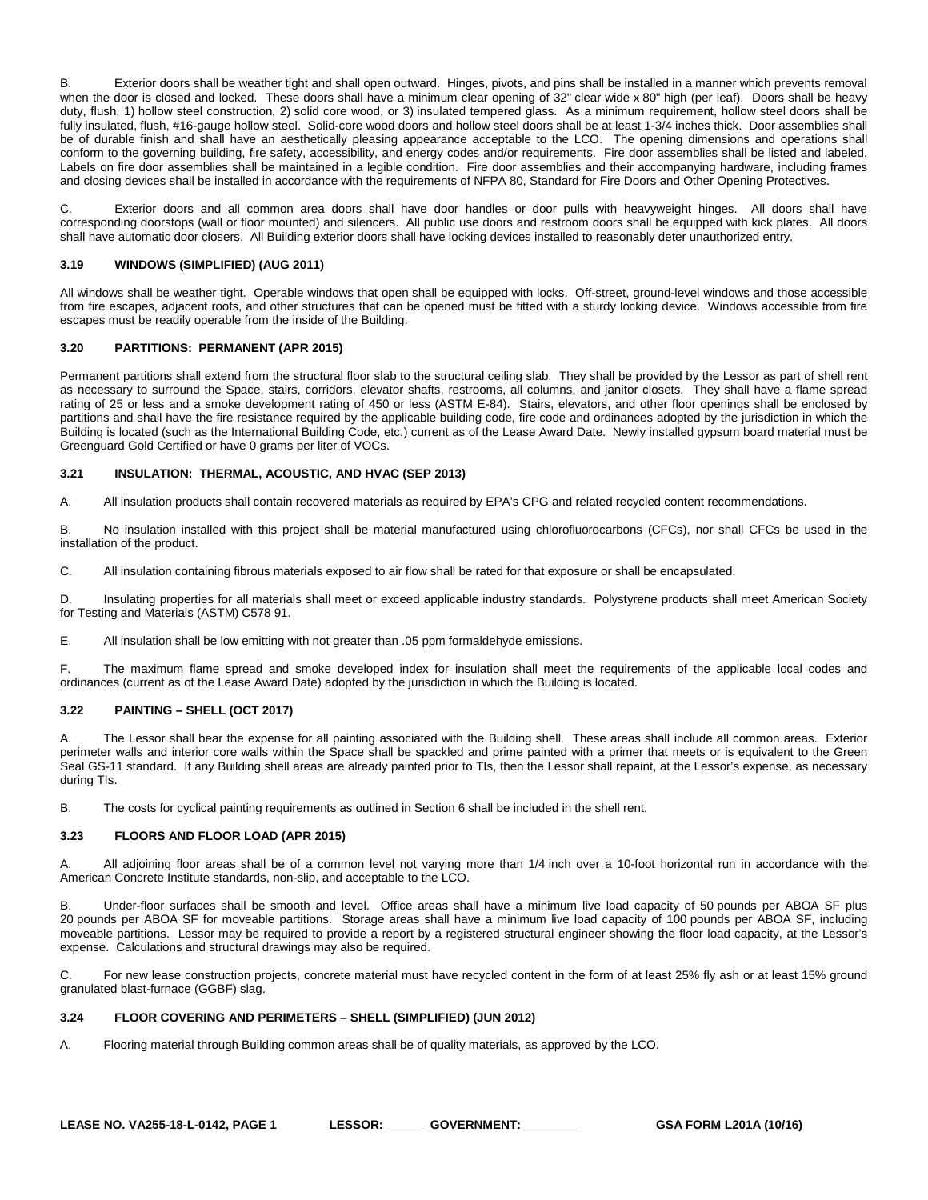B. Exterior doors shall be weather tight and shall open outward. Hinges, pivots, and pins shall be installed in a manner which prevents removal when the door is closed and locked. These doors shall have a minimum clear opening of 32" clear wide x 80" high (per leaf). Doors shall be heavy duty, flush, 1) hollow steel construction, 2) solid core wood, or 3) insulated tempered glass. As a minimum requirement, hollow steel doors shall be fully insulated, flush, #16-gauge hollow steel. Solid-core wood doors and hollow steel doors shall be at least 1-3/4 inches thick. Door assemblies shall be of durable finish and shall have an aesthetically pleasing appearance acceptable to the LCO. The opening dimensions and operations shall conform to the governing building, fire safety, accessibility, and energy codes and/or requirements. Fire door assemblies shall be listed and labeled. Labels on fire door assemblies shall be maintained in a legible condition. Fire door assemblies and their accompanying hardware, including frames and closing devices shall be installed in accordance with the requirements of NFPA 80, Standard for Fire Doors and Other Opening Protectives.

C. Exterior doors and all common area doors shall have door handles or door pulls with heavyweight hinges. All doors shall have corresponding doorstops (wall or floor mounted) and silencers. All public use doors and restroom doors shall be equipped with kick plates. All doors shall have automatic door closers. All Building exterior doors shall have locking devices installed to reasonably deter unauthorized entry.

# <span id="page-17-0"></span>**3.19 WINDOWS (SIMPLIFIED) (AUG 2011)**

All windows shall be weather tight. Operable windows that open shall be equipped with locks. Off-street, ground-level windows and those accessible from fire escapes, adjacent roofs, and other structures that can be opened must be fitted with a sturdy locking device. Windows accessible from fire escapes must be readily operable from the inside of the Building.

#### <span id="page-17-1"></span>**3.20 PARTITIONS: PERMANENT (APR 2015)**

Permanent partitions shall extend from the structural floor slab to the structural ceiling slab. They shall be provided by the Lessor as part of shell rent as necessary to surround the Space, stairs, corridors, elevator shafts, restrooms, all columns, and janitor closets. They shall have a flame spread rating of 25 or less and a smoke development rating of 450 or less (ASTM E-84). Stairs, elevators, and other floor openings shall be enclosed by partitions and shall have the fire resistance required by the applicable building code, fire code and ordinances adopted by the jurisdiction in which the Building is located (such as the International Building Code, etc.) current as of the Lease Award Date. Newly installed gypsum board material must be Greenguard Gold Certified or have 0 grams per liter of VOCs.

#### <span id="page-17-2"></span>**3.21 INSULATION: THERMAL, ACOUSTIC, AND HVAC (SEP 2013)**

A. All insulation products shall contain recovered materials as required by EPA's CPG and related recycled content recommendations.

B. No insulation installed with this project shall be material manufactured using chlorofluorocarbons (CFCs), nor shall CFCs be used in the installation of the product.

C. All insulation containing fibrous materials exposed to air flow shall be rated for that exposure or shall be encapsulated.

D. Insulating properties for all materials shall meet or exceed applicable industry standards. Polystyrene products shall meet American Society for Testing and Materials (ASTM) C578 91.

E. All insulation shall be low emitting with not greater than .05 ppm formaldehyde emissions.

F. The maximum flame spread and smoke developed index for insulation shall meet the requirements of the applicable local codes and ordinances (current as of the Lease Award Date) adopted by the jurisdiction in which the Building is located.

#### <span id="page-17-3"></span>**3.22 PAINTING – SHELL (OCT 2017)**

The Lessor shall bear the expense for all painting associated with the Building shell. These areas shall include all common areas. Exterior perimeter walls and interior core walls within the Space shall be spackled and prime painted with a primer that meets or is equivalent to the Green Seal GS-11 standard. If any Building shell areas are already painted prior to TIs, then the Lessor shall repaint, at the Lessor's expense, as necessary during TIs.

B. The costs for cyclical painting requirements as outlined in Section 6 shall be included in the shell rent.

#### <span id="page-17-4"></span>**3.23 FLOORS AND FLOOR LOAD (APR 2015)**

A. All adjoining floor areas shall be of a common level not varying more than 1/4 inch over a 10-foot horizontal run in accordance with the American Concrete Institute standards, non-slip, and acceptable to the LCO.

B. Under-floor surfaces shall be smooth and level. Office areas shall have a minimum live load capacity of 50 pounds per ABOA SF plus 20 pounds per ABOA SF for moveable partitions. Storage areas shall have a minimum live load capacity of 100 pounds per ABOA SF, including moveable partitions. Lessor may be required to provide a report by a registered structural engineer showing the floor load capacity, at the Lessor's expense. Calculations and structural drawings may also be required.

C. For new lease construction projects, concrete material must have recycled content in the form of at least 25% fly ash or at least 15% ground granulated blast-furnace (GGBF) slag.

## <span id="page-17-5"></span>**3.24 FLOOR COVERING AND PERIMETERS – SHELL (SIMPLIFIED) (JUN 2012)**

A. Flooring material through Building common areas shall be of quality materials, as approved by the LCO.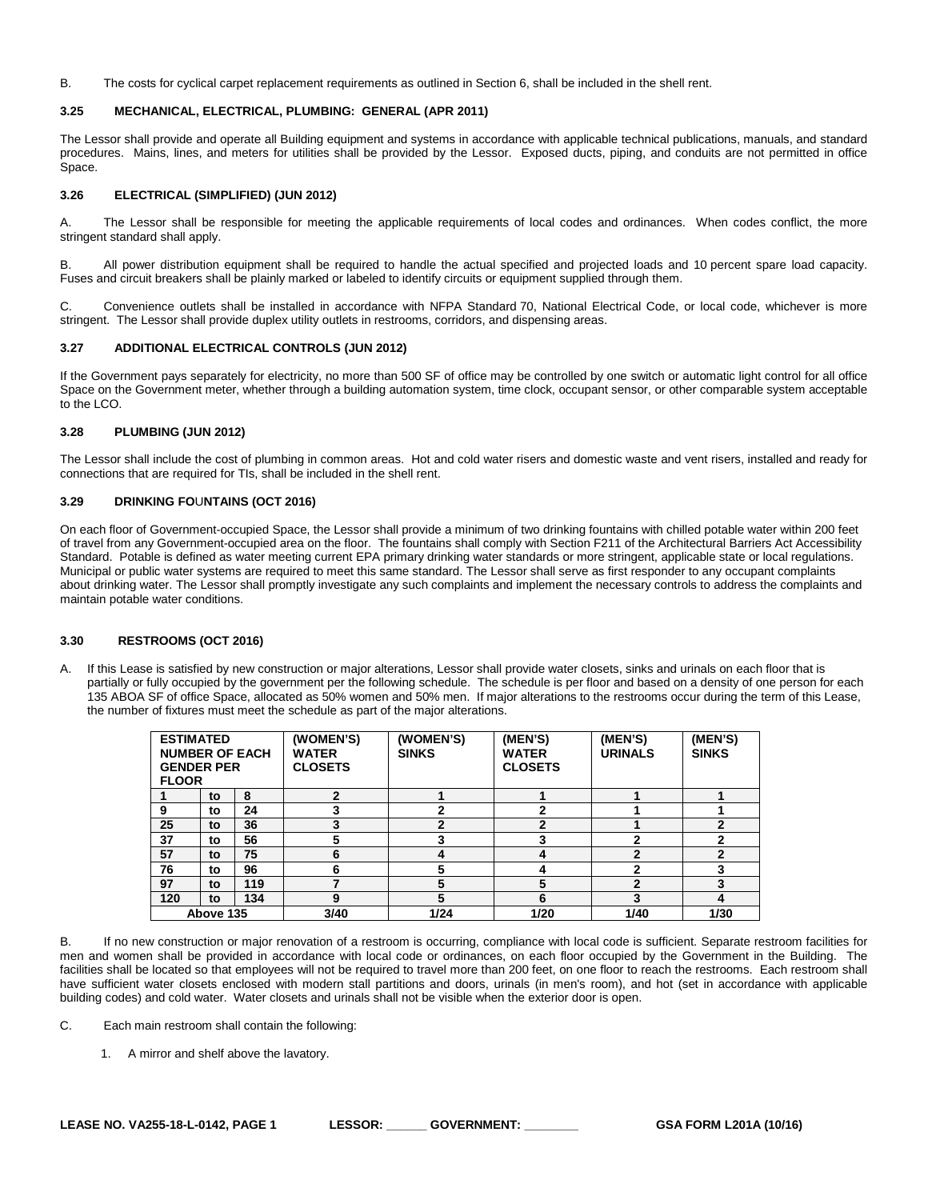B. The costs for cyclical carpet replacement requirements as outlined in Section 6, shall be included in the shell rent.

#### <span id="page-18-0"></span>**3.25 MECHANICAL, ELECTRICAL, PLUMBING: GENERAL (APR 2011)**

The Lessor shall provide and operate all Building equipment and systems in accordance with applicable technical publications, manuals, and standard procedures. Mains, lines, and meters for utilities shall be provided by the Lessor. Exposed ducts, piping, and conduits are not permitted in office Space.

# <span id="page-18-1"></span>**3.26 ELECTRICAL (SIMPLIFIED) (JUN 2012)**

A. The Lessor shall be responsible for meeting the applicable requirements of local codes and ordinances. When codes conflict, the more stringent standard shall apply.

B. All power distribution equipment shall be required to handle the actual specified and projected loads and 10 percent spare load capacity. Fuses and circuit breakers shall be plainly marked or labeled to identify circuits or equipment supplied through them.

C. Convenience outlets shall be installed in accordance with NFPA Standard 70, National Electrical Code, or local code, whichever is more stringent. The Lessor shall provide duplex utility outlets in restrooms, corridors, and dispensing areas.

# <span id="page-18-2"></span>**3.27 ADDITIONAL ELECTRICAL CONTROLS (JUN 2012)**

If the Government pays separately for electricity, no more than 500 SF of office may be controlled by one switch or automatic light control for all office Space on the Government meter, whether through a building automation system, time clock, occupant sensor, or other comparable system acceptable to the LCO.

# <span id="page-18-3"></span>**3.28 PLUMBING (JUN 2012)**

The Lessor shall include the cost of plumbing in common areas. Hot and cold water risers and domestic waste and vent risers, installed and ready for connections that are required for TIs, shall be included in the shell rent.

# <span id="page-18-4"></span>**3.29 DRINKING FO**U**NTAINS (OCT 2016)**

On each floor of Government-occupied Space, the Lessor shall provide a minimum of two drinking fountains with chilled potable water within 200 feet of travel from any Government-occupied area on the floor. The fountains shall comply with Section F211 of the Architectural Barriers Act Accessibility Standard. Potable is defined as water meeting current EPA primary drinking water standards or more stringent, applicable state or local regulations. Municipal or public water systems are required to meet this same standard. The Lessor shall serve as first responder to any occupant complaints about drinking water. The Lessor shall promptly investigate any such complaints and implement the necessary controls to address the complaints and maintain potable water conditions.

#### <span id="page-18-5"></span>**3.30 RESTROOMS (OCT 2016)**

A. If this Lease is satisfied by new construction or major alterations, Lessor shall provide water closets, sinks and urinals on each floor that is partially or fully occupied by the government per the following schedule. The schedule is per floor and based on a density of one person for each 135 ABOA SF of office Space, allocated as 50% women and 50% men. If major alterations to the restrooms occur during the term of this Lease, the number of fixtures must meet the schedule as part of the major alterations.

| <b>ESTIMATED</b><br><b>NUMBER OF EACH</b><br><b>GENDER PER</b><br><b>FLOOR</b> |    | (WOMEN'S)<br><b>WATER</b><br><b>CLOSETS</b> | (WOMEN'S)<br><b>SINKS</b> | (MEN'S)<br><b>WATER</b><br><b>CLOSETS</b> | (MEN'S)<br><b>URINALS</b> | (MEN'S)<br><b>SINKS</b> |   |
|--------------------------------------------------------------------------------|----|---------------------------------------------|---------------------------|-------------------------------------------|---------------------------|-------------------------|---|
|                                                                                | to | 8                                           | 2                         |                                           |                           |                         |   |
| 9                                                                              | to | 24                                          |                           | ຳ                                         | າ                         |                         |   |
| 25                                                                             | to | 36                                          | 3                         | $\mathbf{z}$                              | 2                         |                         | 2 |
| 37                                                                             | to | 56                                          |                           |                                           |                           |                         |   |
| 57                                                                             | to | 75                                          | 6                         |                                           | 4                         | $\mathbf{2}$            | 2 |
| 76                                                                             | to | 96                                          | 6                         | 5                                         |                           |                         | 3 |
| 97                                                                             | to | 119                                         |                           | 5                                         | 5                         | $\mathbf{2}$            | 3 |
| 120                                                                            | to | 134                                         | 9                         | 5                                         | 6                         | 3                       | 4 |
| Above 135                                                                      |    | 3/40                                        | 1/24                      | 1/20                                      | 1/40                      | 1/30                    |   |

B. If no new construction or major renovation of a restroom is occurring, compliance with local code is sufficient. Separate restroom facilities for men and women shall be provided in accordance with local code or ordinances, on each floor occupied by the Government in the Building. The facilities shall be located so that employees will not be required to travel more than 200 feet, on one floor to reach the restrooms. Each restroom shall have sufficient water closets enclosed with modern stall partitions and doors, urinals (in men's room), and hot (set in accordance with applicable building codes) and cold water. Water closets and urinals shall not be visible when the exterior door is open.

C. Each main restroom shall contain the following:

1. A mirror and shelf above the lavatory.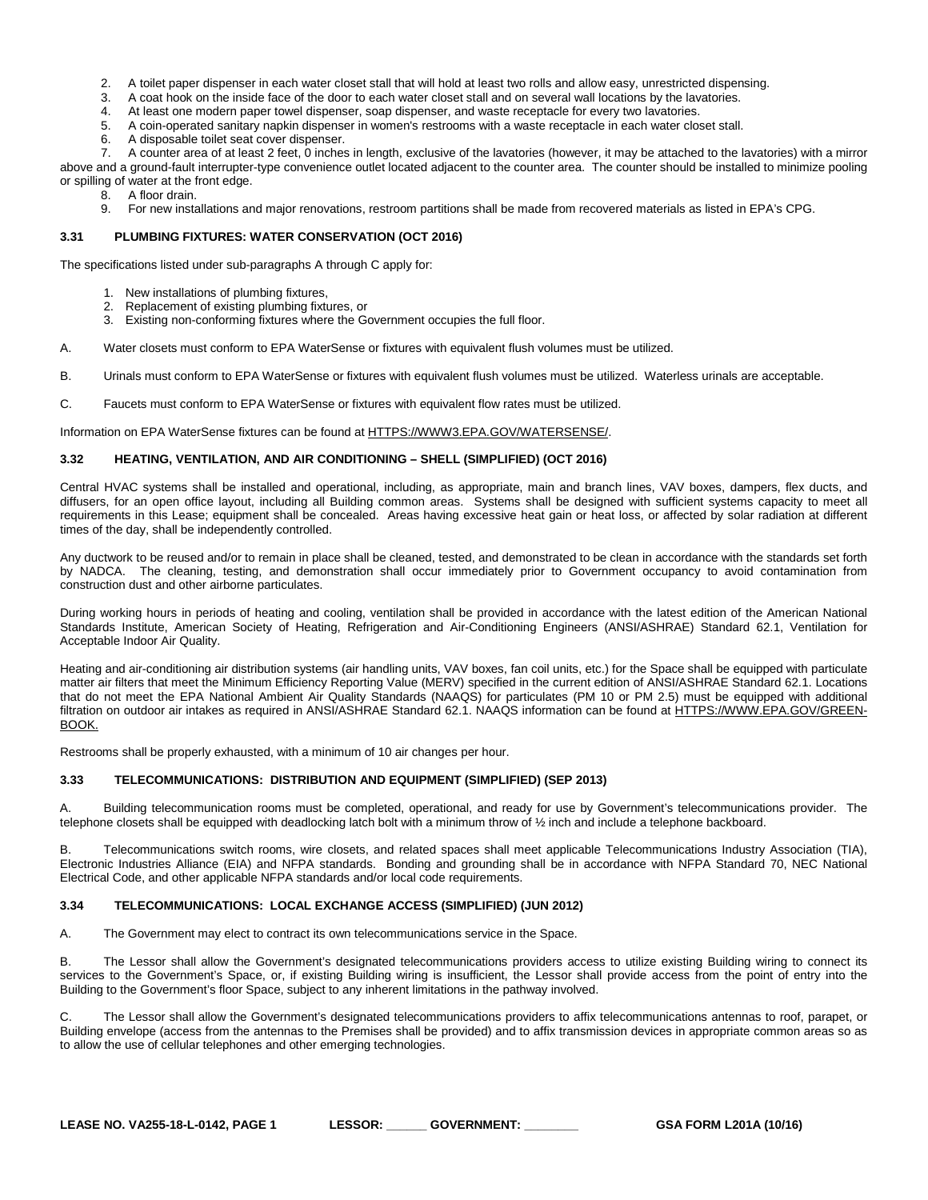- 2. A toilet paper dispenser in each water closet stall that will hold at least two rolls and allow easy, unrestricted dispensing.<br>3. A coat hook on the inside face of the door to each water closet stall and on several wall
- 3. A coat hook on the inside face of the door to each water closet stall and on several wall locations by the lavatories.
- 4. At least one modern paper towel dispenser, soap dispenser, and waste receptacle for every two lavatories.<br>5. A coin-operated sanitary napkin dispenser in women's restrooms with a waste receptacle in each water clos
- 5. A coin-operated sanitary napkin dispenser in women's restrooms with a waste receptacle in each water closet stall.
- 6. A disposable toilet seat cover dispenser.

7. A counter area of at least 2 feet, 0 inches in length, exclusive of the lavatories (however, it may be attached to the lavatories) with a mirror above and a ground-fault interrupter-type convenience outlet located adjacent to the counter area. The counter should be installed to minimize pooling or spilling of water at the front edge.

- 8. A floor drain.
	- 9. For new installations and major renovations, restroom partitions shall be made from recovered materials as listed in EPA's CPG.

# <span id="page-19-0"></span>**3.31 PLUMBING FIXTURES: WATER CONSERVATION (OCT 2016)**

The specifications listed under sub-paragraphs A through C apply for:

- 1. New installations of plumbing fixtures,
- 2. Replacement of existing plumbing fixtures, or
- 3. Existing non-conforming fixtures where the Government occupies the full floor.
- A. Water closets must conform to EPA WaterSense or fixtures with equivalent flush volumes must be utilized.
- B. Urinals must conform to EPA WaterSense or fixtures with equivalent flush volumes must be utilized. Waterless urinals are acceptable.
- C. Faucets must conform to EPA WaterSense or fixtures with equivalent flow rates must be utilized.

Information on EPA WaterSense fixtures can be found at [HTTPS://WWW3.EPA.GOV/WATERSENSE/.](https://www3.epa.gov/watersense/)

# <span id="page-19-1"></span>**3.32 HEATING, VENTILATION, AND AIR CONDITIONING – SHELL (SIMPLIFIED) (OCT 2016)**

Central HVAC systems shall be installed and operational, including, as appropriate, main and branch lines, VAV boxes, dampers, flex ducts, and diffusers, for an open office layout, including all Building common areas. Systems shall be designed with sufficient systems capacity to meet all requirements in this Lease; equipment shall be concealed. Areas having excessive heat gain or heat loss, or affected by solar radiation at different times of the day, shall be independently controlled.

Any ductwork to be reused and/or to remain in place shall be cleaned, tested, and demonstrated to be clean in accordance with the standards set forth by NADCA. The cleaning, testing, and demonstration shall occur immediately prior to Government occupancy to avoid contamination from construction dust and other airborne particulates.

During working hours in periods of heating and cooling, ventilation shall be provided in accordance with the latest edition of the American National Standards Institute, American Society of Heating, Refrigeration and Air-Conditioning Engineers (ANSI/ASHRAE) Standard 62.1, Ventilation for Acceptable Indoor Air Quality.

Heating and air-conditioning air distribution systems (air handling units, VAV boxes, fan coil units, etc.) for the Space shall be equipped with particulate matter air filters that meet the Minimum Efficiency Reporting Value (MERV) specified in the current edition of ANSI/ASHRAE Standard 62.1. Locations that do not meet the EPA National Ambient Air Quality Standards (NAAQS) for particulates (PM 10 or PM 2.5) must be equipped with additional filtration on outdoor air intakes as required in ANSI/ASHRAE Standard 62.1. NAAQS information can be found at [HTTPS://WWW.EPA.GOV/GREEN-](https://www.epa.gov/green-book)[BOOK.](https://www.epa.gov/green-book)

Restrooms shall be properly exhausted, with a minimum of 10 air changes per hour.

# <span id="page-19-2"></span>**3.33 TELECOMMUNICATIONS: DISTRIBUTION AND EQUIPMENT (SIMPLIFIED) (SEP 2013)**

A. Building telecommunication rooms must be completed, operational, and ready for use by Government's telecommunications provider. The telephone closets shall be equipped with deadlocking latch bolt with a minimum throw of ½ inch and include a telephone backboard.

B. Telecommunications switch rooms, wire closets, and related spaces shall meet applicable Telecommunications Industry Association (TIA), Electronic Industries Alliance (EIA) and NFPA standards. Bonding and grounding shall be in accordance with NFPA Standard 70, NEC National Electrical Code, and other applicable NFPA standards and/or local code requirements.

# <span id="page-19-3"></span>**3.34 TELECOMMUNICATIONS: LOCAL EXCHANGE ACCESS (SIMPLIFIED) (JUN 2012)**

A. The Government may elect to contract its own telecommunications service in the Space.

B. The Lessor shall allow the Government's designated telecommunications providers access to utilize existing Building wiring to connect its services to the Government's Space, or, if existing Building wiring is insufficient, the Lessor shall provide access from the point of entry into the Building to the Government's floor Space, subject to any inherent limitations in the pathway involved.

C. The Lessor shall allow the Government's designated telecommunications providers to affix telecommunications antennas to roof, parapet, or Building envelope (access from the antennas to the Premises shall be provided) and to affix transmission devices in appropriate common areas so as to allow the use of cellular telephones and other emerging technologies.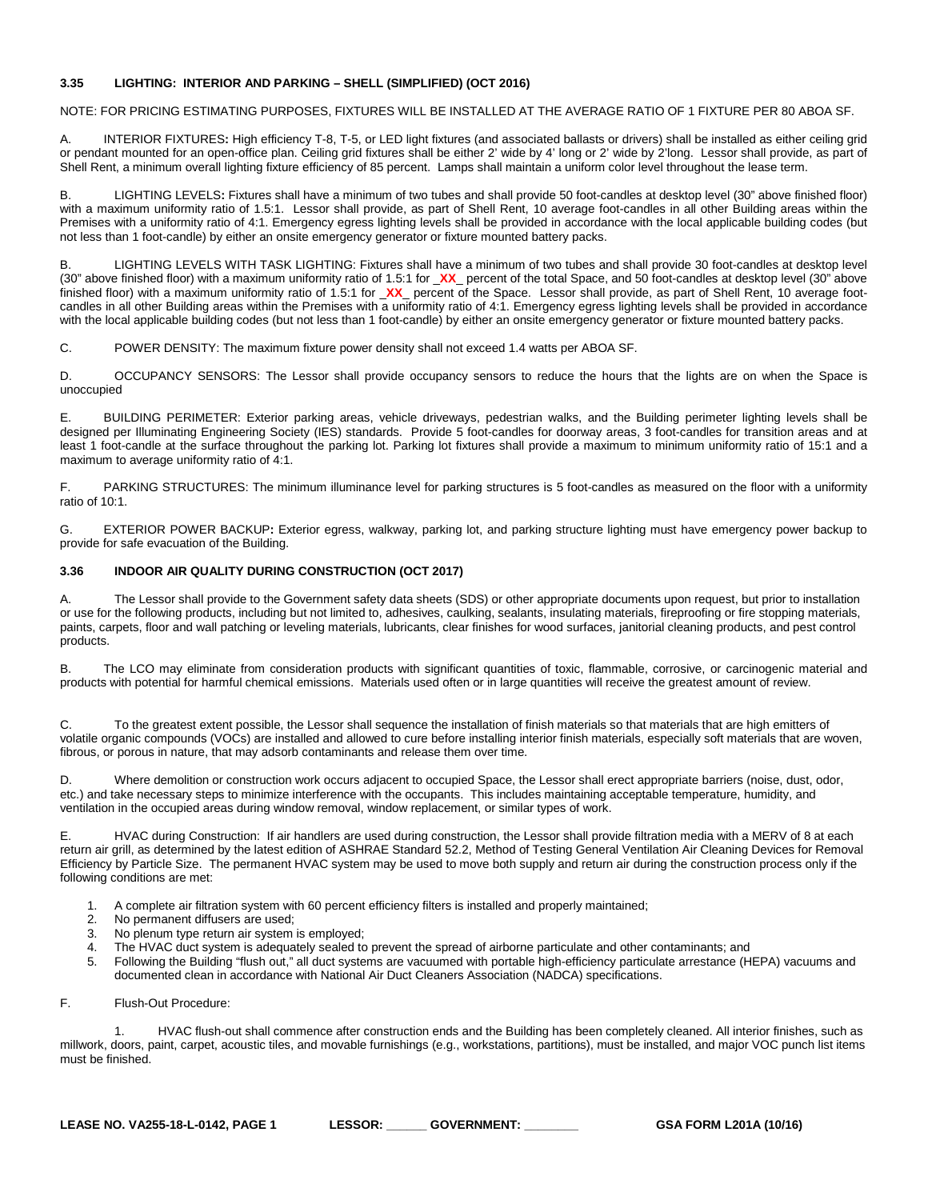# <span id="page-20-0"></span>**3.35 LIGHTING: INTERIOR AND PARKING – SHELL (SIMPLIFIED) (OCT 2016)**

NOTE: FOR PRICING ESTIMATING PURPOSES, FIXTURES WILL BE INSTALLED AT THE AVERAGE RATIO OF 1 FIXTURE PER 80 ABOA SF.

A. INTERIOR FIXTURES**:** High efficiency T-8, T-5, or LED light fixtures (and associated ballasts or drivers) shall be installed as either ceiling grid or pendant mounted for an open-office plan. Ceiling grid fixtures shall be either 2' wide by 4' long or 2' wide by 2'long. Lessor shall provide, as part of Shell Rent, a minimum overall lighting fixture efficiency of 85 percent. Lamps shall maintain a uniform color level throughout the lease term.

B. LIGHTING LEVELS**:** Fixtures shall have a minimum of two tubes and shall provide 50 foot-candles at desktop level (30" above finished floor) with a maximum uniformity ratio of 1.5:1. Lessor shall provide, as part of Shell Rent, 10 average foot-candles in all other Building areas within the Premises with a uniformity ratio of 4:1. Emergency egress lighting levels shall be provided in accordance with the local applicable building codes (but not less than 1 foot-candle) by either an onsite emergency generator or fixture mounted battery packs.

B. LIGHTING LEVELS WITH TASK LIGHTING: Fixtures shall have a minimum of two tubes and shall provide 30 foot-candles at desktop level (30" above finished floor) with a maximum uniformity ratio of 1.5:1 for \_**XX**\_ percent of the total Space, and 50 foot-candles at desktop level (30" above finished floor) with a maximum uniformity ratio of 1.5:1 for \_**XX**\_ percent of the Space. Lessor shall provide, as part of Shell Rent, 10 average footcandles in all other Building areas within the Premises with a uniformity ratio of 4:1. Emergency egress lighting levels shall be provided in accordance with the local applicable building codes (but not less than 1 foot-candle) by either an onsite emergency generator or fixture mounted battery packs.

C. POWER DENSITY: The maximum fixture power density shall not exceed 1.4 watts per ABOA SF.

D. OCCUPANCY SENSORS: The Lessor shall provide occupancy sensors to reduce the hours that the lights are on when the Space is unoccupied

E. BUILDING PERIMETER: Exterior parking areas, vehicle driveways, pedestrian walks, and the Building perimeter lighting levels shall be designed per Illuminating Engineering Society (IES) standards. Provide 5 foot-candles for doorway areas, 3 foot-candles for transition areas and at least 1 foot-candle at the surface throughout the parking lot. Parking lot fixtures shall provide a maximum to minimum uniformity ratio of 15:1 and a maximum to average uniformity ratio of 4:1.

F. PARKING STRUCTURES: The minimum illuminance level for parking structures is 5 foot-candles as measured on the floor with a uniformity ratio of 10:1.

G. EXTERIOR POWER BACKUP**:** Exterior egress, walkway, parking lot, and parking structure lighting must have emergency power backup to provide for safe evacuation of the Building.

# <span id="page-20-1"></span>**3.36 INDOOR AIR QUALITY DURING CONSTRUCTION (OCT 2017)**

The Lessor shall provide to the Government safety data sheets (SDS) or other appropriate documents upon request, but prior to installation or use for the following products, including but not limited to, adhesives, caulking, sealants, insulating materials, fireproofing or fire stopping materials, paints, carpets, floor and wall patching or leveling materials, lubricants, clear finishes for wood surfaces, janitorial cleaning products, and pest control products.

B. The LCO may eliminate from consideration products with significant quantities of toxic, flammable, corrosive, or carcinogenic material and products with potential for harmful chemical emissions. Materials used often or in large quantities will receive the greatest amount of review.

C. To the greatest extent possible, the Lessor shall sequence the installation of finish materials so that materials that are high emitters of volatile organic compounds (VOCs) are installed and allowed to cure before installing interior finish materials, especially soft materials that are woven, fibrous, or porous in nature, that may adsorb contaminants and release them over time.

D. Where demolition or construction work occurs adjacent to occupied Space, the Lessor shall erect appropriate barriers (noise, dust, odor, etc.) and take necessary steps to minimize interference with the occupants. This includes maintaining acceptable temperature, humidity, and ventilation in the occupied areas during window removal, window replacement, or similar types of work.

E. HVAC during Construction: If air handlers are used during construction, the Lessor shall provide filtration media with a MERV of 8 at each return air grill, as determined by the latest edition of ASHRAE Standard 52.2, Method of Testing General Ventilation Air Cleaning Devices for Removal Efficiency by Particle Size. The permanent HVAC system may be used to move both supply and return air during the construction process only if the following conditions are met:

- 1. A complete air filtration system with 60 percent efficiency filters is installed and properly maintained;
- 2. No permanent diffusers are used;<br>3. No plenum type return air system
- No plenum type return air system is employed;
- 4. The HVAC duct system is adequately sealed to prevent the spread of airborne particulate and other contaminants; and<br>5. Following the Building "flush out." all duct systems are vacuumed with portable high-efficiency part
- 5. Following the Building "flush out," all duct systems are vacuumed with portable high-efficiency particulate arrestance (HEPA) vacuums and documented clean in accordance with National Air Duct Cleaners Association (NADCA) specifications.
- F. Flush-Out Procedure:

1. HVAC flush-out shall commence after construction ends and the Building has been completely cleaned. All interior finishes, such as millwork, doors, paint, carpet, acoustic tiles, and movable furnishings (e.g., workstations, partitions), must be installed, and major VOC punch list items must be finished.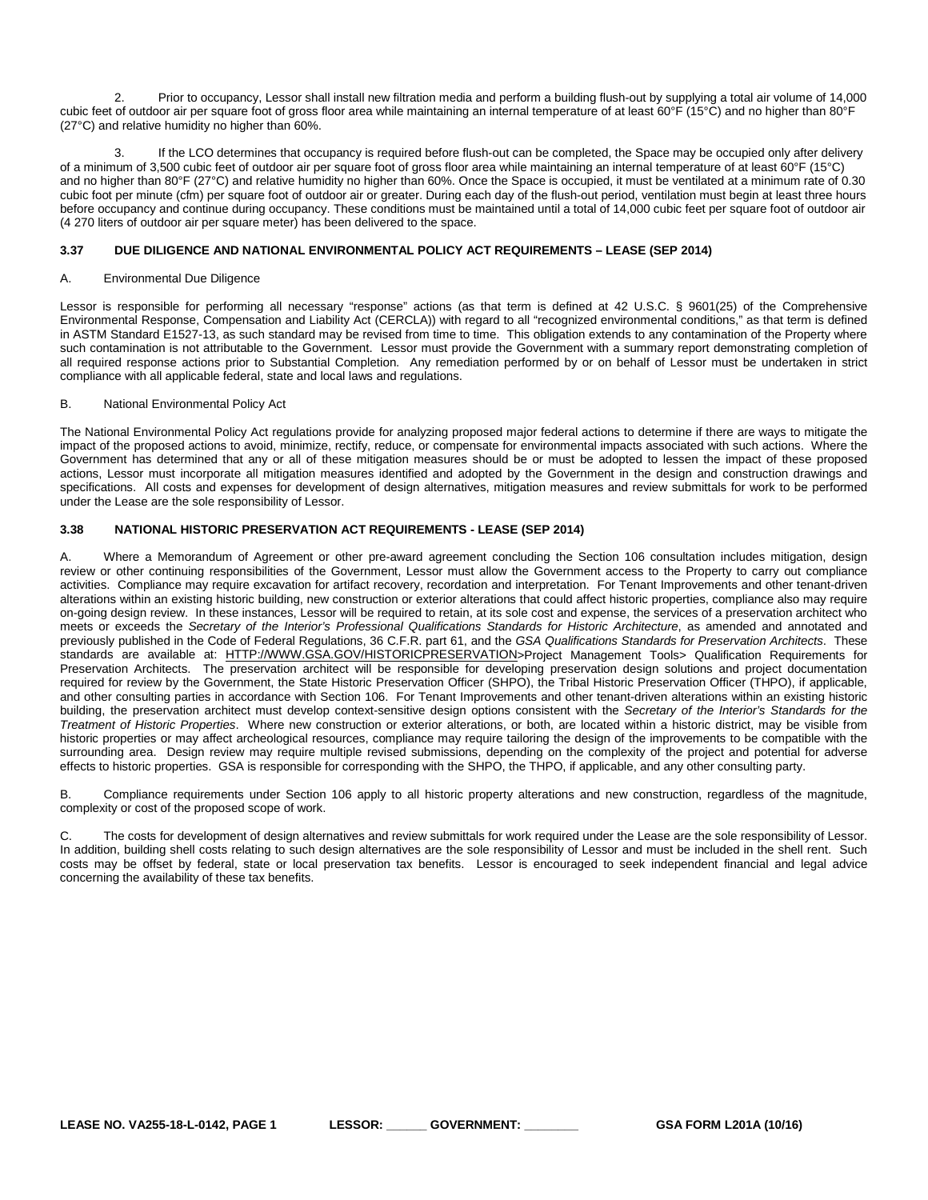2. Prior to occupancy, Lessor shall install new filtration media and perform a building flush-out by supplying a total air volume of 14,000 cubic feet of outdoor air per square foot of gross floor area while maintaining an internal temperature of at least 60°F (15°C) and no higher than 80°F (27°C) and relative humidity no higher than 60%.

3. If the LCO determines that occupancy is required before flush-out can be completed, the Space may be occupied only after delivery of a minimum of 3,500 cubic feet of outdoor air per square foot of gross floor area while maintaining an internal temperature of at least 60°F (15°C) and no higher than 80°F (27°C) and relative humidity no higher than 60%. Once the Space is occupied, it must be ventilated at a minimum rate of 0.30 cubic foot per minute (cfm) per square foot of outdoor air or greater. During each day of the flush-out period, ventilation must begin at least three hours before occupancy and continue during occupancy. These conditions must be maintained until a total of 14,000 cubic feet per square foot of outdoor air (4 270 liters of outdoor air per square meter) has been delivered to the space.

# <span id="page-21-0"></span>**3.37 DUE DILIGENCE AND NATIONAL ENVIRONMENTAL POLICY ACT REQUIREMENTS – LEASE (SEP 2014)**

#### A. Environmental Due Diligence

Lessor is responsible for performing all necessary "response" actions (as that term is defined at 42 U.S.C. § 9601(25) of the Comprehensive Environmental Response, Compensation and Liability Act (CERCLA)) with regard to all "recognized environmental conditions," as that term is defined in ASTM Standard E1527-13, as such standard may be revised from time to time. This obligation extends to any contamination of the Property where such contamination is not attributable to the Government. Lessor must provide the Government with a summary report demonstrating completion of all required response actions prior to Substantial Completion. Any remediation performed by or on behalf of Lessor must be undertaken in strict compliance with all applicable federal, state and local laws and regulations.

#### B. National Environmental Policy Act

The National Environmental Policy Act regulations provide for analyzing proposed major federal actions to determine if there are ways to mitigate the impact of the proposed actions to avoid, minimize, rectify, reduce, or compensate for environmental impacts associated with such actions. Where the Government has determined that any or all of these mitigation measures should be or must be adopted to lessen the impact of these proposed actions, Lessor must incorporate all mitigation measures identified and adopted by the Government in the design and construction drawings and specifications. All costs and expenses for development of design alternatives, mitigation measures and review submittals for work to be performed under the Lease are the sole responsibility of Lessor.

# <span id="page-21-1"></span>**3.38 NATIONAL HISTORIC PRESERVATION ACT REQUIREMENTS - LEASE (SEP 2014)**

A. Where a Memorandum of Agreement or other pre-award agreement concluding the Section 106 consultation includes mitigation, design review or other continuing responsibilities of the Government, Lessor must allow the Government access to the Property to carry out compliance activities. Compliance may require excavation for artifact recovery, recordation and interpretation. For Tenant Improvements and other tenant-driven alterations within an existing historic building, new construction or exterior alterations that could affect historic properties, compliance also may require on-going design review. In these instances, Lessor will be required to retain, at its sole cost and expense, the services of a preservation architect who meets or exceeds the *Secretary of the Interior's Professional Qualifications Standards for Historic Architecture*, as amended and annotated and previously published in the Code of Federal Regulations, 36 C.F.R. part 61, and the *GSA Qualifications Standards for Preservation Architects*. These standards are available at: [HTTP://WWW.GSA.GOV/HISTORICPRESERVATION>](http://www.gsa.gov/historicpreservation)Project Management Tools> Qualification Requirements for Preservation Architects. The preservation architect will be responsible for developing preservation design solutions and project documentation required for review by the Government, the State Historic Preservation Officer (SHPO), the Tribal Historic Preservation Officer (THPO), if applicable, and other consulting parties in accordance with Section 106. For Tenant Improvements and other tenant-driven alterations within an existing historic building, the preservation architect must develop context-sensitive design options consistent with the *Secretary of the Interior's Standards for the Treatment of Historic Properties*. Where new construction or exterior alterations, or both, are located within a historic district, may be visible from historic properties or may affect archeological resources, compliance may require tailoring the design of the improvements to be compatible with the surrounding area. Design review may require multiple revised submissions, depending on the complexity of the project and potential for adverse effects to historic properties. GSA is responsible for corresponding with the SHPO, the THPO, if applicable, and any other consulting party.

B. Compliance requirements under Section 106 apply to all historic property alterations and new construction, regardless of the magnitude, complexity or cost of the proposed scope of work.

C. The costs for development of design alternatives and review submittals for work required under the Lease are the sole responsibility of Lessor. In addition, building shell costs relating to such design alternatives are the sole responsibility of Lessor and must be included in the shell rent. Such costs may be offset by federal, state or local preservation tax benefits. Lessor is encouraged to seek independent financial and legal advice concerning the availability of these tax benefits.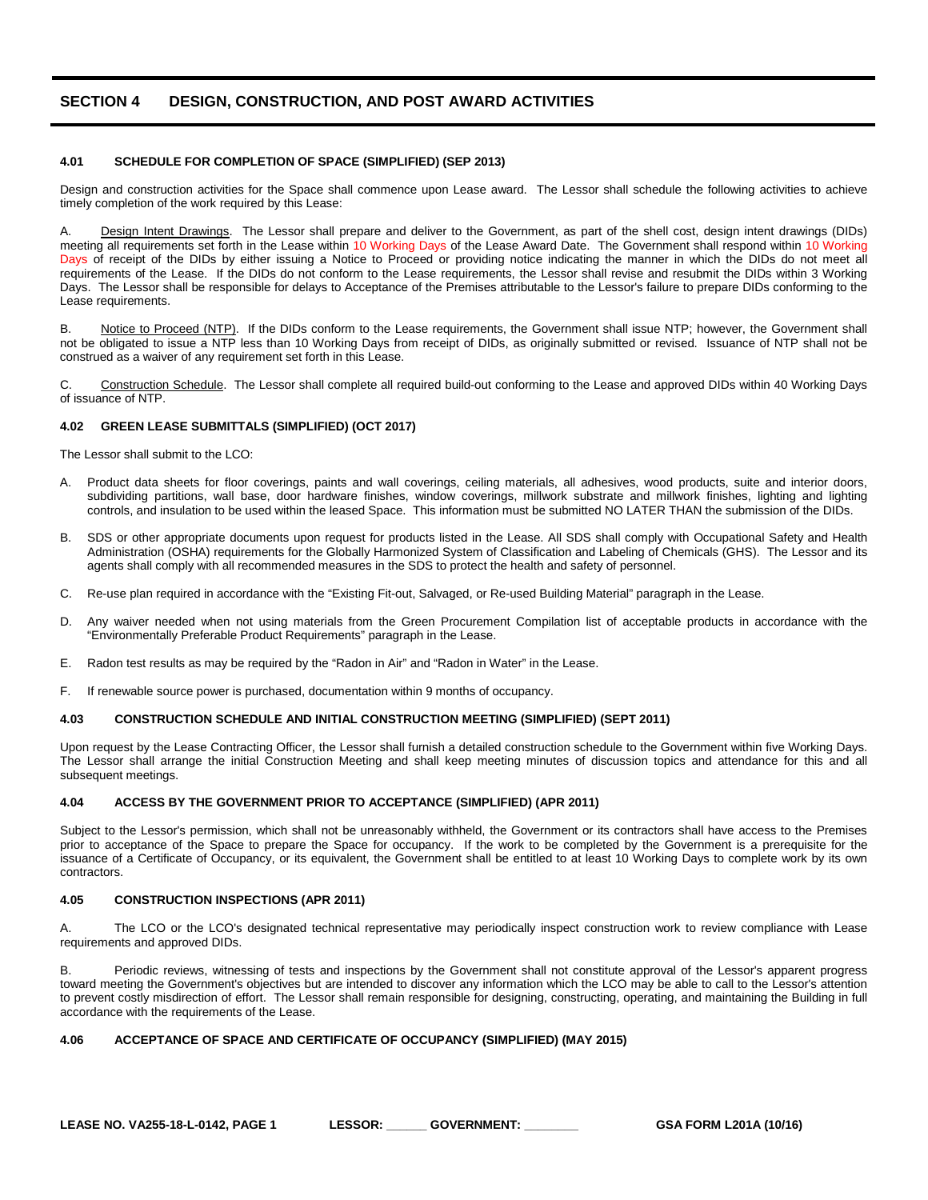# <span id="page-22-0"></span>**SECTION 4 DESIGN, CONSTRUCTION, AND POST AWARD ACTIVITIES**

#### <span id="page-22-1"></span>**4.01 SCHEDULE FOR COMPLETION OF SPACE (SIMPLIFIED) (SEP 2013)**

Design and construction activities for the Space shall commence upon Lease award. The Lessor shall schedule the following activities to achieve timely completion of the work required by this Lease:

A. Design Intent Drawings. The Lessor shall prepare and deliver to the Government, as part of the shell cost, design intent drawings (DIDs) meeting all requirements set forth in the Lease within 10 Working Days of the Lease Award Date. The Government shall respond within 10 Working Days of receipt of the DIDs by either issuing a Notice to Proceed or providing notice indicating the manner in which the DIDs do not meet all requirements of the Lease. If the DIDs do not conform to the Lease requirements, the Lessor shall revise and resubmit the DIDs within 3 Working Days. The Lessor shall be responsible for delays to Acceptance of the Premises attributable to the Lessor's failure to prepare DIDs conforming to the Lease requirements.

B. Notice to Proceed (NTP). If the DIDs conform to the Lease requirements, the Government shall issue NTP; however, the Government shall not be obligated to issue a NTP less than 10 Working Days from receipt of DIDs, as originally submitted or revised. Issuance of NTP shall not be construed as a waiver of any requirement set forth in this Lease.

C. Construction Schedule. The Lessor shall complete all required build-out conforming to the Lease and approved DIDs within 40 Working Days of issuance of NTP.

#### <span id="page-22-2"></span>**4.02 GREEN LEASE SUBMITTALS (SIMPLIFIED) (OCT 2017)**

The Lessor shall submit to the LCO:

- Product data sheets for floor coverings, paints and wall coverings, ceiling materials, all adhesives, wood products, suite and interior doors, subdividing partitions, wall base, door hardware finishes, window coverings, millwork substrate and millwork finishes, lighting and lighting controls, and insulation to be used within the leased Space. This information must be submitted NO LATER THAN the submission of the DIDs.
- B. SDS or other appropriate documents upon request for products listed in the Lease. All SDS shall comply with Occupational Safety and Health Administration (OSHA) requirements for the Globally Harmonized System of Classification and Labeling of Chemicals (GHS). The Lessor and its agents shall comply with all recommended measures in the SDS to protect the health and safety of personnel.
- C. Re-use plan required in accordance with the "Existing Fit-out, Salvaged, or Re-used Building Material" paragraph in the Lease.
- D. Any waiver needed when not using materials from the Green Procurement Compilation list of acceptable products in accordance with the "Environmentally Preferable Product Requirements" paragraph in the Lease.
- E. Radon test results as may be required by the "Radon in Air" and "Radon in Water" in the Lease.
- F. If renewable source power is purchased, documentation within 9 months of occupancy.

#### <span id="page-22-3"></span>**4.03 CONSTRUCTION SCHEDULE AND INITIAL CONSTRUCTION MEETING (SIMPLIFIED) (SEPT 2011)**

Upon request by the Lease Contracting Officer, the Lessor shall furnish a detailed construction schedule to the Government within five Working Days. The Lessor shall arrange the initial Construction Meeting and shall keep meeting minutes of discussion topics and attendance for this and all subsequent meetings.

#### <span id="page-22-4"></span>**4.04 ACCESS BY THE GOVERNMENT PRIOR TO ACCEPTANCE (SIMPLIFIED) (APR 2011)**

Subject to the Lessor's permission, which shall not be unreasonably withheld, the Government or its contractors shall have access to the Premises prior to acceptance of the Space to prepare the Space for occupancy. If the work to be completed by the Government is a prerequisite for the issuance of a Certificate of Occupancy, or its equivalent, the Government shall be entitled to at least 10 Working Days to complete work by its own contractors.

#### <span id="page-22-5"></span>**4.05 CONSTRUCTION INSPECTIONS (APR 2011)**

A. The LCO or the LCO's designated technical representative may periodically inspect construction work to review compliance with Lease requirements and approved DIDs.

B. Periodic reviews, witnessing of tests and inspections by the Government shall not constitute approval of the Lessor's apparent progress toward meeting the Government's objectives but are intended to discover any information which the LCO may be able to call to the Lessor's attention to prevent costly misdirection of effort. The Lessor shall remain responsible for designing, constructing, operating, and maintaining the Building in full accordance with the requirements of the Lease.

# <span id="page-22-6"></span>**4.06 ACCEPTANCE OF SPACE AND CERTIFICATE OF OCCUPANCY (SIMPLIFIED) (MAY 2015)**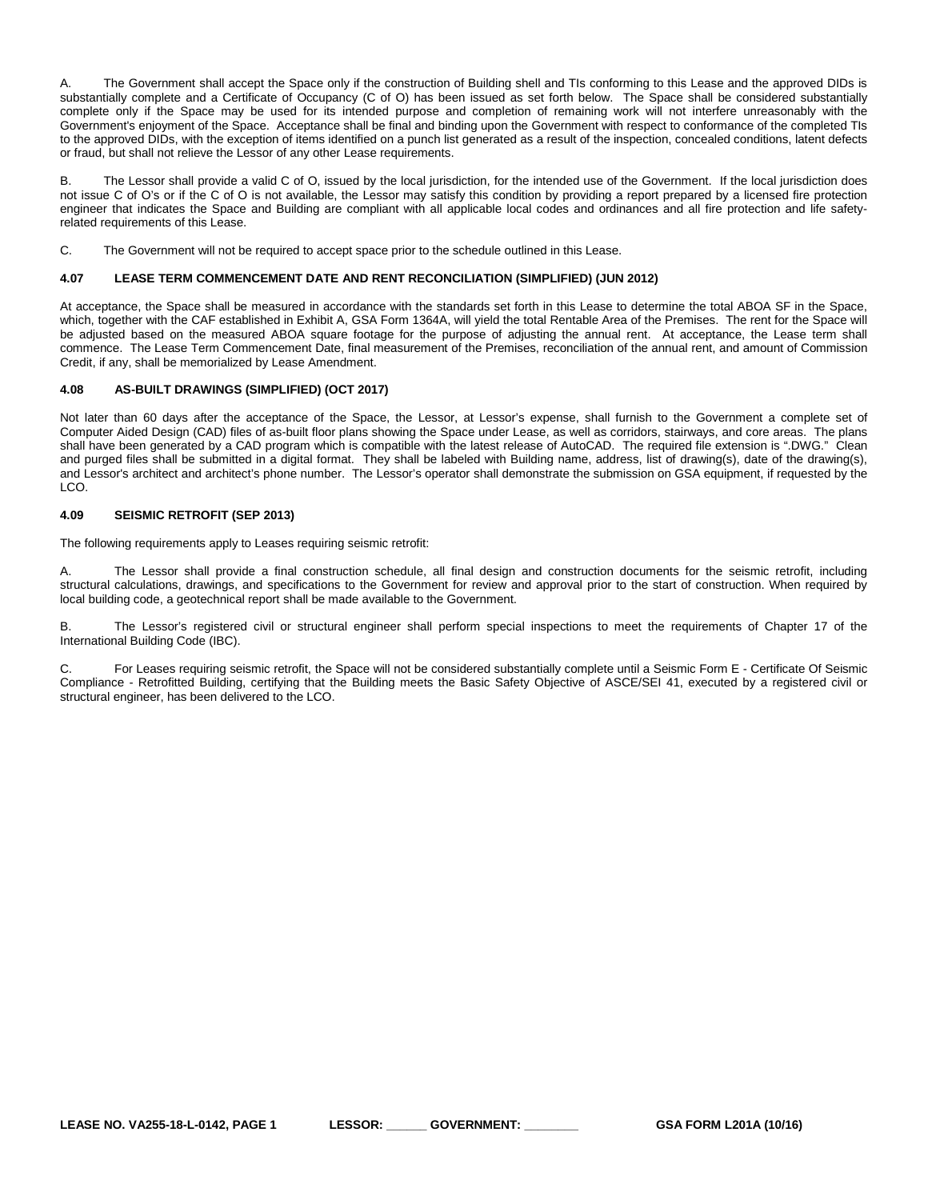A. The Government shall accept the Space only if the construction of Building shell and TIs conforming to this Lease and the approved DIDs is substantially complete and a Certificate of Occupancy (C of O) has been issued as set forth below. The Space shall be considered substantially complete only if the Space may be used for its intended purpose and completion of remaining work will not interfere unreasonably with the Government's enjoyment of the Space. Acceptance shall be final and binding upon the Government with respect to conformance of the completed TIs to the approved DIDs, with the exception of items identified on a punch list generated as a result of the inspection, concealed conditions, latent defects or fraud, but shall not relieve the Lessor of any other Lease requirements.

B. The Lessor shall provide a valid C of O, issued by the local jurisdiction, for the intended use of the Government. If the local jurisdiction does not issue C of O's or if the C of O is not available, the Lessor may satisfy this condition by providing a report prepared by a licensed fire protection engineer that indicates the Space and Building are compliant with all applicable local codes and ordinances and all fire protection and life safetyrelated requirements of this Lease.

C. The Government will not be required to accept space prior to the schedule outlined in this Lease.

#### <span id="page-23-0"></span>**4.07 LEASE TERM COMMENCEMENT DATE AND RENT RECONCILIATION (SIMPLIFIED) (JUN 2012)**

At acceptance, the Space shall be measured in accordance with the standards set forth in this Lease to determine the total ABOA SF in the Space, which, together with the CAF established in Exhibit A, GSA Form 1364A, will yield the total Rentable Area of the Premises. The rent for the Space will be adjusted based on the measured ABOA square footage for the purpose of adjusting the annual rent. At acceptance, the Lease term shall commence. The Lease Term Commencement Date, final measurement of the Premises, reconciliation of the annual rent, and amount of Commission Credit, if any, shall be memorialized by Lease Amendment.

# <span id="page-23-1"></span>**4.08 AS-BUILT DRAWINGS (SIMPLIFIED) (OCT 2017)**

Not later than 60 days after the acceptance of the Space, the Lessor, at Lessor's expense, shall furnish to the Government a complete set of Computer Aided Design (CAD) files of as-built floor plans showing the Space under Lease, as well as corridors, stairways, and core areas. The plans shall have been generated by a CAD program which is compatible with the latest release of AutoCAD. The required file extension is ".DWG." Clean and purged files shall be submitted in a digital format. They shall be labeled with Building name, address, list of drawing(s), date of the drawing(s), and Lessor's architect and architect's phone number. The Lessor's operator shall demonstrate the submission on GSA equipment, if requested by the LCO.

# <span id="page-23-2"></span>**4.09 SEISMIC RETROFIT (SEP 2013)**

The following requirements apply to Leases requiring seismic retrofit:

A. The Lessor shall provide a final construction schedule, all final design and construction documents for the seismic retrofit, including structural calculations, drawings, and specifications to the Government for review and approval prior to the start of construction. When required by local building code, a geotechnical report shall be made available to the Government.

B. The Lessor's registered civil or structural engineer shall perform special inspections to meet the requirements of Chapter 17 of the International Building Code (IBC).

C. For Leases requiring seismic retrofit, the Space will not be considered substantially complete until a Seismic Form E - Certificate Of Seismic Compliance - Retrofitted Building, certifying that the Building meets the Basic Safety Objective of ASCE/SEI 41, executed by a registered civil or structural engineer, has been delivered to the LCO.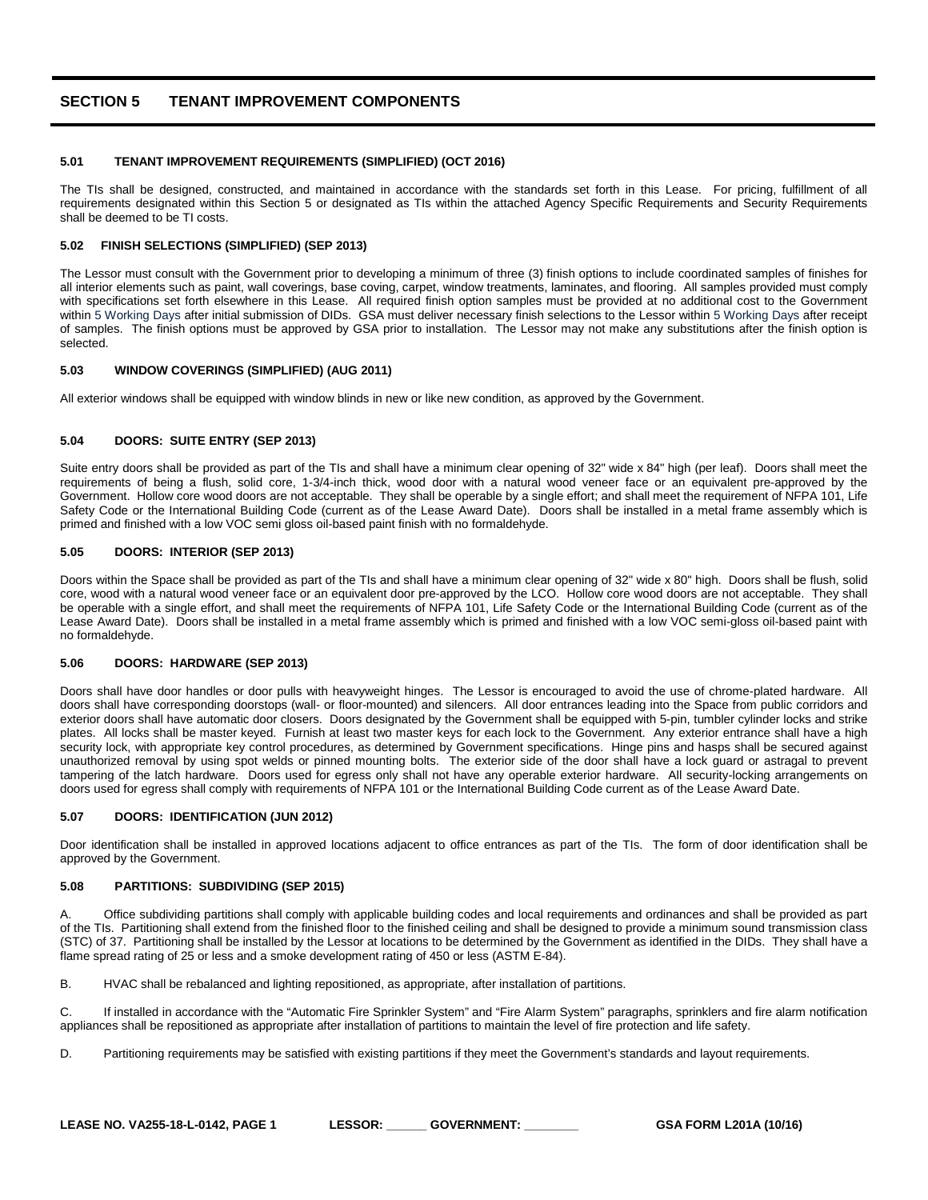# <span id="page-24-0"></span>**SECTION 5 TENANT IMPROVEMENT COMPONENTS**

#### <span id="page-24-1"></span>**5.01 TENANT IMPROVEMENT REQUIREMENTS (SIMPLIFIED) (OCT 2016)**

The TIs shall be designed, constructed, and maintained in accordance with the standards set forth in this Lease. For pricing, fulfillment of all requirements designated within this Section 5 or designated as TIs within the attached Agency Specific Requirements and Security Requirements shall be deemed to be TI costs.

#### <span id="page-24-2"></span>**5.02 FINISH SELECTIONS (SIMPLIFIED) (SEP 2013)**

The Lessor must consult with the Government prior to developing a minimum of three (3) finish options to include coordinated samples of finishes for all interior elements such as paint, wall coverings, base coving, carpet, window treatments, laminates, and flooring. All samples provided must comply with specifications set forth elsewhere in this Lease. All required finish option samples must be provided at no additional cost to the Government within 5 Working Days after initial submission of DIDs. GSA must deliver necessary finish selections to the Lessor within 5 Working Days after receipt of samples. The finish options must be approved by GSA prior to installation. The Lessor may not make any substitutions after the finish option is selected.

#### <span id="page-24-3"></span>**5.03 WINDOW COVERINGS (SIMPLIFIED) (AUG 2011)**

All exterior windows shall be equipped with window blinds in new or like new condition, as approved by the Government.

#### <span id="page-24-4"></span>**5.04 DOORS: SUITE ENTRY (SEP 2013)**

Suite entry doors shall be provided as part of the TIs and shall have a minimum clear opening of 32" wide x 84" high (per leaf). Doors shall meet the requirements of being a flush, solid core, 1-3/4-inch thick, wood door with a natural wood veneer face or an equivalent pre-approved by the Government. Hollow core wood doors are not acceptable. They shall be operable by a single effort; and shall meet the requirement of NFPA 101, Life Safety Code or the International Building Code (current as of the Lease Award Date). Doors shall be installed in a metal frame assembly which is primed and finished with a low VOC semi gloss oil-based paint finish with no formaldehyde.

# <span id="page-24-5"></span>**5.05 DOORS: INTERIOR (SEP 2013)**

Doors within the Space shall be provided as part of the TIs and shall have a minimum clear opening of 32" wide x 80" high. Doors shall be flush, solid core, wood with a natural wood veneer face or an equivalent door pre-approved by the LCO. Hollow core wood doors are not acceptable. They shall be operable with a single effort, and shall meet the requirements of NFPA 101, Life Safety Code or the International Building Code (current as of the Lease Award Date). Doors shall be installed in a metal frame assembly which is primed and finished with a low VOC semi-gloss oil-based paint with no formaldehyde.

#### <span id="page-24-6"></span>**5.06 DOORS: HARDWARE (SEP 2013)**

Doors shall have door handles or door pulls with heavyweight hinges. The Lessor is encouraged to avoid the use of chrome-plated hardware. All doors shall have corresponding doorstops (wall- or floor-mounted) and silencers. All door entrances leading into the Space from public corridors and exterior doors shall have automatic door closers. Doors designated by the Government shall be equipped with 5-pin, tumbler cylinder locks and strike plates. All locks shall be master keyed. Furnish at least two master keys for each lock to the Government. Any exterior entrance shall have a high security lock, with appropriate key control procedures, as determined by Government specifications. Hinge pins and hasps shall be secured against unauthorized removal by using spot welds or pinned mounting bolts. The exterior side of the door shall have a lock guard or astragal to prevent tampering of the latch hardware. Doors used for egress only shall not have any operable exterior hardware. All security-locking arrangements on doors used for egress shall comply with requirements of NFPA 101 or the International Building Code current as of the Lease Award Date.

# <span id="page-24-7"></span>**5.07 DOORS: IDENTIFICATION (JUN 2012)**

Door identification shall be installed in approved locations adjacent to office entrances as part of the TIs. The form of door identification shall be approved by the Government.

#### <span id="page-24-8"></span>**5.08 PARTITIONS: SUBDIVIDING (SEP 2015)**

A. Office subdividing partitions shall comply with applicable building codes and local requirements and ordinances and shall be provided as part of the TIs. Partitioning shall extend from the finished floor to the finished ceiling and shall be designed to provide a minimum sound transmission class (STC) of 37. Partitioning shall be installed by the Lessor at locations to be determined by the Government as identified in the DIDs. They shall have a flame spread rating of 25 or less and a smoke development rating of 450 or less (ASTM E-84).

B. HVAC shall be rebalanced and lighting repositioned, as appropriate, after installation of partitions.

C. If installed in accordance with the "Automatic Fire Sprinkler System" and "Fire Alarm System" paragraphs, sprinklers and fire alarm notification appliances shall be repositioned as appropriate after installation of partitions to maintain the level of fire protection and life safety.

D. Partitioning requirements may be satisfied with existing partitions if they meet the Government's standards and layout requirements.

| LEASE NO. VA255-18-L-0142. PAGE 1 | <b>LESSOR:</b> | <b>GOVERNMENT:</b> | GSA FORM L201A (10/16) |
|-----------------------------------|----------------|--------------------|------------------------|
|-----------------------------------|----------------|--------------------|------------------------|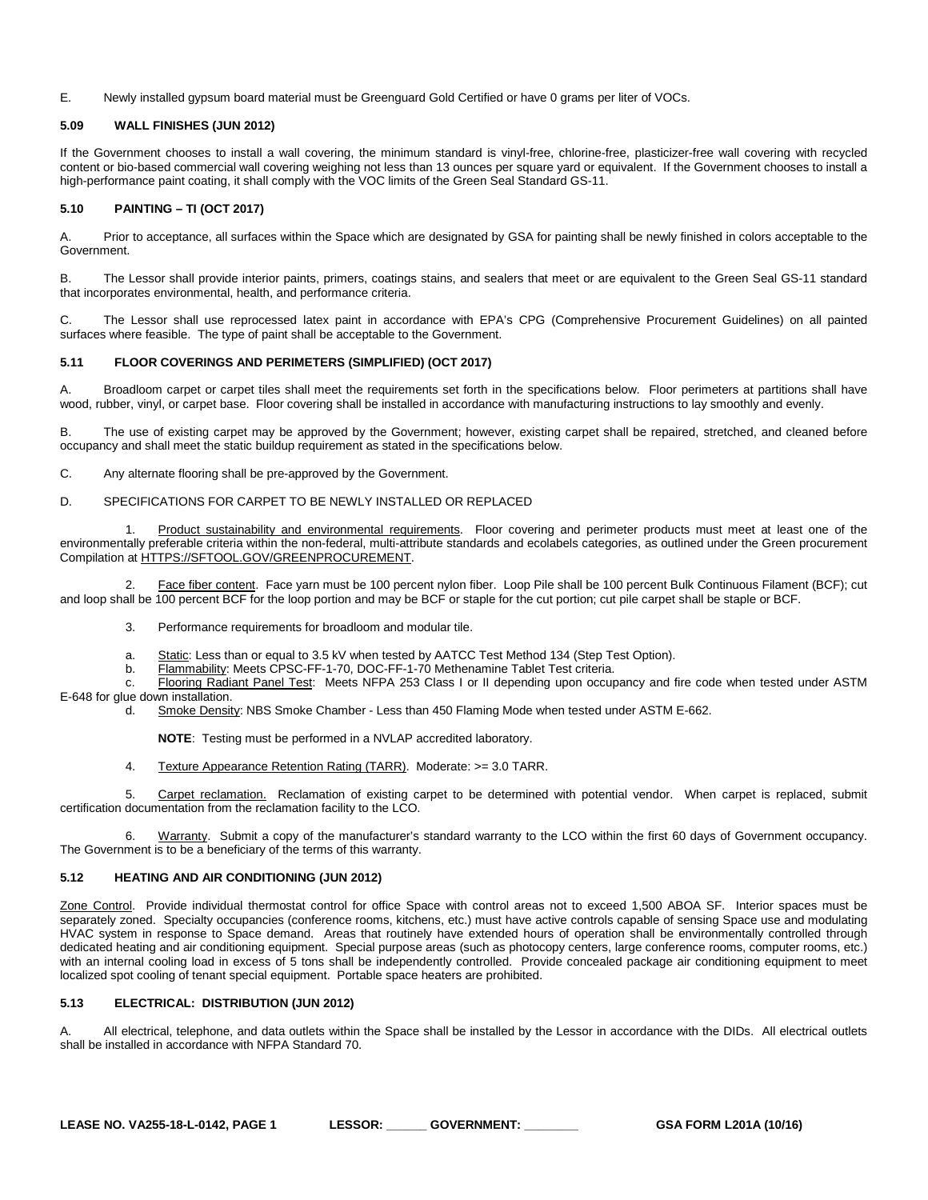#### E. Newly installed gypsum board material must be Greenguard Gold Certified or have 0 grams per liter of VOCs.

# <span id="page-25-0"></span>**5.09 WALL FINISHES (JUN 2012)**

If the Government chooses to install a wall covering, the minimum standard is vinyl-free, chlorine-free, plasticizer-free wall covering with recycled content or bio-based commercial wall covering weighing not less than 13 ounces per square yard or equivalent. If the Government chooses to install a high-performance paint coating, it shall comply with the VOC limits of the Green Seal Standard GS-11.

#### <span id="page-25-1"></span>**5.10 PAINTING – TI (OCT 2017)**

A. Prior to acceptance, all surfaces within the Space which are designated by GSA for painting shall be newly finished in colors acceptable to the Government.

B. The Lessor shall provide interior paints, primers, coatings stains, and sealers that meet or are equivalent to the Green Seal GS-11 standard that incorporates environmental, health, and performance criteria.

C. The Lessor shall use reprocessed latex paint in accordance with EPA's CPG (Comprehensive Procurement Guidelines) on all painted surfaces where feasible. The type of paint shall be acceptable to the Government.

# <span id="page-25-2"></span>**5.11 FLOOR COVERINGS AND PERIMETERS (SIMPLIFIED) (OCT 2017)**

A. Broadloom carpet or carpet tiles shall meet the requirements set forth in the specifications below. Floor perimeters at partitions shall have wood, rubber, vinyl, or carpet base. Floor covering shall be installed in accordance with manufacturing instructions to lay smoothly and evenly.

B. The use of existing carpet may be approved by the Government; however, existing carpet shall be repaired, stretched, and cleaned before occupancy and shall meet the static buildup requirement as stated in the specifications below.

C. Any alternate flooring shall be pre-approved by the Government.

# D. SPECIFICATIONS FOR CARPET TO BE NEWLY INSTALLED OR REPLACED

1. Product sustainability and environmental requirements. Floor covering and perimeter products must meet at least one of the environmentally preferable criteria within the non-federal, multi-attribute standards and ecolabels categories, as outlined under the Green procurement Compilation at [HTTPS://SFTOOL.GOV/GREENPROCUREMENT.](https://sftool.gov/GreenProcurement)

2. Face fiber content. Face yarn must be 100 percent nylon fiber. Loop Pile shall be 100 percent Bulk Continuous Filament (BCF); cut and loop shall be 100 percent BCF for the loop portion and may be BCF or staple for the cut portion; cut pile carpet shall be staple or BCF.

3. Performance requirements for broadloom and modular tile.

- a. Static: Less than or equal to 3.5 kV when tested by AATCC Test Method 134 (Step Test Option).
- b. Flammability: Meets CPSC-FF-1-70, DOC-FF-1-70 Methenamine Tablet Test criteria.

c. Flooring Radiant Panel Test: Meets NFPA 253 Class I or II depending upon occupancy and fire code when tested under ASTM E-648 for glue down installation.

d. Smoke Density: NBS Smoke Chamber - Less than 450 Flaming Mode when tested under ASTM E-662.

**NOTE**: Testing must be performed in a NVLAP accredited laboratory.

4. Texture Appearance Retention Rating (TARR). Moderate: >= 3.0 TARR.

5. Carpet reclamation. Reclamation of existing carpet to be determined with potential vendor. When carpet is replaced, submit certification documentation from the reclamation facility to the LCO.

6. Warranty. Submit a copy of the manufacturer's standard warranty to the LCO within the first 60 days of Government occupancy. The Government is to be a beneficiary of the terms of this warranty.

# <span id="page-25-3"></span>**5.12 HEATING AND AIR CONDITIONING (JUN 2012)**

Zone Control. Provide individual thermostat control for office Space with control areas not to exceed 1,500 ABOA SF. Interior spaces must be separately zoned. Specialty occupancies (conference rooms, kitchens, etc.) must have active controls capable of sensing Space use and modulating HVAC system in response to Space demand. Areas that routinely have extended hours of operation shall be environmentally controlled through dedicated heating and air conditioning equipment. Special purpose areas (such as photocopy centers, large conference rooms, computer rooms, etc.) with an internal cooling load in excess of 5 tons shall be independently controlled. Provide concealed package air conditioning equipment to meet localized spot cooling of tenant special equipment. Portable space heaters are prohibited.

#### <span id="page-25-4"></span>**5.13 ELECTRICAL: DISTRIBUTION (JUN 2012)**

A. All electrical, telephone, and data outlets within the Space shall be installed by the Lessor in accordance with the DIDs. All electrical outlets shall be installed in accordance with NFPA Standard 70.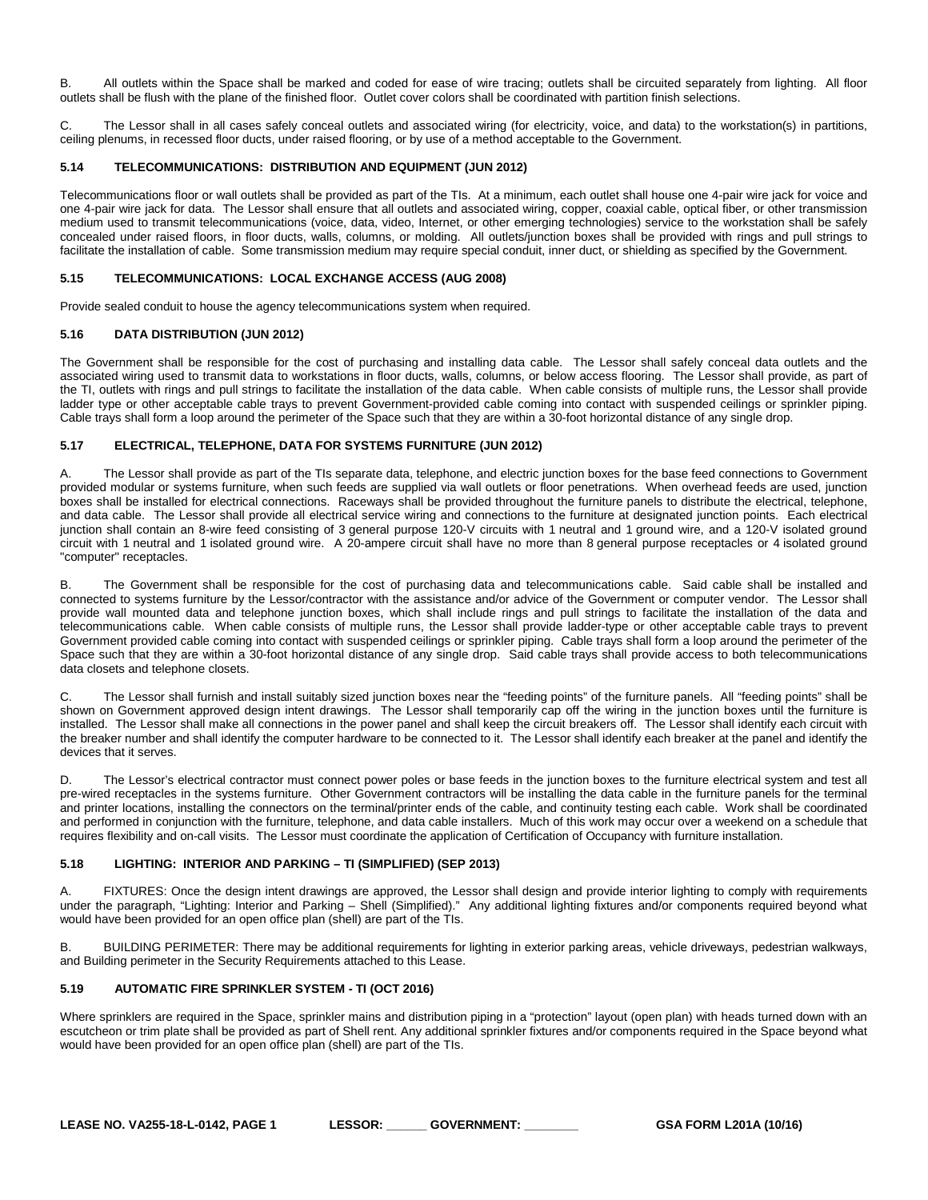B. All outlets within the Space shall be marked and coded for ease of wire tracing; outlets shall be circuited separately from lighting. All floor outlets shall be flush with the plane of the finished floor. Outlet cover colors shall be coordinated with partition finish selections.

C. The Lessor shall in all cases safely conceal outlets and associated wiring (for electricity, voice, and data) to the workstation(s) in partitions, ceiling plenums, in recessed floor ducts, under raised flooring, or by use of a method acceptable to the Government.

# <span id="page-26-0"></span>**5.14 TELECOMMUNICATIONS: DISTRIBUTION AND EQUIPMENT (JUN 2012)**

Telecommunications floor or wall outlets shall be provided as part of the TIs. At a minimum, each outlet shall house one 4-pair wire jack for voice and one 4-pair wire jack for data. The Lessor shall ensure that all outlets and associated wiring, copper, coaxial cable, optical fiber, or other transmission medium used to transmit telecommunications (voice, data, video, Internet, or other emerging technologies) service to the workstation shall be safely concealed under raised floors, in floor ducts, walls, columns, or molding. All outlets/junction boxes shall be provided with rings and pull strings to facilitate the installation of cable. Some transmission medium may require special conduit, inner duct, or shielding as specified by the Government.

# <span id="page-26-1"></span>**5.15 TELECOMMUNICATIONS: LOCAL EXCHANGE ACCESS (AUG 2008)**

Provide sealed conduit to house the agency telecommunications system when required.

# <span id="page-26-2"></span>**5.16 DATA DISTRIBUTION (JUN 2012)**

The Government shall be responsible for the cost of purchasing and installing data cable. The Lessor shall safely conceal data outlets and the associated wiring used to transmit data to workstations in floor ducts, walls, columns, or below access flooring. The Lessor shall provide, as part of the TI, outlets with rings and pull strings to facilitate the installation of the data cable. When cable consists of multiple runs, the Lessor shall provide ladder type or other acceptable cable trays to prevent Government-provided cable coming into contact with suspended ceilings or sprinkler piping. Cable trays shall form a loop around the perimeter of the Space such that they are within a 30-foot horizontal distance of any single drop.

# <span id="page-26-3"></span>**5.17 ELECTRICAL, TELEPHONE, DATA FOR SYSTEMS FURNITURE (JUN 2012)**

A. The Lessor shall provide as part of the TIs separate data, telephone, and electric junction boxes for the base feed connections to Government provided modular or systems furniture, when such feeds are supplied via wall outlets or floor penetrations. When overhead feeds are used, junction boxes shall be installed for electrical connections. Raceways shall be provided throughout the furniture panels to distribute the electrical, telephone, and data cable. The Lessor shall provide all electrical service wiring and connections to the furniture at designated junction points. Each electrical junction shall contain an 8-wire feed consisting of 3 general purpose 120-V circuits with 1 neutral and 1 ground wire, and a 120-V isolated ground circuit with 1 neutral and 1 isolated ground wire. A 20-ampere circuit shall have no more than 8 general purpose receptacles or 4 isolated ground "computer" receptacles.

B. The Government shall be responsible for the cost of purchasing data and telecommunications cable. Said cable shall be installed and connected to systems furniture by the Lessor/contractor with the assistance and/or advice of the Government or computer vendor. The Lessor shall provide wall mounted data and telephone junction boxes, which shall include rings and pull strings to facilitate the installation of the data and telecommunications cable. When cable consists of multiple runs, the Lessor shall provide ladder-type or other acceptable cable trays to prevent Government provided cable coming into contact with suspended ceilings or sprinkler piping. Cable trays shall form a loop around the perimeter of the Space such that they are within a 30-foot horizontal distance of any single drop. Said cable trays shall provide access to both telecommunications data closets and telephone closets.

C. The Lessor shall furnish and install suitably sized junction boxes near the "feeding points" of the furniture panels. All "feeding points" shall be shown on Government approved design intent drawings. The Lessor shall temporarily cap off the wiring in the junction boxes until the furniture is installed. The Lessor shall make all connections in the power panel and shall keep the circuit breakers off. The Lessor shall identify each circuit with the breaker number and shall identify the computer hardware to be connected to it. The Lessor shall identify each breaker at the panel and identify the devices that it serves.

D. The Lessor's electrical contractor must connect power poles or base feeds in the junction boxes to the furniture electrical system and test all pre-wired receptacles in the systems furniture. Other Government contractors will be installing the data cable in the furniture panels for the terminal and printer locations, installing the connectors on the terminal/printer ends of the cable, and continuity testing each cable. Work shall be coordinated and performed in conjunction with the furniture, telephone, and data cable installers. Much of this work may occur over a weekend on a schedule that requires flexibility and on-call visits. The Lessor must coordinate the application of Certification of Occupancy with furniture installation.

# <span id="page-26-4"></span>**5.18 LIGHTING: INTERIOR AND PARKING – TI (SIMPLIFIED) (SEP 2013)**

A. FIXTURES: Once the design intent drawings are approved, the Lessor shall design and provide interior lighting to comply with requirements under the paragraph, "Lighting: Interior and Parking – Shell (Simplified)." Any additional lighting fixtures and/or components required beyond what would have been provided for an open office plan (shell) are part of the TIs.

B. BUILDING PERIMETER: There may be additional requirements for lighting in exterior parking areas, vehicle driveways, pedestrian walkways, and Building perimeter in the Security Requirements attached to this Lease.

# <span id="page-26-5"></span>**5.19 AUTOMATIC FIRE SPRINKLER SYSTEM - TI (OCT 2016)**

Where sprinklers are required in the Space, sprinkler mains and distribution piping in a "protection" layout (open plan) with heads turned down with an escutcheon or trim plate shall be provided as part of Shell rent. Any additional sprinkler fixtures and/or components required in the Space beyond what would have been provided for an open office plan (shell) are part of the TIs.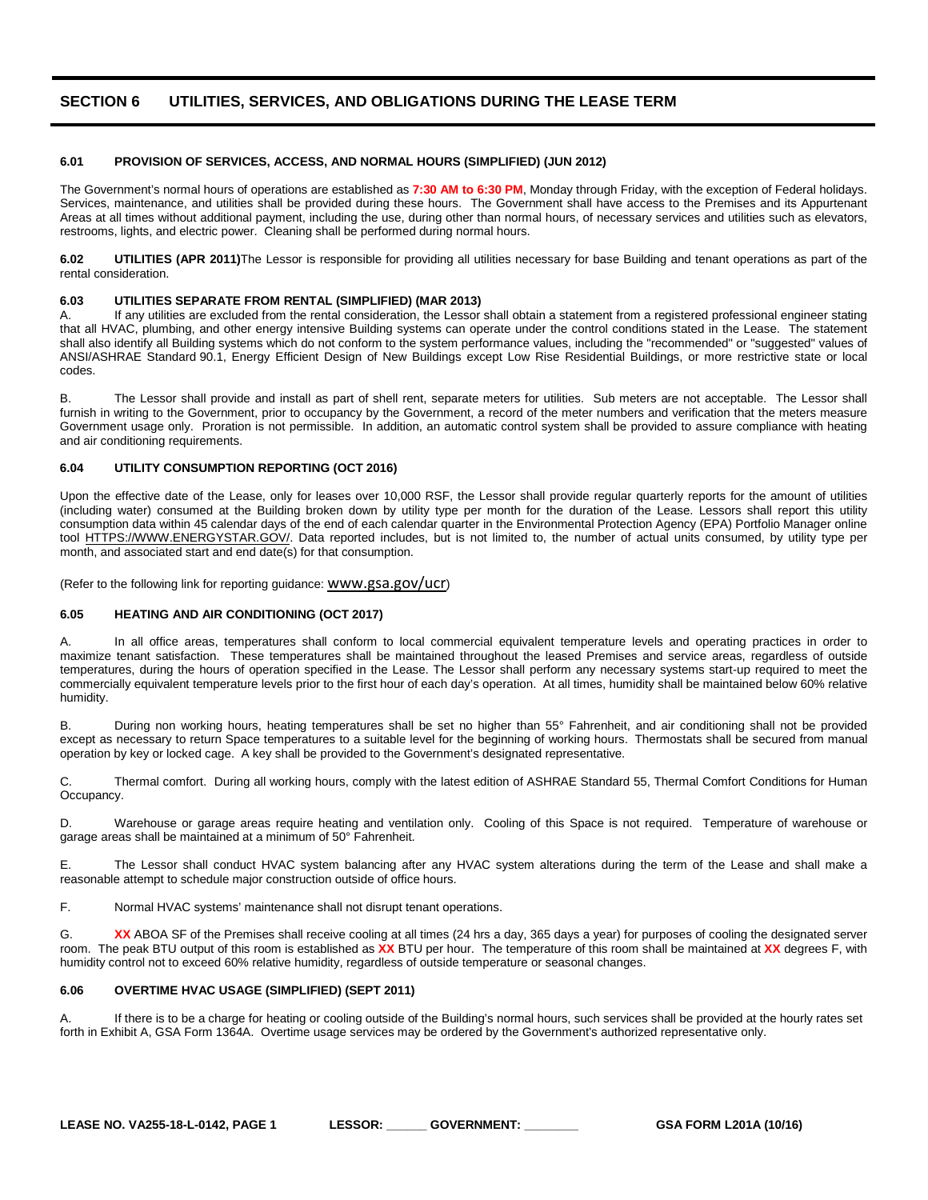# <span id="page-28-0"></span>**SECTION 6 UTILITIES, SERVICES, AND OBLIGATIONS DURING THE LEASE TERM**

# <span id="page-28-1"></span>**6.01 PROVISION OF SERVICES, ACCESS, AND NORMAL HOURS (SIMPLIFIED) (JUN 2012)**

The Government's normal hours of operations are established as **7:30 AM to 6:30 PM**, Monday through Friday, with the exception of Federal holidays. Services, maintenance, and utilities shall be provided during these hours. The Government shall have access to the Premises and its Appurtenant Areas at all times without additional payment, including the use, during other than normal hours, of necessary services and utilities such as elevators, restrooms, lights, and electric power. Cleaning shall be performed during normal hours.

<span id="page-28-2"></span>**6.02 UTILITIES (APR 2011)**The Lessor is responsible for providing all utilities necessary for base Building and tenant operations as part of the rental consideration.

#### <span id="page-28-3"></span>**6.03 UTILITIES SEPARATE FROM RENTAL (SIMPLIFIED) (MAR 2013)**

A. If any utilities are excluded from the rental consideration, the Lessor shall obtain a statement from a registered professional engineer stating that all HVAC, plumbing, and other energy intensive Building systems can operate under the control conditions stated in the Lease. The statement shall also identify all Building systems which do not conform to the system performance values, including the "recommended" or "suggested" values of ANSI/ASHRAE Standard 90.1, Energy Efficient Design of New Buildings except Low Rise Residential Buildings, or more restrictive state or local codes.

B. The Lessor shall provide and install as part of shell rent, separate meters for utilities. Sub meters are not acceptable. The Lessor shall furnish in writing to the Government, prior to occupancy by the Government, a record of the meter numbers and verification that the meters measure Government usage only. Proration is not permissible. In addition, an automatic control system shall be provided to assure compliance with heating and air conditioning requirements.

# <span id="page-28-4"></span>**6.04 UTILITY CONSUMPTION REPORTING (OCT 2016)**

Upon the effective date of the Lease, only for leases over 10,000 RSF, the Lessor shall provide regular quarterly reports for the amount of utilities (including water) consumed at the Building broken down by utility type per month for the duration of the Lease. Lessors shall report this utility consumption data within 45 calendar days of the end of each calendar quarter in the Environmental Protection Agency (EPA) Portfolio Manager online tool [HTTPS://WWW.ENERGYSTAR.GOV/.](https://www.energystar.gov/) Data reported includes, but is not limited to, the number of actual units consumed, by utility type per month, and associated start and end date(s) for that consumption.

(Refer to the following link for reporting guidance: WWW.gsa.gov/ucr)

# <span id="page-28-5"></span>**6.05 HEATING AND AIR CONDITIONING (OCT 2017)**

A. In all office areas, temperatures shall conform to local commercial equivalent temperature levels and operating practices in order to maximize tenant satisfaction. These temperatures shall be maintained throughout the leased Premises and service areas, regardless of outside temperatures, during the hours of operation specified in the Lease. The Lessor shall perform any necessary systems start-up required to meet the commercially equivalent temperature levels prior to the first hour of each day's operation. At all times, humidity shall be maintained below 60% relative humidity.

B. During non working hours, heating temperatures shall be set no higher than 55° Fahrenheit, and air conditioning shall not be provided except as necessary to return Space temperatures to a suitable level for the beginning of working hours. Thermostats shall be secured from manual operation by key or locked cage. A key shall be provided to the Government's designated representative.

C. Thermal comfort. During all working hours, comply with the latest edition of ASHRAE Standard 55, Thermal Comfort Conditions for Human Occupancy.

D. Warehouse or garage areas require heating and ventilation only. Cooling of this Space is not required. Temperature of warehouse or garage areas shall be maintained at a minimum of 50° Fahrenheit.

E. The Lessor shall conduct HVAC system balancing after any HVAC system alterations during the term of the Lease and shall make a reasonable attempt to schedule major construction outside of office hours.

F. Normal HVAC systems' maintenance shall not disrupt tenant operations.

G. XX ABOA SF of the Premises shall receive cooling at all times (24 hrs a day, 365 days a year) for purposes of cooling the designated server room. The peak BTU output of this room is established as **XX** BTU per hour. The temperature of this room shall be maintained at **XX** degrees F, with humidity control not to exceed 60% relative humidity, regardless of outside temperature or seasonal changes.

# <span id="page-28-6"></span>**6.06 OVERTIME HVAC USAGE (SIMPLIFIED) (SEPT 2011)**

If there is to be a charge for heating or cooling outside of the Building's normal hours, such services shall be provided at the hourly rates set forth in Exhibit A, GSA Form 1364A. Overtime usage services may be ordered by the Government's authorized representative only.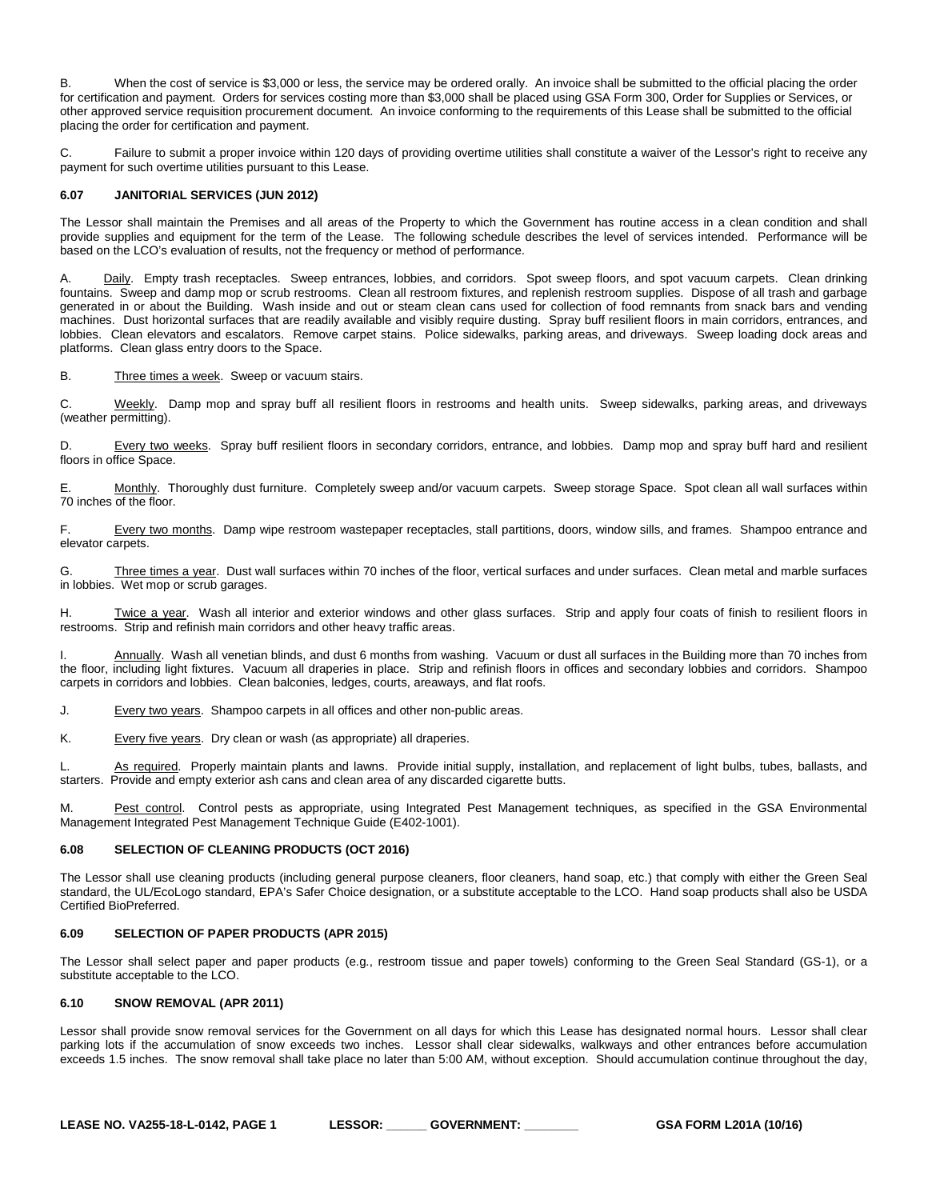B. When the cost of service is \$3,000 or less, the service may be ordered orally. An invoice shall be submitted to the official placing the order for certification and payment. Orders for services costing more than \$3,000 shall be placed using GSA Form 300, Order for Supplies or Services, or other approved service requisition procurement document. An invoice conforming to the requirements of this Lease shall be submitted to the official placing the order for certification and payment.

C. Failure to submit a proper invoice within 120 days of providing overtime utilities shall constitute a waiver of the Lessor's right to receive any payment for such overtime utilities pursuant to this Lease.

# <span id="page-29-0"></span>**6.07 JANITORIAL SERVICES (JUN 2012)**

The Lessor shall maintain the Premises and all areas of the Property to which the Government has routine access in a clean condition and shall provide supplies and equipment for the term of the Lease. The following schedule describes the level of services intended. Performance will be based on the LCO's evaluation of results, not the frequency or method of performance.

Daily. Empty trash receptacles. Sweep entrances, lobbies, and corridors. Spot sweep floors, and spot vacuum carpets. Clean drinking fountains. Sweep and damp mop or scrub restrooms. Clean all restroom fixtures, and replenish restroom supplies. Dispose of all trash and garbage generated in or about the Building. Wash inside and out or steam clean cans used for collection of food remnants from snack bars and vending machines. Dust horizontal surfaces that are readily available and visibly require dusting. Spray buff resilient floors in main corridors, entrances, and lobbies. Clean elevators and escalators. Remove carpet stains. Police sidewalks, parking areas, and driveways. Sweep loading dock areas and platforms. Clean glass entry doors to the Space.

B. Three times a week. Sweep or vacuum stairs.

C. Weekly. Damp mop and spray buff all resilient floors in restrooms and health units. Sweep sidewalks, parking areas, and driveways (weather permitting).

D. Every two weeks. Spray buff resilient floors in secondary corridors, entrance, and lobbies. Damp mop and spray buff hard and resilient floors in office Space.

E. Monthly. Thoroughly dust furniture. Completely sweep and/or vacuum carpets. Sweep storage Space. Spot clean all wall surfaces within 70 inches of the floor.

F. Every two months. Damp wipe restroom wastepaper receptacles, stall partitions, doors, window sills, and frames. Shampoo entrance and elevator carpets.

G. Three times a year. Dust wall surfaces within 70 inches of the floor, vertical surfaces and under surfaces. Clean metal and marble surfaces in lobbies. Wet mop or scrub garages.

H. Twice a year. Wash all interior and exterior windows and other glass surfaces. Strip and apply four coats of finish to resilient floors in restrooms. Strip and refinish main corridors and other heavy traffic areas.

I. Annually. Wash all venetian blinds, and dust 6 months from washing. Vacuum or dust all surfaces in the Building more than 70 inches from the floor, including light fixtures. Vacuum all draperies in place. Strip and refinish floors in offices and secondary lobbies and corridors. Shampoo carpets in corridors and lobbies. Clean balconies, ledges, courts, areaways, and flat roofs.

J. Every two years. Shampoo carpets in all offices and other non-public areas.

K. Every five years. Dry clean or wash (as appropriate) all draperies.

L. As required. Properly maintain plants and lawns. Provide initial supply, installation, and replacement of light bulbs, tubes, ballasts, and starters. Provide and empty exterior ash cans and clean area of any discarded cigarette butts.

M. Pest control. Control pests as appropriate, using Integrated Pest Management techniques, as specified in the GSA Environmental Management Integrated Pest Management Technique Guide (E402-1001).

# <span id="page-29-1"></span>**6.08 SELECTION OF CLEANING PRODUCTS (OCT 2016)**

The Lessor shall use cleaning products (including general purpose cleaners, floor cleaners, hand soap, etc.) that comply with either the Green Seal standard, the UL/EcoLogo standard, EPA's Safer Choice designation, or a substitute acceptable to the LCO. Hand soap products shall also be USDA Certified BioPreferred.

# <span id="page-29-2"></span>**6.09 SELECTION OF PAPER PRODUCTS (APR 2015)**

The Lessor shall select paper and paper products (e.g., restroom tissue and paper towels) conforming to the Green Seal Standard (GS-1), or a substitute acceptable to the LCO.

#### <span id="page-29-3"></span>**6.10 SNOW REMOVAL (APR 2011)**

Lessor shall provide snow removal services for the Government on all days for which this Lease has designated normal hours. Lessor shall clear parking lots if the accumulation of snow exceeds two inches. Lessor shall clear sidewalks, walkways and other entrances before accumulation exceeds 1.5 inches. The snow removal shall take place no later than 5:00 AM, without exception. Should accumulation continue throughout the day,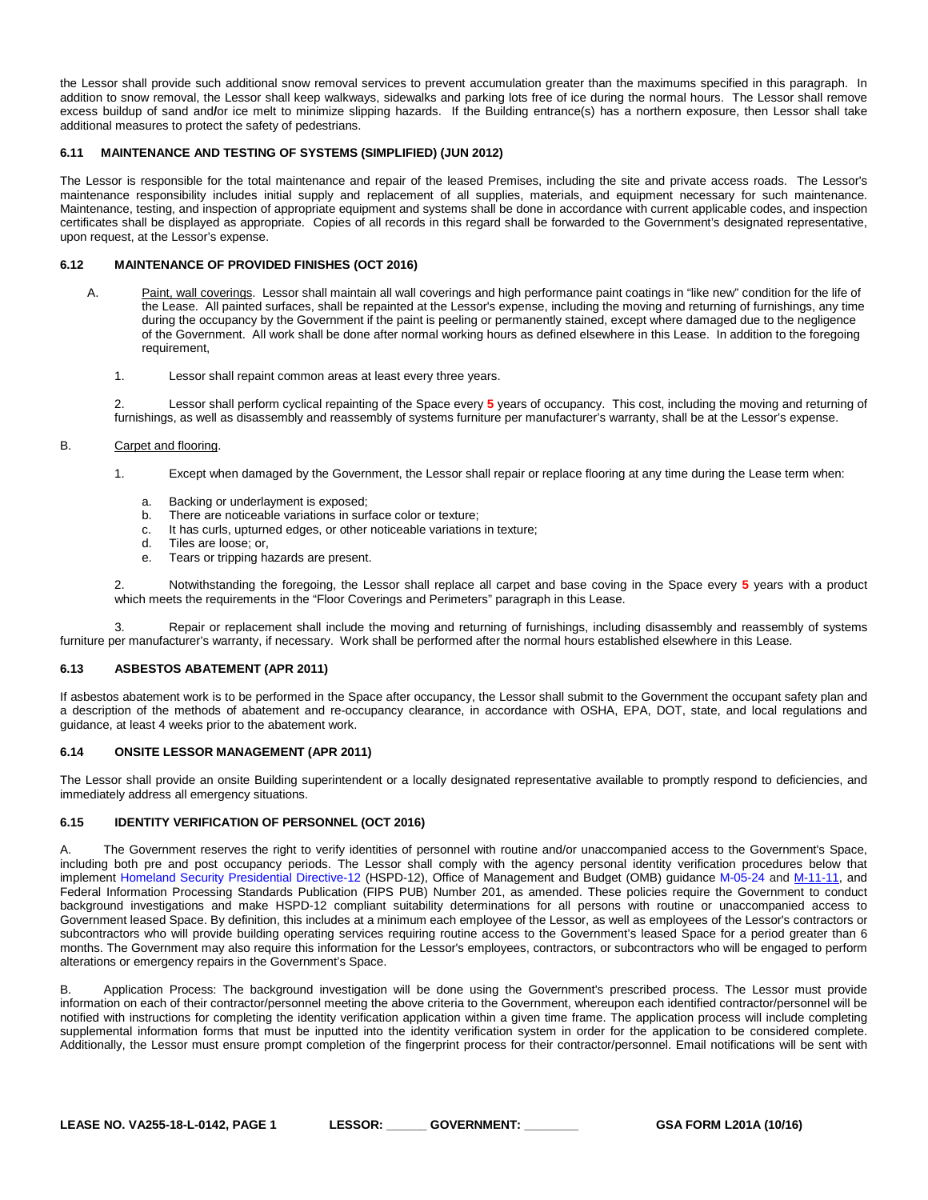the Lessor shall provide such additional snow removal services to prevent accumulation greater than the maximums specified in this paragraph. In addition to snow removal, the Lessor shall keep walkways, sidewalks and parking lots free of ice during the normal hours. The Lessor shall remove excess buildup of sand and**/**or ice melt to minimize slipping hazards. If the Building entrance(s) has a northern exposure, then Lessor shall take additional measures to protect the safety of pedestrians.

# <span id="page-30-0"></span>**6.11 MAINTENANCE AND TESTING OF SYSTEMS (SIMPLIFIED) (JUN 2012)**

The Lessor is responsible for the total maintenance and repair of the leased Premises, including the site and private access roads. The Lessor's maintenance responsibility includes initial supply and replacement of all supplies, materials, and equipment necessary for such maintenance. Maintenance, testing, and inspection of appropriate equipment and systems shall be done in accordance with current applicable codes, and inspection certificates shall be displayed as appropriate. Copies of all records in this regard shall be forwarded to the Government's designated representative, upon request, at the Lessor's expense.

#### **6.12 MAINTENANCE OF PROVIDED FINISHES (OCT 2016)**

- <span id="page-30-1"></span>A. Paint, wall coverings. Lessor shall maintain all wall coverings and high performance paint coatings in "like new" condition for the life of the Lease. All painted surfaces, shall be repainted at the Lessor's expense, including the moving and returning of furnishings, any time during the occupancy by the Government if the paint is peeling or permanently stained, except where damaged due to the negligence of the Government. All work shall be done after normal working hours as defined elsewhere in this Lease. In addition to the foregoing requirement,
	- 1. Lessor shall repaint common areas at least every three years.

2. Lessor shall perform cyclical repainting of the Space every **5** years of occupancy. This cost, including the moving and returning of furnishings, as well as disassembly and reassembly of systems furniture per manufacturer's warranty, shall be at the Lessor's expense.

#### B. Carpet and flooring.

- 1. Except when damaged by the Government, the Lessor shall repair or replace flooring at any time during the Lease term when:
	- a. Backing or underlayment is exposed;
	- b. There are noticeable variations in surface color or texture;
	- c. It has curls, upturned edges, or other noticeable variations in texture;
	- d. Tiles are loose; or,
	- e. Tears or tripping hazards are present.

2. Notwithstanding the foregoing, the Lessor shall replace all carpet and base coving in the Space every **5** years with a product which meets the requirements in the "Floor Coverings and Perimeters" paragraph in this Lease.

3. Repair or replacement shall include the moving and returning of furnishings, including disassembly and reassembly of systems furniture per manufacturer's warranty, if necessary. Work shall be performed after the normal hours established elsewhere in this Lease.

# <span id="page-30-2"></span>**6.13 ASBESTOS ABATEMENT (APR 2011)**

If asbestos abatement work is to be performed in the Space after occupancy, the Lessor shall submit to the Government the occupant safety plan and a description of the methods of abatement and re-occupancy clearance, in accordance with OSHA, EPA, DOT, state, and local regulations and guidance, at least 4 weeks prior to the abatement work.

#### <span id="page-30-3"></span>**6.14 ONSITE LESSOR MANAGEMENT (APR 2011)**

The Lessor shall provide an onsite Building superintendent or a locally designated representative available to promptly respond to deficiencies, and immediately address all emergency situations.

# <span id="page-30-4"></span>**6.15 IDENTITY VERIFICATION OF PERSONNEL (OCT 2016)**

A. The Government reserves the right to verify identities of personnel with routine and/or unaccompanied access to the Government's Space, including both pre and post occupancy periods. The Lessor shall comply with the agency personal identity verification procedures below that implement [Homeland Security Presidential Directive-12](http://www.whitehouse.gov/news/releases/2004/08/20040827-8.html) (HSPD-12), Office of Management and Budget (OMB) guidance [M-05-24](http://www.whitehouse.gov/omb/memoranda/fy2005/m05-24.pdf) and [M-11-11,](https://www.whitehouse.gov/sites/default/files/omb/memoranda/2011/m11-11.pdf) and Federal Information Processing Standards Publication (FIPS PUB) Number 201, as amended. These policies require the Government to conduct background investigations and make HSPD-12 compliant suitability determinations for all persons with routine or unaccompanied access to Government leased Space. By definition, this includes at a minimum each employee of the Lessor, as well as employees of the Lessor's contractors or subcontractors who will provide building operating services requiring routine access to the Government's leased Space for a period greater than 6 months. The Government may also require this information for the Lessor's employees, contractors, or subcontractors who will be engaged to perform alterations or emergency repairs in the Government's Space.

B. Application Process: The background investigation will be done using the Government's prescribed process. The Lessor must provide information on each of their contractor/personnel meeting the above criteria to the Government, whereupon each identified contractor/personnel will be notified with instructions for completing the identity verification application within a given time frame. The application process will include completing supplemental information forms that must be inputted into the identity verification system in order for the application to be considered complete. Additionally, the Lessor must ensure prompt completion of the fingerprint process for their contractor/personnel. Email notifications will be sent with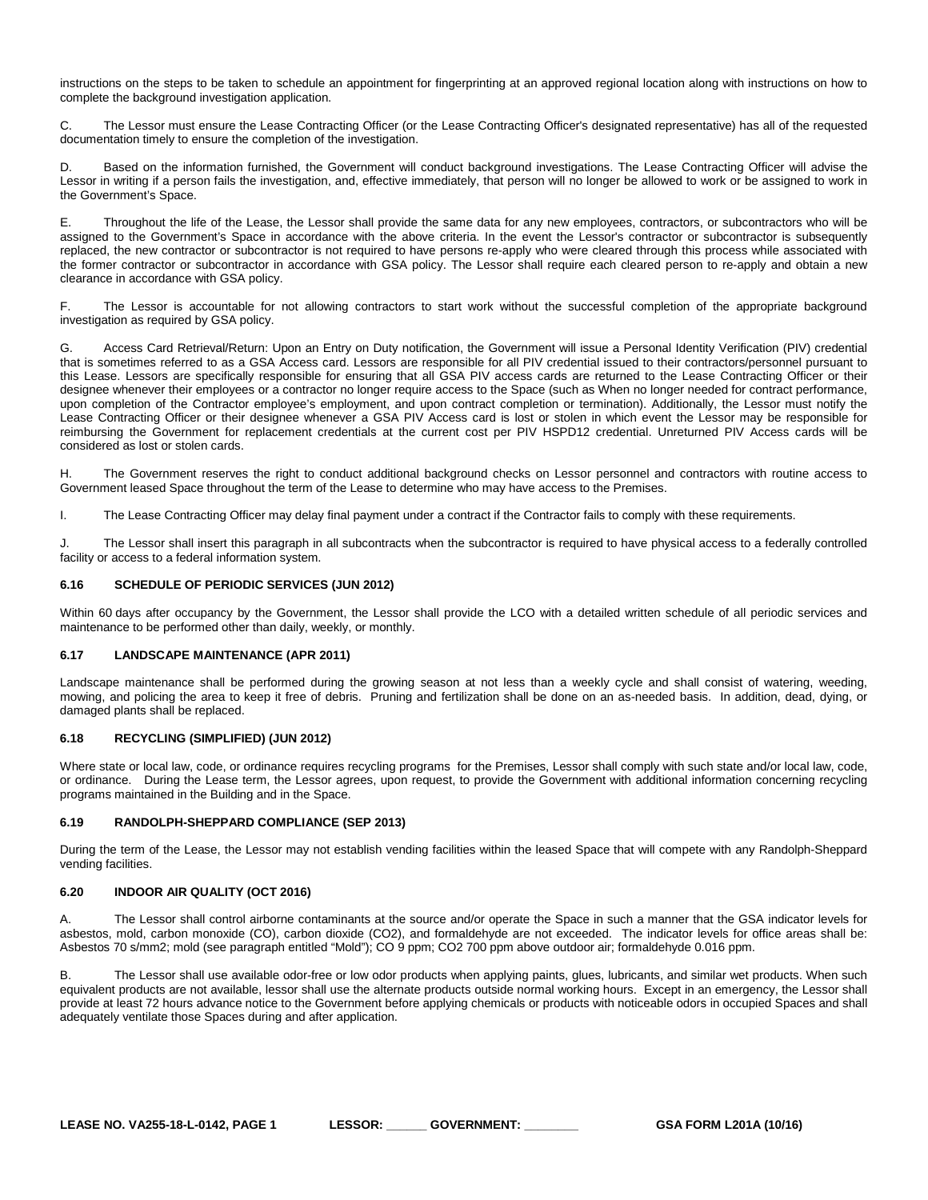instructions on the steps to be taken to schedule an appointment for fingerprinting at an approved regional location along with instructions on how to complete the background investigation application.

C. The Lessor must ensure the Lease Contracting Officer (or the Lease Contracting Officer's designated representative) has all of the requested documentation timely to ensure the completion of the investigation.

D. Based on the information furnished, the Government will conduct background investigations. The Lease Contracting Officer will advise the Lessor in writing if a person fails the investigation, and, effective immediately, that person will no longer be allowed to work or be assigned to work in the Government's Space.

E. Throughout the life of the Lease, the Lessor shall provide the same data for any new employees, contractors, or subcontractors who will be assigned to the Government's Space in accordance with the above criteria. In the event the Lessor's contractor or subcontractor is subsequently replaced, the new contractor or subcontractor is not required to have persons re-apply who were cleared through this process while associated with the former contractor or subcontractor in accordance with GSA policy. The Lessor shall require each cleared person to re-apply and obtain a new clearance in accordance with GSA policy.

F. The Lessor is accountable for not allowing contractors to start work without the successful completion of the appropriate background investigation as required by GSA policy.

G. Access Card Retrieval/Return: Upon an Entry on Duty notification, the Government will issue a Personal Identity Verification (PIV) credential that is sometimes referred to as a GSA Access card. Lessors are responsible for all PIV credential issued to their contractors/personnel pursuant to this Lease. Lessors are specifically responsible for ensuring that all GSA PIV access cards are returned to the Lease Contracting Officer or their designee whenever their employees or a contractor no longer require access to the Space (such as When no longer needed for contract performance, upon completion of the Contractor employee's employment, and upon contract completion or termination). Additionally, the Lessor must notify the Lease Contracting Officer or their designee whenever a GSA PIV Access card is lost or stolen in which event the Lessor may be responsible for reimbursing the Government for replacement credentials at the current cost per PIV HSPD12 credential. Unreturned PIV Access cards will be considered as lost or stolen cards.

H. The Government reserves the right to conduct additional background checks on Lessor personnel and contractors with routine access to Government leased Space throughout the term of the Lease to determine who may have access to the Premises.

I. The Lease Contracting Officer may delay final payment under a contract if the Contractor fails to comply with these requirements.

J. The Lessor shall insert this paragraph in all subcontracts when the subcontractor is required to have physical access to a federally controlled facility or access to a federal information system.

# <span id="page-31-0"></span>**6.16 SCHEDULE OF PERIODIC SERVICES (JUN 2012)**

Within 60 days after occupancy by the Government, the Lessor shall provide the LCO with a detailed written schedule of all periodic services and maintenance to be performed other than daily, weekly, or monthly.

# <span id="page-31-1"></span>**6.17 LANDSCAPE MAINTENANCE (APR 2011)**

Landscape maintenance shall be performed during the growing season at not less than a weekly cycle and shall consist of watering, weeding, mowing, and policing the area to keep it free of debris. Pruning and fertilization shall be done on an as-needed basis. In addition, dead, dying, or damaged plants shall be replaced.

# <span id="page-31-2"></span>**6.18 RECYCLING (SIMPLIFIED) (JUN 2012)**

Where state or local law, code, or ordinance requires recycling programs for the Premises, Lessor shall comply with such state and/or local law, code, or ordinance. During the Lease term, the Lessor agrees, upon request, to provide the Government with additional information concerning recycling programs maintained in the Building and in the Space.

# <span id="page-31-3"></span>**6.19 RANDOLPH-SHEPPARD COMPLIANCE (SEP 2013)**

During the term of the Lease, the Lessor may not establish vending facilities within the leased Space that will compete with any Randolph-Sheppard vending facilities.

# <span id="page-31-4"></span>**6.20 INDOOR AIR QUALITY (OCT 2016)**

The Lessor shall control airborne contaminants at the source and/or operate the Space in such a manner that the GSA indicator levels for asbestos, mold, carbon monoxide (CO), carbon dioxide (CO2), and formaldehyde are not exceeded. The indicator levels for office areas shall be: Asbestos 70 s/mm2; mold (see paragraph entitled "Mold"); CO 9 ppm; CO2 700 ppm above outdoor air; formaldehyde 0.016 ppm.

The Lessor shall use available odor-free or low odor products when applying paints, glues, lubricants, and similar wet products. When such equivalent products are not available, lessor shall use the alternate products outside normal working hours. Except in an emergency, the Lessor shall provide at least 72 hours advance notice to the Government before applying chemicals or products with noticeable odors in occupied Spaces and shall adequately ventilate those Spaces during and after application.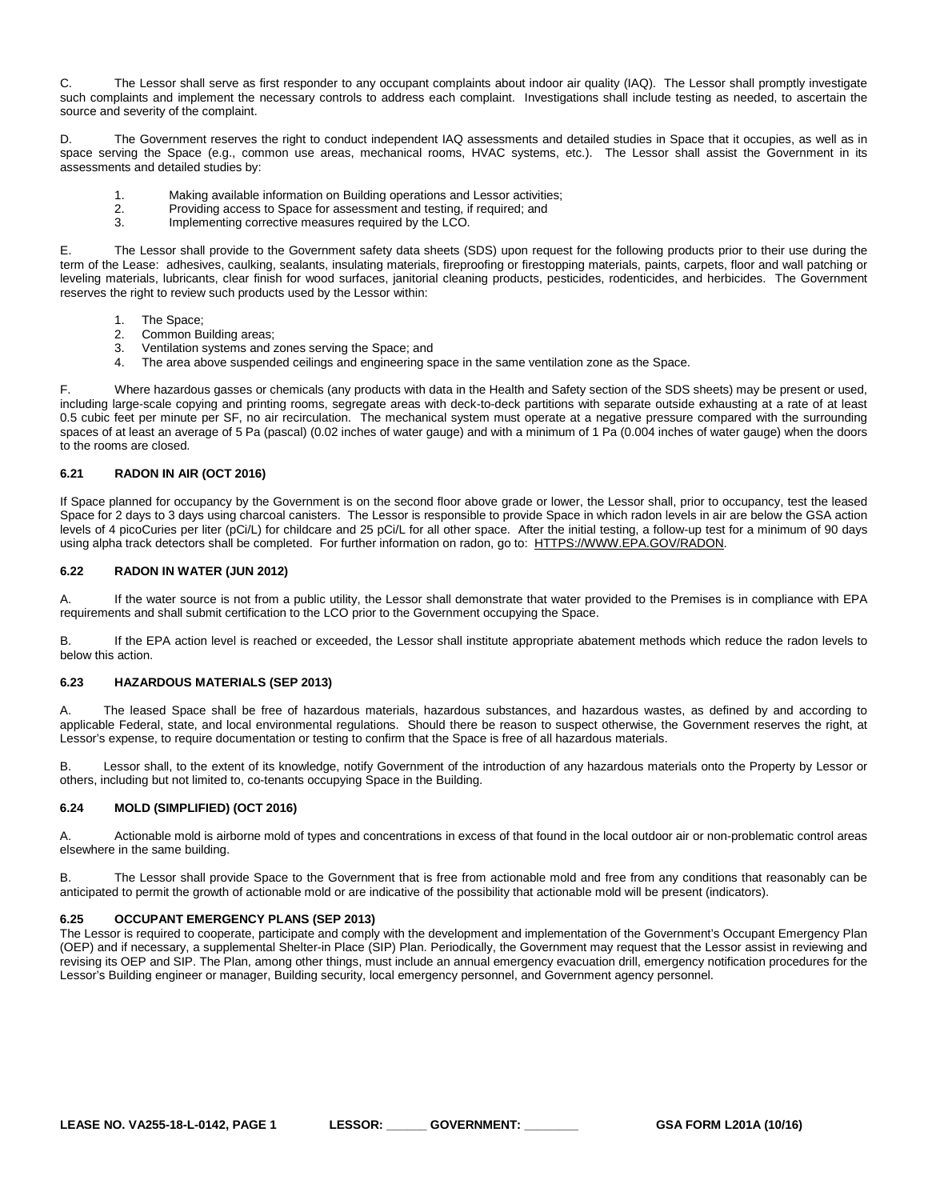C. The Lessor shall serve as first responder to any occupant complaints about indoor air quality (IAQ). The Lessor shall promptly investigate such complaints and implement the necessary controls to address each complaint. Investigations shall include testing as needed, to ascertain the source and severity of the complaint.

D. The Government reserves the right to conduct independent IAQ assessments and detailed studies in Space that it occupies, as well as in space serving the Space (e.g., common use areas, mechanical rooms, HVAC systems, etc.). The Lessor shall assist the Government in its assessments and detailed studies by:

- 1. Making available information on Building operations and Lessor activities;<br>2. Providing access to Space for assessment and testing, if required; and
- 2. Providing access to Space for assessment and testing, if required; and<br>3. Implementing corrective measures required by the LCO.
- Implementing corrective measures required by the LCO.

E. The Lessor shall provide to the Government safety data sheets (SDS) upon request for the following products prior to their use during the term of the Lease: adhesives, caulking, sealants, insulating materials, fireproofing or firestopping materials, paints, carpets, floor and wall patching or leveling materials, lubricants, clear finish for wood surfaces, janitorial cleaning products, pesticides, rodenticides, and herbicides. The Government reserves the right to review such products used by the Lessor within:

- 
- 1. The Space;<br>2. Common Bu 2. Common Building areas;<br>3. Ventilation systems and z
- Ventilation systems and zones serving the Space; and
- 4. The area above suspended ceilings and engineering space in the same ventilation zone as the Space.

Where hazardous gasses or chemicals (any products with data in the Health and Safety section of the SDS sheets) may be present or used, including large-scale copying and printing rooms, segregate areas with deck-to-deck partitions with separate outside exhausting at a rate of at least 0.5 cubic feet per minute per SF, no air recirculation. The mechanical system must operate at a negative pressure compared with the surrounding spaces of at least an average of 5 Pa (pascal) (0.02 inches of water gauge) and with a minimum of 1 Pa (0.004 inches of water gauge) when the doors to the rooms are closed.

# <span id="page-32-0"></span>**6.21 RADON IN AIR (OCT 2016)**

If Space planned for occupancy by the Government is on the second floor above grade or lower, the Lessor shall, prior to occupancy, test the leased Space for 2 days to 3 days using charcoal canisters. The Lessor is responsible to provide Space in which radon levels in air are below the GSA action levels of 4 picoCuries per liter (pCi/L) for childcare and 25 pCi/L for all other space. After the initial testing, a follow-up test for a minimum of 90 days using alpha track detectors shall be completed. For further information on radon, go to: [HTTPS://WWW.EPA.GOV/RADON.](https://www.epa.gov/radon)

#### <span id="page-32-1"></span>**6.22 RADON IN WATER (JUN 2012)**

A. If the water source is not from a public utility, the Lessor shall demonstrate that water provided to the Premises is in compliance with EPA requirements and shall submit certification to the LCO prior to the Government occupying the Space.

B. If the EPA action level is reached or exceeded, the Lessor shall institute appropriate abatement methods which reduce the radon levels to below this action.

# <span id="page-32-2"></span>**6.23 HAZARDOUS MATERIALS (SEP 2013)**

A. The leased Space shall be free of hazardous materials, hazardous substances, and hazardous wastes, as defined by and according to applicable Federal, state, and local environmental regulations. Should there be reason to suspect otherwise, the Government reserves the right, at Lessor's expense, to require documentation or testing to confirm that the Space is free of all hazardous materials.

B. Lessor shall, to the extent of its knowledge, notify Government of the introduction of any hazardous materials onto the Property by Lessor or others, including but not limited to, co-tenants occupying Space in the Building.

#### <span id="page-32-3"></span>**6.24 MOLD (SIMPLIFIED) (OCT 2016)**

A. Actionable mold is airborne mold of types and concentrations in excess of that found in the local outdoor air or non-problematic control areas elsewhere in the same building.

B. The Lessor shall provide Space to the Government that is free from actionable mold and free from any conditions that reasonably can be anticipated to permit the growth of actionable mold or are indicative of the possibility that actionable mold will be present (indicators).

#### <span id="page-32-4"></span>**6.25 OCCUPANT EMERGENCY PLANS (SEP 2013)**

The Lessor is required to cooperate, participate and comply with the development and implementation of the Government's Occupant Emergency Plan (OEP) and if necessary, a supplemental Shelter-in Place (SIP) Plan. Periodically, the Government may request that the Lessor assist in reviewing and revising its OEP and SIP. The Plan, among other things, must include an annual emergency evacuation drill, emergency notification procedures for the Lessor's Building engineer or manager, Building security, local emergency personnel, and Government agency personnel.